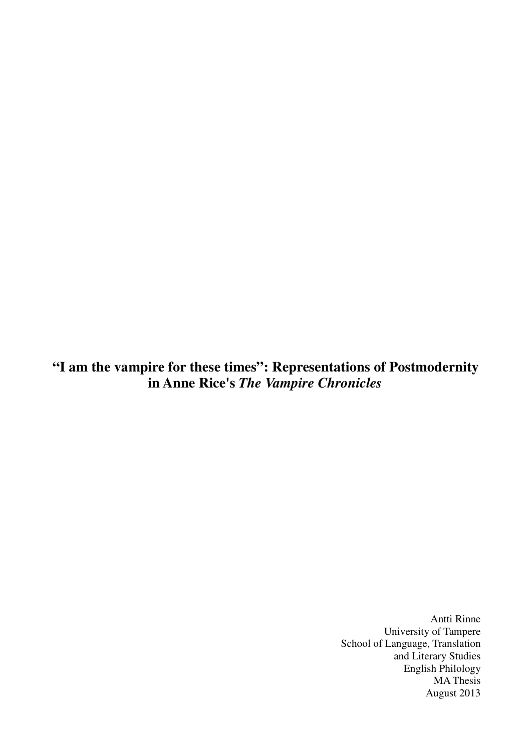**"I am the vampire for these times": Representations of Postmodernity in Anne Rice's** *The Vampire Chronicles*

> Antti Rinne University of Tampere School of Language, Translation and Literary Studies English Philology MA Thesis August 2013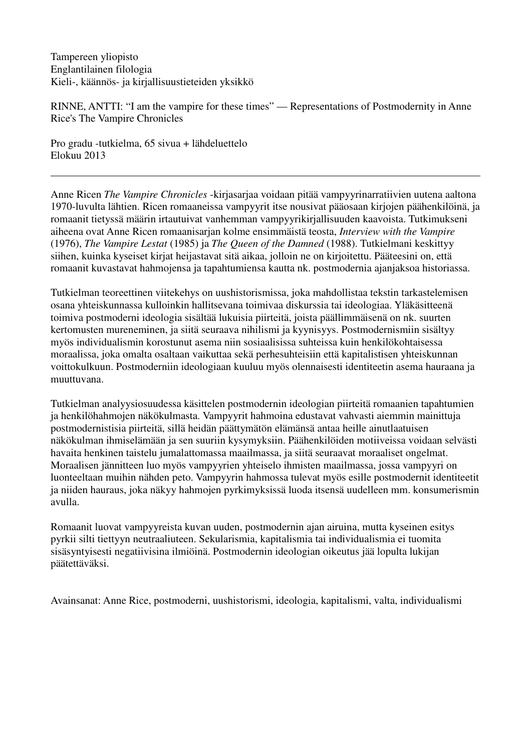Tampereen yliopisto Englantilainen filologia Kieli-, käännös- ja kirjallisuustieteiden yksikkö

RINNE, ANTTI: "I am the vampire for these times" — Representations of Postmodernity in Anne Rice's The Vampire Chronicles

Pro gradu -tutkielma, 65 sivua + lähdeluettelo Elokuu 2013

Anne Ricen *The Vampire Chronicles* -kirjasarjaa voidaan pitää vampyyrinarratiivien uutena aaltona 1970-luvulta lähtien. Ricen romaaneissa vampyyrit itse nousivat pääosaan kirjojen päähenkilöinä, ja romaanit tietyssä määrin irtautuivat vanhemman vampyyrikirjallisuuden kaavoista. Tutkimukseni aiheena ovat Anne Ricen romaanisarjan kolme ensimmäistä teosta, *Interview with the Vampire*  (1976), *The Vampire Lestat* (1985) ja *The Queen of the Damned* (1988). Tutkielmani keskittyy siihen, kuinka kyseiset kirjat heijastavat sitä aikaa, jolloin ne on kirjoitettu. Pääteesini on, että romaanit kuvastavat hahmojensa ja tapahtumiensa kautta nk. postmodernia ajanjaksoa historiassa.

Tutkielman teoreettinen viitekehys on uushistorismissa, joka mahdollistaa tekstin tarkastelemisen osana yhteiskunnassa kulloinkin hallitsevana toimivaa diskurssia tai ideologiaa. Yläkäsitteenä toimiva postmoderni ideologia sisältää lukuisia piirteitä, joista päällimmäisenä on nk. suurten kertomusten mureneminen, ja siitä seuraava nihilismi ja kyynisyys. Postmodernismiin sisältyy myös individualismin korostunut asema niin sosiaalisissa suhteissa kuin henkilökohtaisessa moraalissa, joka omalta osaltaan vaikuttaa sekä perhesuhteisiin että kapitalistisen yhteiskunnan voittokulkuun. Postmoderniin ideologiaan kuuluu myös olennaisesti identiteetin asema hauraana ja muuttuvana.

Tutkielman analyysiosuudessa käsittelen postmodernin ideologian piirteitä romaanien tapahtumien ja henkilöhahmojen näkökulmasta. Vampyyrit hahmoina edustavat vahvasti aiemmin mainittuja postmodernistisia piirteitä, sillä heidän päättymätön elämänsä antaa heille ainutlaatuisen näkökulman ihmiselämään ja sen suuriin kysymyksiin. Päähenkilöiden motiiveissa voidaan selvästi havaita henkinen taistelu jumalattomassa maailmassa, ja siitä seuraavat moraaliset ongelmat. Moraalisen jännitteen luo myös vampyyrien yhteiselo ihmisten maailmassa, jossa vampyyri on luonteeltaan muihin nähden peto. Vampyyrin hahmossa tulevat myös esille postmodernit identiteetit ja niiden hauraus, joka näkyy hahmojen pyrkimyksissä luoda itsensä uudelleen mm. konsumerismin avulla.

Romaanit luovat vampyyreista kuvan uuden, postmodernin ajan airuina, mutta kyseinen esitys pyrkii silti tiettyyn neutraaliuteen. Sekularismia, kapitalismia tai individualismia ei tuomita sisäsyntyisesti negatiivisina ilmiöinä. Postmodernin ideologian oikeutus jää lopulta lukijan päätettäväksi.

Avainsanat: Anne Rice, postmoderni, uushistorismi, ideologia, kapitalismi, valta, individualismi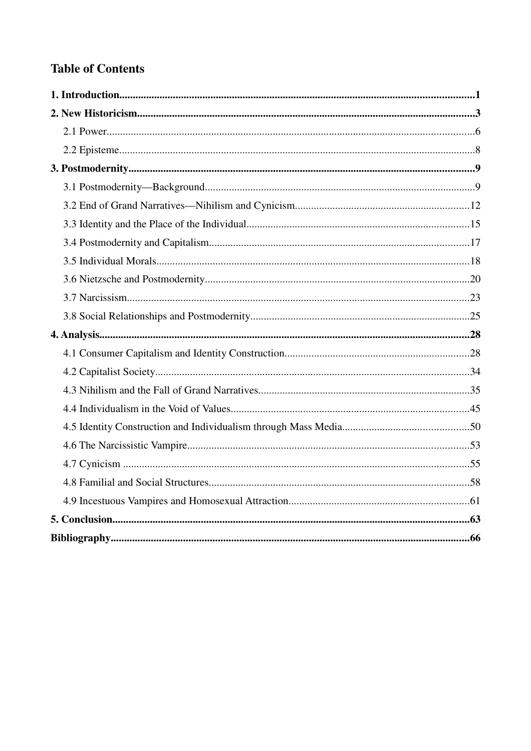# **Table of Contents**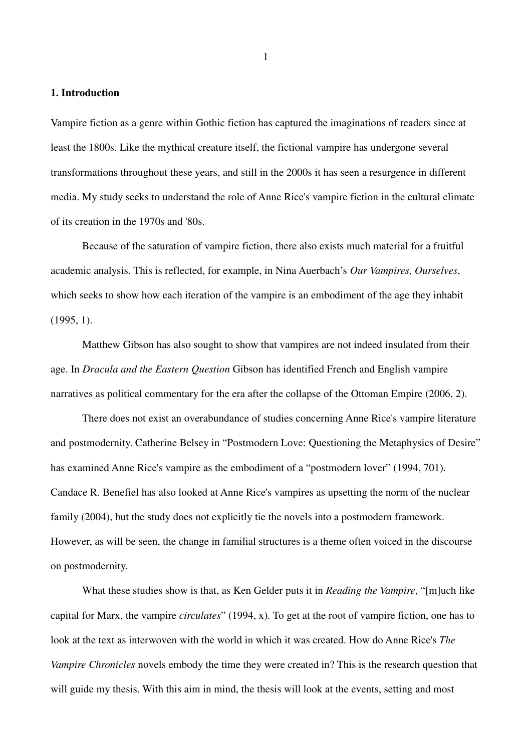## **1. Introduction**

Vampire fiction as a genre within Gothic fiction has captured the imaginations of readers since at least the 1800s. Like the mythical creature itself, the fictional vampire has undergone several transformations throughout these years, and still in the 2000s it has seen a resurgence in different media. My study seeks to understand the role of Anne Rice's vampire fiction in the cultural climate of its creation in the 1970s and '80s.

Because of the saturation of vampire fiction, there also exists much material for a fruitful academic analysis. This is reflected, for example, in Nina Auerbach's *Our Vampires, Ourselves*, which seeks to show how each iteration of the vampire is an embodiment of the age they inhabit (1995, 1).

Matthew Gibson has also sought to show that vampires are not indeed insulated from their age. In *Dracula and the Eastern Question* Gibson has identified French and English vampire narratives as political commentary for the era after the collapse of the Ottoman Empire (2006, 2).

There does not exist an overabundance of studies concerning Anne Rice's vampire literature and postmodernity. Catherine Belsey in "Postmodern Love: Questioning the Metaphysics of Desire" has examined Anne Rice's vampire as the embodiment of a "postmodern lover" (1994, 701). Candace R. Benefiel has also looked at Anne Rice's vampires as upsetting the norm of the nuclear family (2004), but the study does not explicitly tie the novels into a postmodern framework. However, as will be seen, the change in familial structures is a theme often voiced in the discourse on postmodernity.

What these studies show is that, as Ken Gelder puts it in *Reading the Vampire*, "[m]uch like capital for Marx, the vampire *circulates*" (1994, x). To get at the root of vampire fiction, one has to look at the text as interwoven with the world in which it was created. How do Anne Rice's *The Vampire Chronicles* novels embody the time they were created in? This is the research question that will guide my thesis. With this aim in mind, the thesis will look at the events, setting and most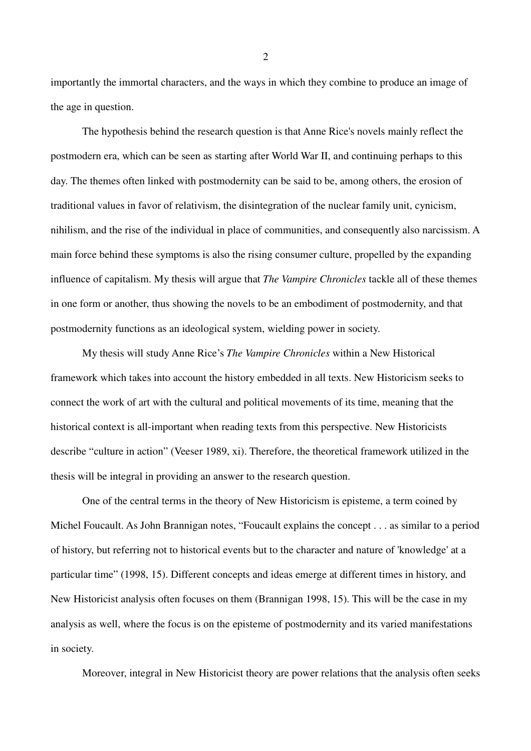importantly the immortal characters, and the ways in which they combine to produce an image of the age in question.

The hypothesis behind the research question is that Anne Rice's novels mainly reflect the postmodern era, which can be seen as starting after World War II, and continuing perhaps to this day. The themes often linked with postmodernity can be said to be, among others, the erosion of traditional values in favor of relativism, the disintegration of the nuclear family unit, cynicism, nihilism, and the rise of the individual in place of communities, and consequently also narcissism. A main force behind these symptoms is also the rising consumer culture, propelled by the expanding influence of capitalism. My thesis will argue that *The Vampire Chronicles* tackle all of these themes in one form or another, thus showing the novels to be an embodiment of postmodernity, and that postmodernity functions as an ideological system, wielding power in society.

My thesis will study Anne Rice's *The Vampire Chronicles* within a New Historical framework which takes into account the history embedded in all texts. New Historicism seeks to connect the work of art with the cultural and political movements of its time, meaning that the historical context is all-important when reading texts from this perspective. New Historicists describe "culture in action" (Veeser 1989, xi). Therefore, the theoretical framework utilized in the thesis will be integral in providing an answer to the research question.

One of the central terms in the theory of New Historicism is episteme, a term coined by Michel Foucault. As John Brannigan notes, "Foucault explains the concept . . . as similar to a period of history, but referring not to historical events but to the character and nature of 'knowledge' at a particular time" (1998, 15). Different concepts and ideas emerge at different times in history, and New Historicist analysis often focuses on them (Brannigan 1998, 15). This will be the case in my analysis as well, where the focus is on the episteme of postmodernity and its varied manifestations in society.

Moreover, integral in New Historicist theory are power relations that the analysis often seeks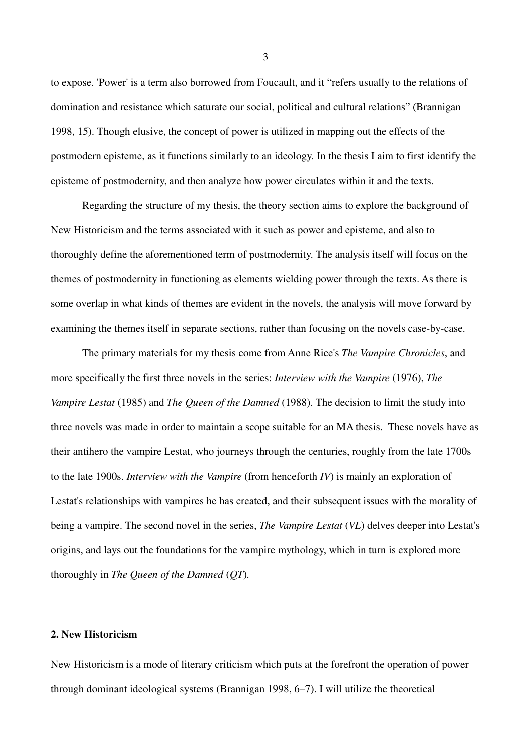to expose. 'Power' is a term also borrowed from Foucault, and it "refers usually to the relations of domination and resistance which saturate our social, political and cultural relations" (Brannigan 1998, 15). Though elusive, the concept of power is utilized in mapping out the effects of the postmodern episteme, as it functions similarly to an ideology. In the thesis I aim to first identify the episteme of postmodernity, and then analyze how power circulates within it and the texts.

Regarding the structure of my thesis, the theory section aims to explore the background of New Historicism and the terms associated with it such as power and episteme, and also to thoroughly define the aforementioned term of postmodernity. The analysis itself will focus on the themes of postmodernity in functioning as elements wielding power through the texts. As there is some overlap in what kinds of themes are evident in the novels, the analysis will move forward by examining the themes itself in separate sections, rather than focusing on the novels case-by-case.

The primary materials for my thesis come from Anne Rice's *The Vampire Chronicles*, and more specifically the first three novels in the series: *Interview with the Vampire* (1976), *The Vampire Lestat* (1985) and *The Queen of the Damned* (1988). The decision to limit the study into three novels was made in order to maintain a scope suitable for an MA thesis. These novels have as their antihero the vampire Lestat, who journeys through the centuries, roughly from the late 1700s to the late 1900s. *Interview with the Vampire* (from henceforth *IV*) is mainly an exploration of Lestat's relationships with vampires he has created, and their subsequent issues with the morality of being a vampire. The second novel in the series, *The Vampire Lestat* (*VL*) delves deeper into Lestat's origins, and lays out the foundations for the vampire mythology, which in turn is explored more thoroughly in *The Queen of the Damned* (*QT*)*.*

#### **2. New Historicism**

New Historicism is a mode of literary criticism which puts at the forefront the operation of power through dominant ideological systems (Brannigan 1998, 6–7). I will utilize the theoretical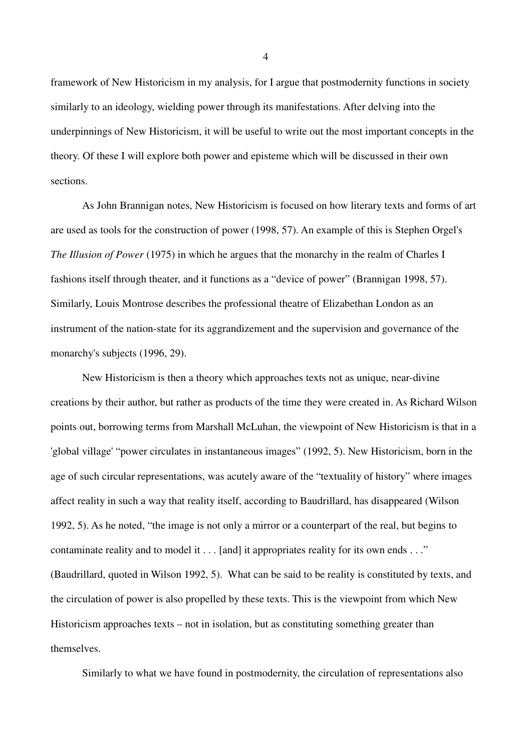framework of New Historicism in my analysis, for I argue that postmodernity functions in society similarly to an ideology, wielding power through its manifestations. After delving into the underpinnings of New Historicism, it will be useful to write out the most important concepts in the theory. Of these I will explore both power and episteme which will be discussed in their own sections.

As John Brannigan notes, New Historicism is focused on how literary texts and forms of art are used as tools for the construction of power (1998, 57). An example of this is Stephen Orgel's *The Illusion of Power* (1975) in which he argues that the monarchy in the realm of Charles I fashions itself through theater, and it functions as a "device of power" (Brannigan 1998, 57). Similarly, Louis Montrose describes the professional theatre of Elizabethan London as an instrument of the nation-state for its aggrandizement and the supervision and governance of the monarchy's subjects (1996, 29).

New Historicism is then a theory which approaches texts not as unique, near-divine creations by their author, but rather as products of the time they were created in. As Richard Wilson points out, borrowing terms from Marshall McLuhan, the viewpoint of New Historicism is that in a 'global village' "power circulates in instantaneous images" (1992, 5). New Historicism, born in the age of such circular representations, was acutely aware of the "textuality of history" where images affect reality in such a way that reality itself, according to Baudrillard, has disappeared (Wilson 1992, 5). As he noted, "the image is not only a mirror or a counterpart of the real, but begins to contaminate reality and to model it . . . [and] it appropriates reality for its own ends . . ." (Baudrillard, quoted in Wilson 1992, 5). What can be said to be reality is constituted by texts, and the circulation of power is also propelled by these texts. This is the viewpoint from which New Historicism approaches texts – not in isolation, but as constituting something greater than themselves.

Similarly to what we have found in postmodernity, the circulation of representations also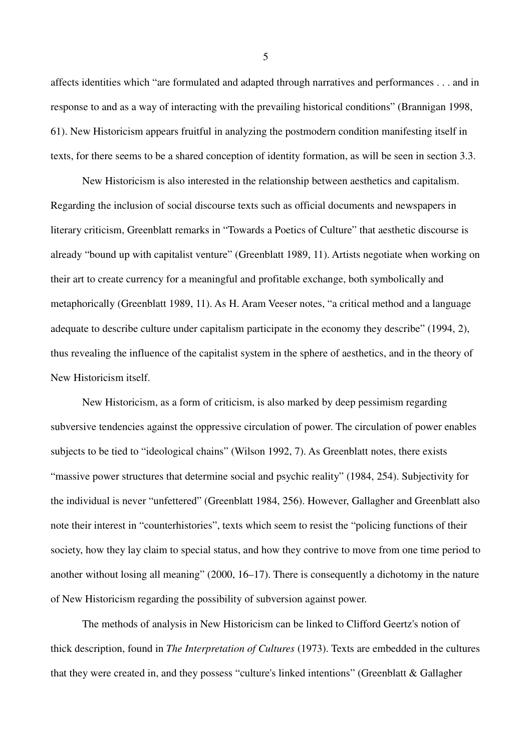affects identities which "are formulated and adapted through narratives and performances . . . and in response to and as a way of interacting with the prevailing historical conditions" (Brannigan 1998, 61). New Historicism appears fruitful in analyzing the postmodern condition manifesting itself in texts, for there seems to be a shared conception of identity formation, as will be seen in section 3.3.

New Historicism is also interested in the relationship between aesthetics and capitalism. Regarding the inclusion of social discourse texts such as official documents and newspapers in literary criticism, Greenblatt remarks in "Towards a Poetics of Culture" that aesthetic discourse is already "bound up with capitalist venture" (Greenblatt 1989, 11). Artists negotiate when working on their art to create currency for a meaningful and profitable exchange, both symbolically and metaphorically (Greenblatt 1989, 11). As H. Aram Veeser notes, "a critical method and a language adequate to describe culture under capitalism participate in the economy they describe" (1994, 2), thus revealing the influence of the capitalist system in the sphere of aesthetics, and in the theory of New Historicism itself.

New Historicism, as a form of criticism, is also marked by deep pessimism regarding subversive tendencies against the oppressive circulation of power. The circulation of power enables subjects to be tied to "ideological chains" (Wilson 1992, 7). As Greenblatt notes, there exists "massive power structures that determine social and psychic reality" (1984, 254). Subjectivity for the individual is never "unfettered" (Greenblatt 1984, 256). However, Gallagher and Greenblatt also note their interest in "counterhistories", texts which seem to resist the "policing functions of their society, how they lay claim to special status, and how they contrive to move from one time period to another without losing all meaning" (2000, 16–17). There is consequently a dichotomy in the nature of New Historicism regarding the possibility of subversion against power.

The methods of analysis in New Historicism can be linked to Clifford Geertz's notion of thick description, found in *The Interpretation of Cultures* (1973). Texts are embedded in the cultures that they were created in, and they possess "culture's linked intentions" (Greenblatt & Gallagher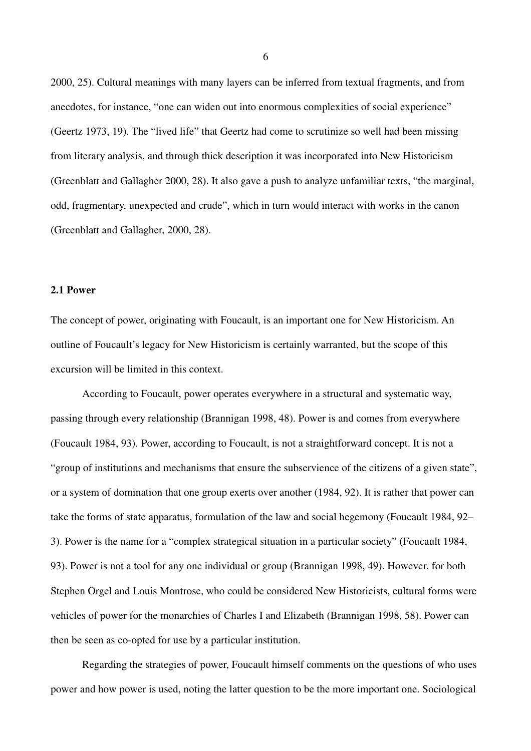2000, 25). Cultural meanings with many layers can be inferred from textual fragments, and from anecdotes, for instance, "one can widen out into enormous complexities of social experience" (Geertz 1973, 19). The "lived life" that Geertz had come to scrutinize so well had been missing from literary analysis, and through thick description it was incorporated into New Historicism (Greenblatt and Gallagher 2000, 28). It also gave a push to analyze unfamiliar texts, "the marginal, odd, fragmentary, unexpected and crude", which in turn would interact with works in the canon (Greenblatt and Gallagher, 2000, 28).

## **2.1 Power**

The concept of power, originating with Foucault, is an important one for New Historicism. An outline of Foucault's legacy for New Historicism is certainly warranted, but the scope of this excursion will be limited in this context.

According to Foucault, power operates everywhere in a structural and systematic way, passing through every relationship (Brannigan 1998, 48). Power is and comes from everywhere (Foucault 1984, 93). Power, according to Foucault, is not a straightforward concept. It is not a "group of institutions and mechanisms that ensure the subservience of the citizens of a given state", or a system of domination that one group exerts over another (1984, 92). It is rather that power can take the forms of state apparatus, formulation of the law and social hegemony (Foucault 1984, 92– 3). Power is the name for a "complex strategical situation in a particular society" (Foucault 1984, 93). Power is not a tool for any one individual or group (Brannigan 1998, 49). However, for both Stephen Orgel and Louis Montrose, who could be considered New Historicists, cultural forms were vehicles of power for the monarchies of Charles I and Elizabeth (Brannigan 1998, 58). Power can then be seen as co-opted for use by a particular institution.

Regarding the strategies of power, Foucault himself comments on the questions of who uses power and how power is used, noting the latter question to be the more important one. Sociological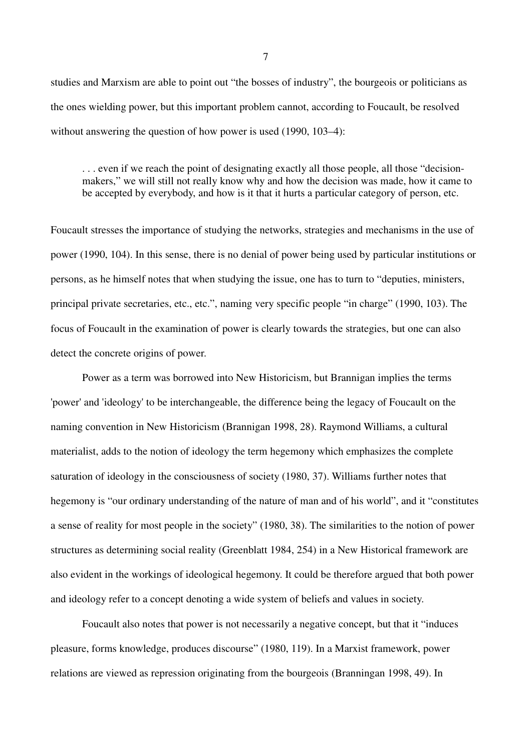studies and Marxism are able to point out "the bosses of industry", the bourgeois or politicians as the ones wielding power, but this important problem cannot, according to Foucault, be resolved without answering the question of how power is used (1990, 103–4):

. . . even if we reach the point of designating exactly all those people, all those "decisionmakers," we will still not really know why and how the decision was made, how it came to be accepted by everybody, and how is it that it hurts a particular category of person, etc.

Foucault stresses the importance of studying the networks, strategies and mechanisms in the use of power (1990, 104). In this sense, there is no denial of power being used by particular institutions or persons, as he himself notes that when studying the issue, one has to turn to "deputies, ministers, principal private secretaries, etc., etc.", naming very specific people "in charge" (1990, 103). The focus of Foucault in the examination of power is clearly towards the strategies, but one can also detect the concrete origins of power.

Power as a term was borrowed into New Historicism, but Brannigan implies the terms 'power' and 'ideology' to be interchangeable, the difference being the legacy of Foucault on the naming convention in New Historicism (Brannigan 1998, 28). Raymond Williams, a cultural materialist, adds to the notion of ideology the term hegemony which emphasizes the complete saturation of ideology in the consciousness of society (1980, 37). Williams further notes that hegemony is "our ordinary understanding of the nature of man and of his world", and it "constitutes a sense of reality for most people in the society" (1980, 38). The similarities to the notion of power structures as determining social reality (Greenblatt 1984, 254) in a New Historical framework are also evident in the workings of ideological hegemony. It could be therefore argued that both power and ideology refer to a concept denoting a wide system of beliefs and values in society.

Foucault also notes that power is not necessarily a negative concept, but that it "induces pleasure, forms knowledge, produces discourse" (1980, 119). In a Marxist framework, power relations are viewed as repression originating from the bourgeois (Branningan 1998, 49). In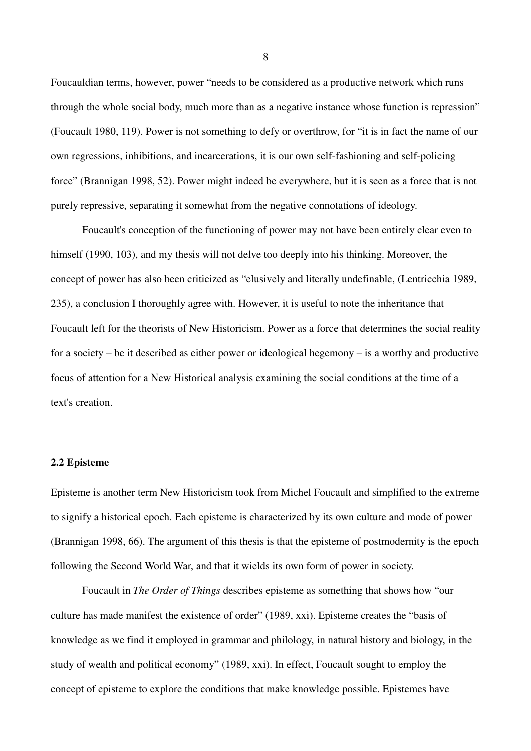Foucauldian terms, however, power "needs to be considered as a productive network which runs through the whole social body, much more than as a negative instance whose function is repression" (Foucault 1980, 119). Power is not something to defy or overthrow, for "it is in fact the name of our own regressions, inhibitions, and incarcerations, it is our own self-fashioning and self-policing force" (Brannigan 1998, 52). Power might indeed be everywhere, but it is seen as a force that is not purely repressive, separating it somewhat from the negative connotations of ideology.

Foucault's conception of the functioning of power may not have been entirely clear even to himself (1990, 103), and my thesis will not delve too deeply into his thinking. Moreover, the concept of power has also been criticized as "elusively and literally undefinable, (Lentricchia 1989, 235), a conclusion I thoroughly agree with. However, it is useful to note the inheritance that Foucault left for the theorists of New Historicism. Power as a force that determines the social reality for a society – be it described as either power or ideological hegemony – is a worthy and productive focus of attention for a New Historical analysis examining the social conditions at the time of a text's creation.

#### **2.2 Episteme**

Episteme is another term New Historicism took from Michel Foucault and simplified to the extreme to signify a historical epoch. Each episteme is characterized by its own culture and mode of power (Brannigan 1998, 66). The argument of this thesis is that the episteme of postmodernity is the epoch following the Second World War, and that it wields its own form of power in society.

Foucault in *The Order of Things* describes episteme as something that shows how "our culture has made manifest the existence of order" (1989, xxi). Episteme creates the "basis of knowledge as we find it employed in grammar and philology, in natural history and biology, in the study of wealth and political economy" (1989, xxi). In effect, Foucault sought to employ the concept of episteme to explore the conditions that make knowledge possible. Epistemes have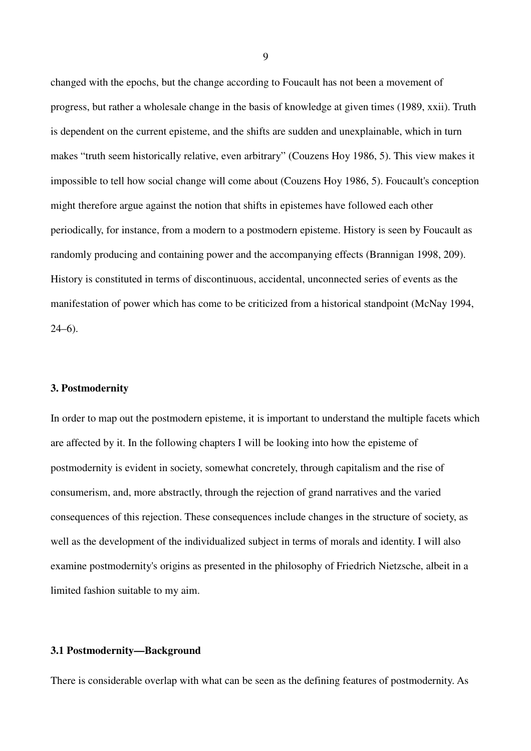changed with the epochs, but the change according to Foucault has not been a movement of progress, but rather a wholesale change in the basis of knowledge at given times (1989, xxii). Truth is dependent on the current episteme, and the shifts are sudden and unexplainable, which in turn makes "truth seem historically relative, even arbitrary" (Couzens Hoy 1986, 5). This view makes it impossible to tell how social change will come about (Couzens Hoy 1986, 5). Foucault's conception might therefore argue against the notion that shifts in epistemes have followed each other periodically, for instance, from a modern to a postmodern episteme. History is seen by Foucault as randomly producing and containing power and the accompanying effects (Brannigan 1998, 209). History is constituted in terms of discontinuous, accidental, unconnected series of events as the manifestation of power which has come to be criticized from a historical standpoint (McNay 1994,  $24-6$ ).

#### **3. Postmodernity**

In order to map out the postmodern episteme, it is important to understand the multiple facets which are affected by it. In the following chapters I will be looking into how the episteme of postmodernity is evident in society, somewhat concretely, through capitalism and the rise of consumerism, and, more abstractly, through the rejection of grand narratives and the varied consequences of this rejection. These consequences include changes in the structure of society, as well as the development of the individualized subject in terms of morals and identity. I will also examine postmodernity's origins as presented in the philosophy of Friedrich Nietzsche, albeit in a limited fashion suitable to my aim.

#### **3.1 Postmodernity—Background**

There is considerable overlap with what can be seen as the defining features of postmodernity. As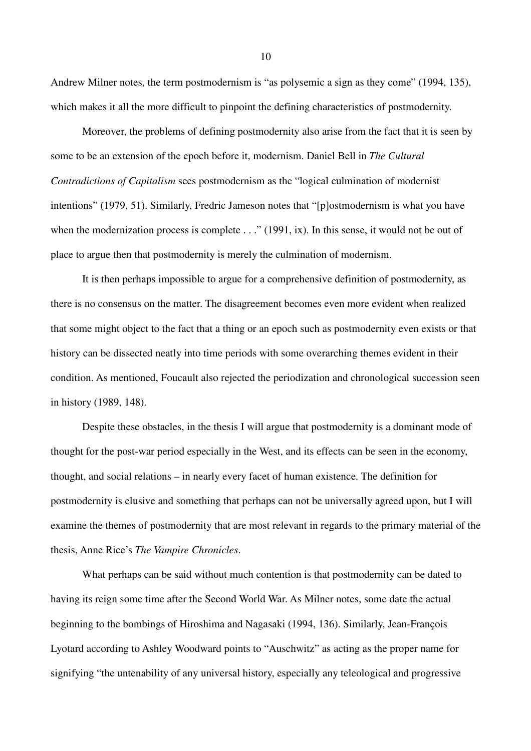Andrew Milner notes, the term postmodernism is "as polysemic a sign as they come" (1994, 135), which makes it all the more difficult to pinpoint the defining characteristics of postmodernity.

Moreover, the problems of defining postmodernity also arise from the fact that it is seen by some to be an extension of the epoch before it, modernism. Daniel Bell in *The Cultural Contradictions of Capitalism* sees postmodernism as the "logical culmination of modernist intentions" (1979, 51). Similarly, Fredric Jameson notes that "[p]ostmodernism is what you have when the modernization process is complete . . ." (1991, ix). In this sense, it would not be out of place to argue then that postmodernity is merely the culmination of modernism.

It is then perhaps impossible to argue for a comprehensive definition of postmodernity, as there is no consensus on the matter. The disagreement becomes even more evident when realized that some might object to the fact that a thing or an epoch such as postmodernity even exists or that history can be dissected neatly into time periods with some overarching themes evident in their condition. As mentioned, Foucault also rejected the periodization and chronological succession seen in history (1989, 148).

Despite these obstacles, in the thesis I will argue that postmodernity is a dominant mode of thought for the post-war period especially in the West, and its effects can be seen in the economy, thought, and social relations – in nearly every facet of human existence. The definition for postmodernity is elusive and something that perhaps can not be universally agreed upon, but I will examine the themes of postmodernity that are most relevant in regards to the primary material of the thesis, Anne Rice's *The Vampire Chronicles*.

What perhaps can be said without much contention is that postmodernity can be dated to having its reign some time after the Second World War. As Milner notes, some date the actual beginning to the bombings of Hiroshima and Nagasaki (1994, 136). Similarly, Jean-François Lyotard according to Ashley Woodward points to "Auschwitz" as acting as the proper name for signifying "the untenability of any universal history, especially any teleological and progressive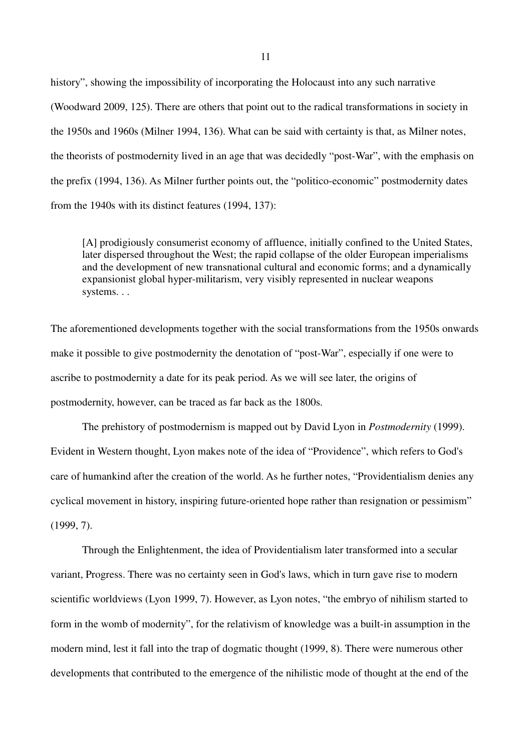history", showing the impossibility of incorporating the Holocaust into any such narrative (Woodward 2009, 125). There are others that point out to the radical transformations in society in the 1950s and 1960s (Milner 1994, 136). What can be said with certainty is that, as Milner notes, the theorists of postmodernity lived in an age that was decidedly "post-War", with the emphasis on the prefix (1994, 136). As Milner further points out, the "politico-economic" postmodernity dates from the 1940s with its distinct features (1994, 137):

[A] prodigiously consumerist economy of affluence, initially confined to the United States, later dispersed throughout the West; the rapid collapse of the older European imperialisms and the development of new transnational cultural and economic forms; and a dynamically expansionist global hyper-militarism, very visibly represented in nuclear weapons systems. . .

The aforementioned developments together with the social transformations from the 1950s onwards make it possible to give postmodernity the denotation of "post-War", especially if one were to ascribe to postmodernity a date for its peak period. As we will see later, the origins of postmodernity, however, can be traced as far back as the 1800s.

The prehistory of postmodernism is mapped out by David Lyon in *Postmodernity* (1999). Evident in Western thought, Lyon makes note of the idea of "Providence", which refers to God's care of humankind after the creation of the world. As he further notes, "Providentialism denies any cyclical movement in history, inspiring future-oriented hope rather than resignation or pessimism" (1999, 7).

Through the Enlightenment, the idea of Providentialism later transformed into a secular variant, Progress. There was no certainty seen in God's laws, which in turn gave rise to modern scientific worldviews (Lyon 1999, 7). However, as Lyon notes, "the embryo of nihilism started to form in the womb of modernity", for the relativism of knowledge was a built-in assumption in the modern mind, lest it fall into the trap of dogmatic thought (1999, 8). There were numerous other developments that contributed to the emergence of the nihilistic mode of thought at the end of the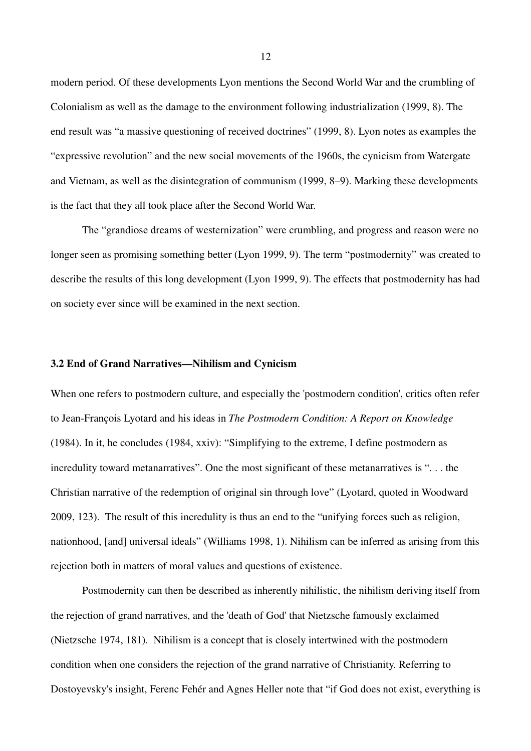modern period. Of these developments Lyon mentions the Second World War and the crumbling of Colonialism as well as the damage to the environment following industrialization (1999, 8). The end result was "a massive questioning of received doctrines" (1999, 8). Lyon notes as examples the "expressive revolution" and the new social movements of the 1960s, the cynicism from Watergate and Vietnam, as well as the disintegration of communism (1999, 8–9). Marking these developments is the fact that they all took place after the Second World War.

The "grandiose dreams of westernization" were crumbling, and progress and reason were no longer seen as promising something better (Lyon 1999, 9). The term "postmodernity" was created to describe the results of this long development (Lyon 1999, 9). The effects that postmodernity has had on society ever since will be examined in the next section.

## **3.2 End of Grand Narratives—Nihilism and Cynicism**

When one refers to postmodern culture, and especially the 'postmodern condition', critics often refer to Jean-François Lyotard and his ideas in *The Postmodern Condition: A Report on Knowledge*  (1984). In it, he concludes (1984, xxiv): "Simplifying to the extreme, I define postmodern as incredulity toward metanarratives". One the most significant of these metanarratives is ". . . the Christian narrative of the redemption of original sin through love" (Lyotard, quoted in Woodward 2009, 123). The result of this incredulity is thus an end to the "unifying forces such as religion, nationhood, [and] universal ideals" (Williams 1998, 1). Nihilism can be inferred as arising from this rejection both in matters of moral values and questions of existence.

Postmodernity can then be described as inherently nihilistic, the nihilism deriving itself from the rejection of grand narratives, and the 'death of God' that Nietzsche famously exclaimed (Nietzsche 1974, 181). Nihilism is a concept that is closely intertwined with the postmodern condition when one considers the rejection of the grand narrative of Christianity. Referring to Dostoyevsky's insight, Ferenc Fehér and Agnes Heller note that "if God does not exist, everything is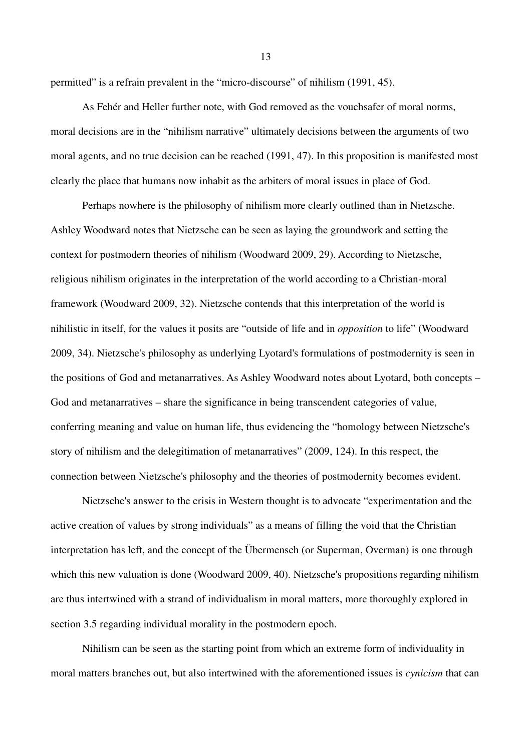permitted" is a refrain prevalent in the "micro-discourse" of nihilism (1991, 45).

As Fehér and Heller further note, with God removed as the vouchsafer of moral norms, moral decisions are in the "nihilism narrative" ultimately decisions between the arguments of two moral agents, and no true decision can be reached (1991, 47). In this proposition is manifested most clearly the place that humans now inhabit as the arbiters of moral issues in place of God.

Perhaps nowhere is the philosophy of nihilism more clearly outlined than in Nietzsche. Ashley Woodward notes that Nietzsche can be seen as laying the groundwork and setting the context for postmodern theories of nihilism (Woodward 2009, 29). According to Nietzsche, religious nihilism originates in the interpretation of the world according to a Christian-moral framework (Woodward 2009, 32). Nietzsche contends that this interpretation of the world is nihilistic in itself, for the values it posits are "outside of life and in *opposition* to life" (Woodward 2009, 34). Nietzsche's philosophy as underlying Lyotard's formulations of postmodernity is seen in the positions of God and metanarratives. As Ashley Woodward notes about Lyotard, both concepts – God and metanarratives – share the significance in being transcendent categories of value, conferring meaning and value on human life, thus evidencing the "homology between Nietzsche's story of nihilism and the delegitimation of metanarratives" (2009, 124). In this respect, the connection between Nietzsche's philosophy and the theories of postmodernity becomes evident.

Nietzsche's answer to the crisis in Western thought is to advocate "experimentation and the active creation of values by strong individuals" as a means of filling the void that the Christian interpretation has left, and the concept of the Übermensch (or Superman, Overman) is one through which this new valuation is done (Woodward 2009, 40). Nietzsche's propositions regarding nihilism are thus intertwined with a strand of individualism in moral matters, more thoroughly explored in section 3.5 regarding individual morality in the postmodern epoch.

Nihilism can be seen as the starting point from which an extreme form of individuality in moral matters branches out, but also intertwined with the aforementioned issues is *cynicism* that can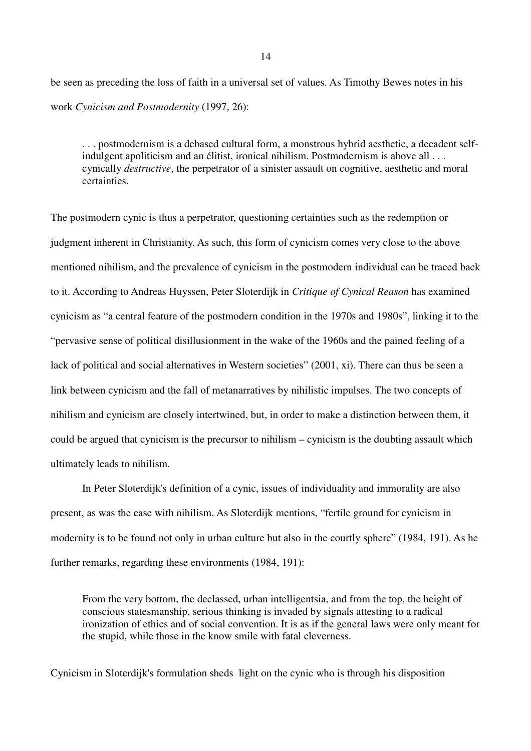be seen as preceding the loss of faith in a universal set of values. As Timothy Bewes notes in his work *Cynicism and Postmodernity* (1997, 26):

. . . postmodernism is a debased cultural form, a monstrous hybrid aesthetic, a decadent selfindulgent apoliticism and an élitist, ironical nihilism. Postmodernism is above all . . . cynically *destructive*, the perpetrator of a sinister assault on cognitive, aesthetic and moral certainties.

The postmodern cynic is thus a perpetrator, questioning certainties such as the redemption or judgment inherent in Christianity. As such, this form of cynicism comes very close to the above mentioned nihilism, and the prevalence of cynicism in the postmodern individual can be traced back to it. According to Andreas Huyssen, Peter Sloterdijk in *Critique of Cynical Reason* has examined cynicism as "a central feature of the postmodern condition in the 1970s and 1980s", linking it to the "pervasive sense of political disillusionment in the wake of the 1960s and the pained feeling of a lack of political and social alternatives in Western societies" (2001, xi). There can thus be seen a link between cynicism and the fall of metanarratives by nihilistic impulses. The two concepts of nihilism and cynicism are closely intertwined, but, in order to make a distinction between them, it could be argued that cynicism is the precursor to nihilism – cynicism is the doubting assault which ultimately leads to nihilism.

In Peter Sloterdijk's definition of a cynic, issues of individuality and immorality are also present, as was the case with nihilism. As Sloterdijk mentions, "fertile ground for cynicism in modernity is to be found not only in urban culture but also in the courtly sphere" (1984, 191). As he further remarks, regarding these environments (1984, 191):

From the very bottom, the declassed, urban intelligentsia, and from the top, the height of conscious statesmanship, serious thinking is invaded by signals attesting to a radical ironization of ethics and of social convention. It is as if the general laws were only meant for the stupid, while those in the know smile with fatal cleverness.

Cynicism in Sloterdijk's formulation sheds light on the cynic who is through his disposition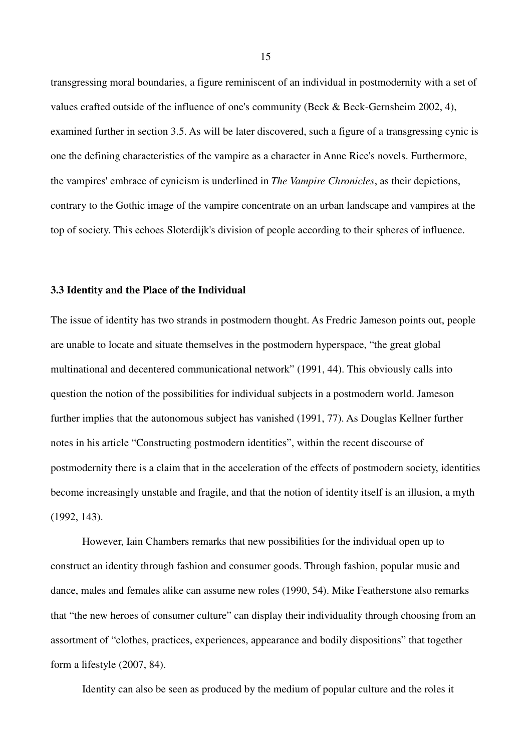transgressing moral boundaries, a figure reminiscent of an individual in postmodernity with a set of values crafted outside of the influence of one's community (Beck & Beck-Gernsheim 2002, 4), examined further in section 3.5. As will be later discovered, such a figure of a transgressing cynic is one the defining characteristics of the vampire as a character in Anne Rice's novels. Furthermore, the vampires' embrace of cynicism is underlined in *The Vampire Chronicles*, as their depictions, contrary to the Gothic image of the vampire concentrate on an urban landscape and vampires at the top of society. This echoes Sloterdijk's division of people according to their spheres of influence.

#### **3.3 Identity and the Place of the Individual**

The issue of identity has two strands in postmodern thought. As Fredric Jameson points out, people are unable to locate and situate themselves in the postmodern hyperspace, "the great global multinational and decentered communicational network" (1991, 44). This obviously calls into question the notion of the possibilities for individual subjects in a postmodern world. Jameson further implies that the autonomous subject has vanished (1991, 77). As Douglas Kellner further notes in his article "Constructing postmodern identities", within the recent discourse of postmodernity there is a claim that in the acceleration of the effects of postmodern society, identities become increasingly unstable and fragile, and that the notion of identity itself is an illusion, a myth (1992, 143).

However, Iain Chambers remarks that new possibilities for the individual open up to construct an identity through fashion and consumer goods. Through fashion, popular music and dance, males and females alike can assume new roles (1990, 54). Mike Featherstone also remarks that "the new heroes of consumer culture" can display their individuality through choosing from an assortment of "clothes, practices, experiences, appearance and bodily dispositions" that together form a lifestyle (2007, 84).

Identity can also be seen as produced by the medium of popular culture and the roles it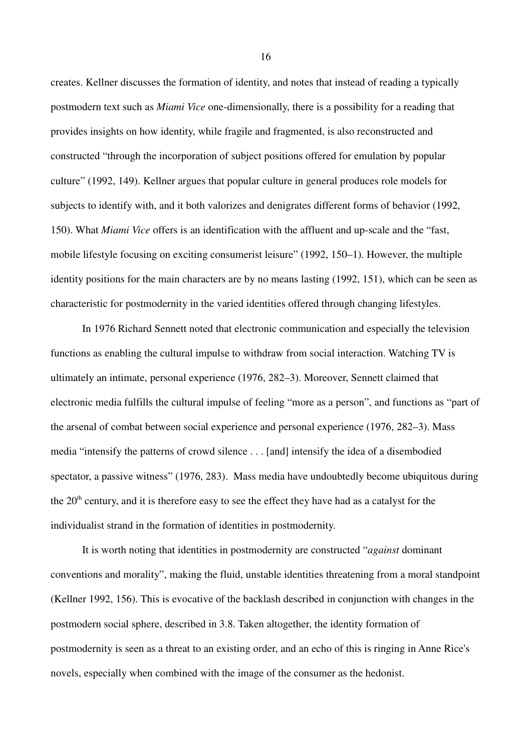creates. Kellner discusses the formation of identity, and notes that instead of reading a typically postmodern text such as *Miami Vice* one-dimensionally, there is a possibility for a reading that provides insights on how identity, while fragile and fragmented, is also reconstructed and constructed "through the incorporation of subject positions offered for emulation by popular culture" (1992, 149). Kellner argues that popular culture in general produces role models for subjects to identify with, and it both valorizes and denigrates different forms of behavior (1992, 150). What *Miami Vice* offers is an identification with the affluent and up-scale and the "fast, mobile lifestyle focusing on exciting consumerist leisure" (1992, 150–1). However, the multiple identity positions for the main characters are by no means lasting (1992, 151), which can be seen as characteristic for postmodernity in the varied identities offered through changing lifestyles.

In 1976 Richard Sennett noted that electronic communication and especially the television functions as enabling the cultural impulse to withdraw from social interaction. Watching TV is ultimately an intimate, personal experience (1976, 282–3). Moreover, Sennett claimed that electronic media fulfills the cultural impulse of feeling "more as a person", and functions as "part of the arsenal of combat between social experience and personal experience (1976, 282–3). Mass media "intensify the patterns of crowd silence . . . [and] intensify the idea of a disembodied spectator, a passive witness" (1976, 283). Mass media have undoubtedly become ubiquitous during the 20<sup>th</sup> century, and it is therefore easy to see the effect they have had as a catalyst for the individualist strand in the formation of identities in postmodernity.

It is worth noting that identities in postmodernity are constructed "*against* dominant conventions and morality", making the fluid, unstable identities threatening from a moral standpoint (Kellner 1992, 156). This is evocative of the backlash described in conjunction with changes in the postmodern social sphere, described in 3.8. Taken altogether, the identity formation of postmodernity is seen as a threat to an existing order, and an echo of this is ringing in Anne Rice's novels, especially when combined with the image of the consumer as the hedonist.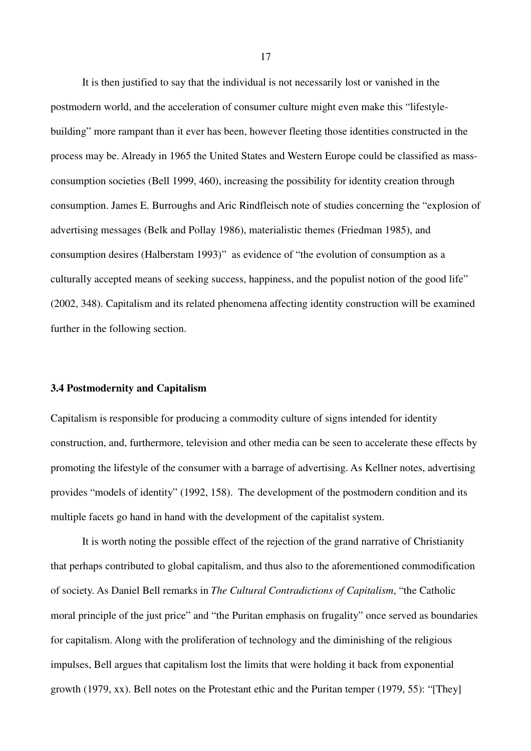It is then justified to say that the individual is not necessarily lost or vanished in the postmodern world, and the acceleration of consumer culture might even make this "lifestylebuilding" more rampant than it ever has been, however fleeting those identities constructed in the process may be. Already in 1965 the United States and Western Europe could be classified as massconsumption societies (Bell 1999, 460), increasing the possibility for identity creation through consumption. James E. Burroughs and Aric Rindfleisch note of studies concerning the "explosion of advertising messages (Belk and Pollay 1986), materialistic themes (Friedman 1985), and consumption desires (Halberstam 1993)" as evidence of "the evolution of consumption as a culturally accepted means of seeking success, happiness, and the populist notion of the good life" (2002, 348). Capitalism and its related phenomena affecting identity construction will be examined further in the following section.

#### **3.4 Postmodernity and Capitalism**

Capitalism is responsible for producing a commodity culture of signs intended for identity construction, and, furthermore, television and other media can be seen to accelerate these effects by promoting the lifestyle of the consumer with a barrage of advertising. As Kellner notes, advertising provides "models of identity" (1992, 158). The development of the postmodern condition and its multiple facets go hand in hand with the development of the capitalist system.

It is worth noting the possible effect of the rejection of the grand narrative of Christianity that perhaps contributed to global capitalism, and thus also to the aforementioned commodification of society. As Daniel Bell remarks in *The Cultural Contradictions of Capitalism*, "the Catholic moral principle of the just price" and "the Puritan emphasis on frugality" once served as boundaries for capitalism. Along with the proliferation of technology and the diminishing of the religious impulses, Bell argues that capitalism lost the limits that were holding it back from exponential growth (1979, xx). Bell notes on the Protestant ethic and the Puritan temper (1979, 55): "[They]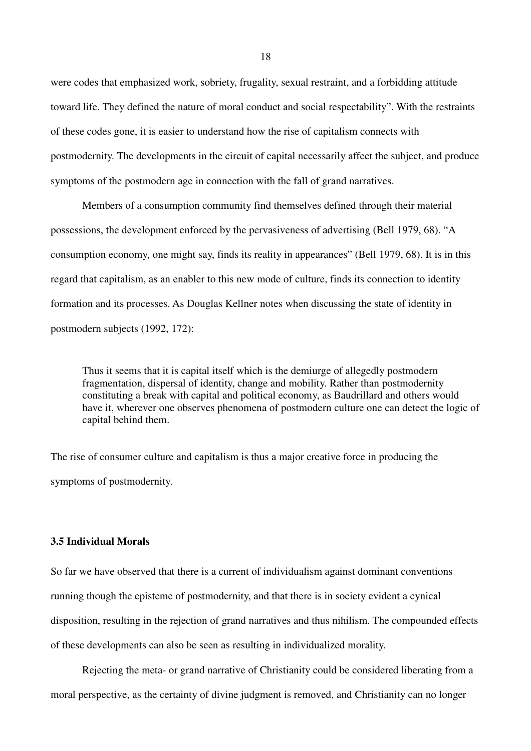were codes that emphasized work, sobriety, frugality, sexual restraint, and a forbidding attitude toward life. They defined the nature of moral conduct and social respectability". With the restraints of these codes gone, it is easier to understand how the rise of capitalism connects with postmodernity. The developments in the circuit of capital necessarily affect the subject, and produce symptoms of the postmodern age in connection with the fall of grand narratives.

Members of a consumption community find themselves defined through their material possessions, the development enforced by the pervasiveness of advertising (Bell 1979, 68). "A consumption economy, one might say, finds its reality in appearances" (Bell 1979, 68). It is in this regard that capitalism, as an enabler to this new mode of culture, finds its connection to identity formation and its processes. As Douglas Kellner notes when discussing the state of identity in postmodern subjects (1992, 172):

Thus it seems that it is capital itself which is the demiurge of allegedly postmodern fragmentation, dispersal of identity, change and mobility. Rather than postmodernity constituting a break with capital and political economy, as Baudrillard and others would have it, wherever one observes phenomena of postmodern culture one can detect the logic of capital behind them.

The rise of consumer culture and capitalism is thus a major creative force in producing the symptoms of postmodernity.

## **3.5 Individual Morals**

So far we have observed that there is a current of individualism against dominant conventions running though the episteme of postmodernity, and that there is in society evident a cynical disposition, resulting in the rejection of grand narratives and thus nihilism. The compounded effects of these developments can also be seen as resulting in individualized morality.

Rejecting the meta- or grand narrative of Christianity could be considered liberating from a moral perspective, as the certainty of divine judgment is removed, and Christianity can no longer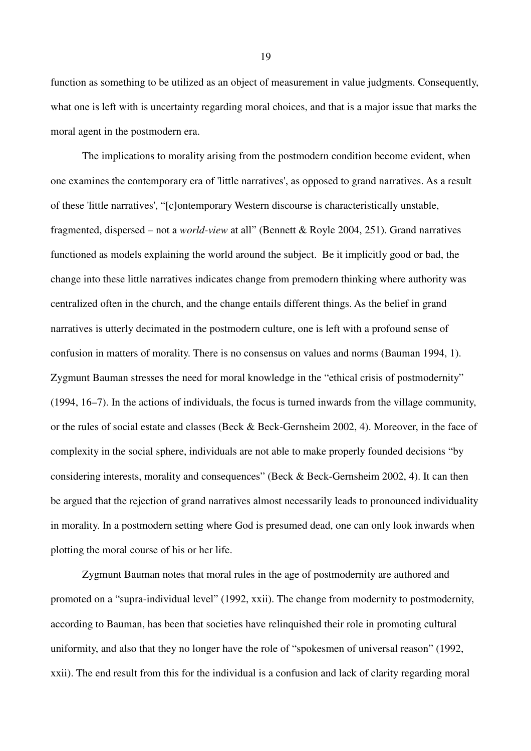function as something to be utilized as an object of measurement in value judgments. Consequently, what one is left with is uncertainty regarding moral choices, and that is a major issue that marks the moral agent in the postmodern era.

The implications to morality arising from the postmodern condition become evident, when one examines the contemporary era of 'little narratives', as opposed to grand narratives. As a result of these 'little narratives', "[c]ontemporary Western discourse is characteristically unstable, fragmented, dispersed – not a *world-view* at all" (Bennett & Royle 2004, 251). Grand narratives functioned as models explaining the world around the subject. Be it implicitly good or bad, the change into these little narratives indicates change from premodern thinking where authority was centralized often in the church, and the change entails different things. As the belief in grand narratives is utterly decimated in the postmodern culture, one is left with a profound sense of confusion in matters of morality. There is no consensus on values and norms (Bauman 1994, 1). Zygmunt Bauman stresses the need for moral knowledge in the "ethical crisis of postmodernity" (1994, 16–7). In the actions of individuals, the focus is turned inwards from the village community, or the rules of social estate and classes (Beck & Beck-Gernsheim 2002, 4). Moreover, in the face of complexity in the social sphere, individuals are not able to make properly founded decisions "by considering interests, morality and consequences" (Beck & Beck-Gernsheim 2002, 4). It can then be argued that the rejection of grand narratives almost necessarily leads to pronounced individuality in morality. In a postmodern setting where God is presumed dead, one can only look inwards when plotting the moral course of his or her life.

Zygmunt Bauman notes that moral rules in the age of postmodernity are authored and promoted on a "supra-individual level" (1992, xxii). The change from modernity to postmodernity, according to Bauman, has been that societies have relinquished their role in promoting cultural uniformity, and also that they no longer have the role of "spokesmen of universal reason" (1992, xxii). The end result from this for the individual is a confusion and lack of clarity regarding moral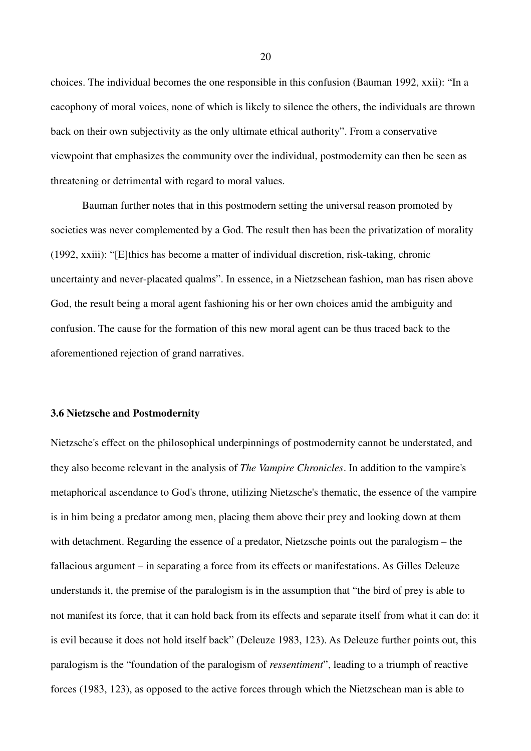choices. The individual becomes the one responsible in this confusion (Bauman 1992, xxii): "In a cacophony of moral voices, none of which is likely to silence the others, the individuals are thrown back on their own subjectivity as the only ultimate ethical authority". From a conservative viewpoint that emphasizes the community over the individual, postmodernity can then be seen as threatening or detrimental with regard to moral values.

Bauman further notes that in this postmodern setting the universal reason promoted by societies was never complemented by a God. The result then has been the privatization of morality (1992, xxiii): "[E]thics has become a matter of individual discretion, risk-taking, chronic uncertainty and never-placated qualms". In essence, in a Nietzschean fashion, man has risen above God, the result being a moral agent fashioning his or her own choices amid the ambiguity and confusion. The cause for the formation of this new moral agent can be thus traced back to the aforementioned rejection of grand narratives.

#### **3.6 Nietzsche and Postmodernity**

Nietzsche's effect on the philosophical underpinnings of postmodernity cannot be understated, and they also become relevant in the analysis of *The Vampire Chronicles*. In addition to the vampire's metaphorical ascendance to God's throne, utilizing Nietzsche's thematic, the essence of the vampire is in him being a predator among men, placing them above their prey and looking down at them with detachment. Regarding the essence of a predator, Nietzsche points out the paralogism – the fallacious argument – in separating a force from its effects or manifestations. As Gilles Deleuze understands it, the premise of the paralogism is in the assumption that "the bird of prey is able to not manifest its force, that it can hold back from its effects and separate itself from what it can do: it is evil because it does not hold itself back" (Deleuze 1983, 123). As Deleuze further points out, this paralogism is the "foundation of the paralogism of *ressentiment*", leading to a triumph of reactive forces (1983, 123), as opposed to the active forces through which the Nietzschean man is able to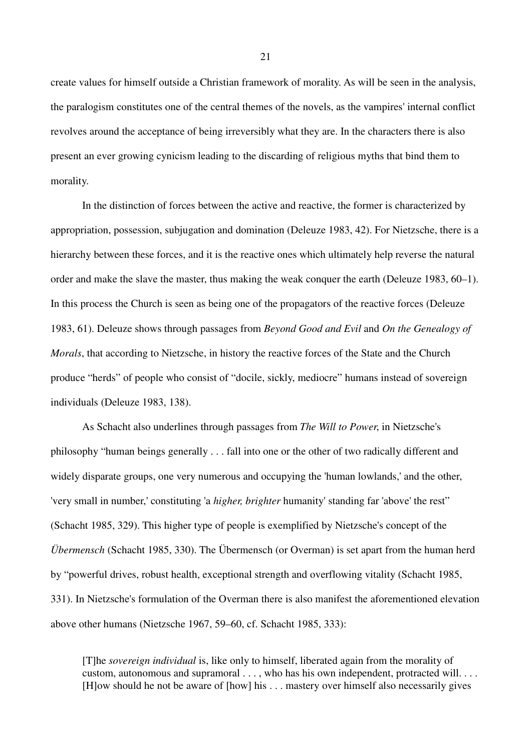create values for himself outside a Christian framework of morality. As will be seen in the analysis, the paralogism constitutes one of the central themes of the novels, as the vampires' internal conflict revolves around the acceptance of being irreversibly what they are. In the characters there is also present an ever growing cynicism leading to the discarding of religious myths that bind them to morality.

In the distinction of forces between the active and reactive, the former is characterized by appropriation, possession, subjugation and domination (Deleuze 1983, 42). For Nietzsche, there is a hierarchy between these forces, and it is the reactive ones which ultimately help reverse the natural order and make the slave the master, thus making the weak conquer the earth (Deleuze 1983, 60–1). In this process the Church is seen as being one of the propagators of the reactive forces (Deleuze 1983, 61). Deleuze shows through passages from *Beyond Good and Evil* and *On the Genealogy of Morals*, that according to Nietzsche, in history the reactive forces of the State and the Church produce "herds" of people who consist of "docile, sickly, mediocre" humans instead of sovereign individuals (Deleuze 1983, 138).

As Schacht also underlines through passages from *The Will to Power*, in Nietzsche's philosophy "human beings generally . . . fall into one or the other of two radically different and widely disparate groups, one very numerous and occupying the 'human lowlands,' and the other, 'very small in number,' constituting 'a *higher, brighter* humanity' standing far 'above' the rest" (Schacht 1985, 329). This higher type of people is exemplified by Nietzsche's concept of the *Übermensch* (Schacht 1985, 330). The Übermensch (or Overman) is set apart from the human herd by "powerful drives, robust health, exceptional strength and overflowing vitality (Schacht 1985, 331). In Nietzsche's formulation of the Overman there is also manifest the aforementioned elevation above other humans (Nietzsche 1967, 59–60, cf. Schacht 1985, 333):

[T]he *sovereign individual* is, like only to himself, liberated again from the morality of custom, autonomous and supramoral . . . , who has his own independent, protracted will. . . . [H]ow should he not be aware of [how] his . . . mastery over himself also necessarily gives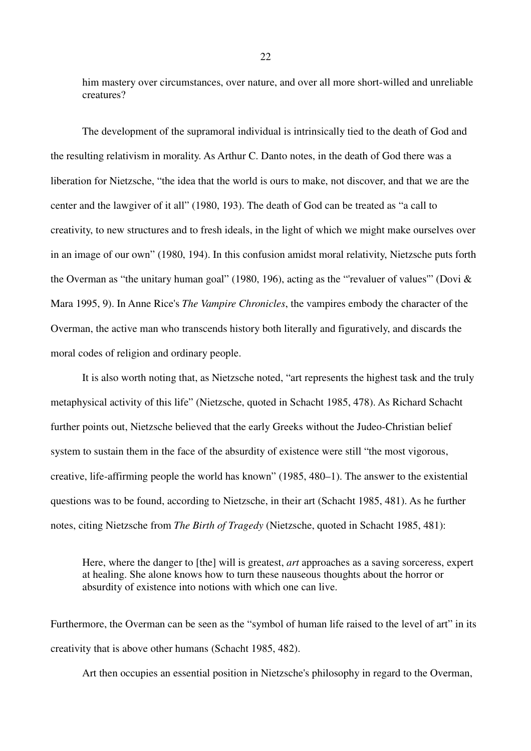him mastery over circumstances, over nature, and over all more short-willed and unreliable creatures?

The development of the supramoral individual is intrinsically tied to the death of God and the resulting relativism in morality. As Arthur C. Danto notes, in the death of God there was a liberation for Nietzsche, "the idea that the world is ours to make, not discover, and that we are the center and the lawgiver of it all" (1980, 193). The death of God can be treated as "a call to creativity, to new structures and to fresh ideals, in the light of which we might make ourselves over in an image of our own" (1980, 194). In this confusion amidst moral relativity, Nietzsche puts forth the Overman as "the unitary human goal" (1980, 196), acting as the "'revaluer of values'" (Dovi & Mara 1995, 9). In Anne Rice's *The Vampire Chronicles*, the vampires embody the character of the Overman, the active man who transcends history both literally and figuratively, and discards the moral codes of religion and ordinary people.

It is also worth noting that, as Nietzsche noted, "art represents the highest task and the truly metaphysical activity of this life" (Nietzsche, quoted in Schacht 1985, 478). As Richard Schacht further points out, Nietzsche believed that the early Greeks without the Judeo-Christian belief system to sustain them in the face of the absurdity of existence were still "the most vigorous, creative, life-affirming people the world has known" (1985, 480–1). The answer to the existential questions was to be found, according to Nietzsche, in their art (Schacht 1985, 481). As he further notes, citing Nietzsche from *The Birth of Tragedy* (Nietzsche, quoted in Schacht 1985, 481):

Here, where the danger to [the] will is greatest, *art* approaches as a saving sorceress, expert at healing. She alone knows how to turn these nauseous thoughts about the horror or absurdity of existence into notions with which one can live.

Furthermore, the Overman can be seen as the "symbol of human life raised to the level of art" in its creativity that is above other humans (Schacht 1985, 482).

Art then occupies an essential position in Nietzsche's philosophy in regard to the Overman,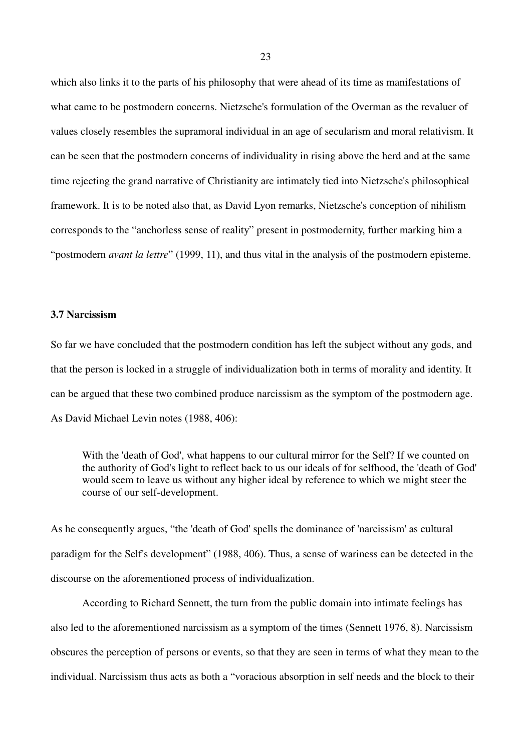which also links it to the parts of his philosophy that were ahead of its time as manifestations of what came to be postmodern concerns. Nietzsche's formulation of the Overman as the revaluer of values closely resembles the supramoral individual in an age of secularism and moral relativism. It can be seen that the postmodern concerns of individuality in rising above the herd and at the same time rejecting the grand narrative of Christianity are intimately tied into Nietzsche's philosophical framework. It is to be noted also that, as David Lyon remarks, Nietzsche's conception of nihilism corresponds to the "anchorless sense of reality" present in postmodernity, further marking him a "postmodern *avant la lettre*" (1999, 11), and thus vital in the analysis of the postmodern episteme.

#### **3.7 Narcissism**

So far we have concluded that the postmodern condition has left the subject without any gods, and that the person is locked in a struggle of individualization both in terms of morality and identity. It can be argued that these two combined produce narcissism as the symptom of the postmodern age. As David Michael Levin notes (1988, 406):

With the 'death of God', what happens to our cultural mirror for the Self? If we counted on the authority of God's light to reflect back to us our ideals of for selfhood, the 'death of God' would seem to leave us without any higher ideal by reference to which we might steer the course of our self-development.

As he consequently argues, "the 'death of God' spells the dominance of 'narcissism' as cultural paradigm for the Self's development" (1988, 406). Thus, a sense of wariness can be detected in the discourse on the aforementioned process of individualization.

According to Richard Sennett, the turn from the public domain into intimate feelings has also led to the aforementioned narcissism as a symptom of the times (Sennett 1976, 8). Narcissism obscures the perception of persons or events, so that they are seen in terms of what they mean to the individual. Narcissism thus acts as both a "voracious absorption in self needs and the block to their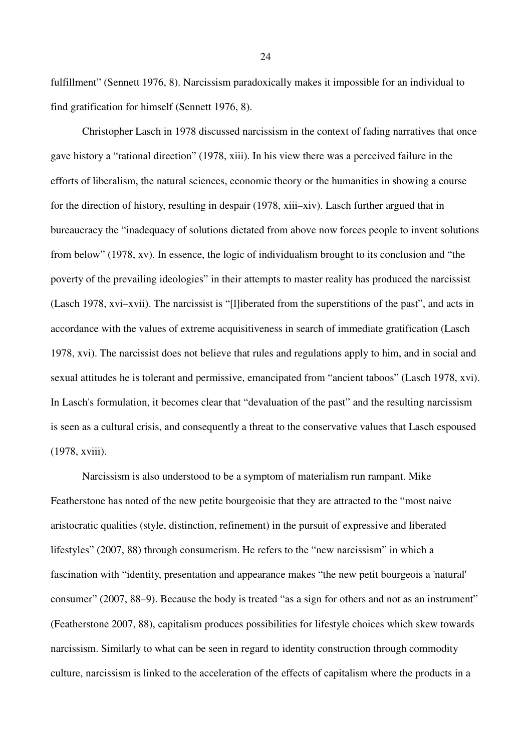fulfillment" (Sennett 1976, 8). Narcissism paradoxically makes it impossible for an individual to find gratification for himself (Sennett 1976, 8).

Christopher Lasch in 1978 discussed narcissism in the context of fading narratives that once gave history a "rational direction" (1978, xiii). In his view there was a perceived failure in the efforts of liberalism, the natural sciences, economic theory or the humanities in showing a course for the direction of history, resulting in despair (1978, xiii–xiv). Lasch further argued that in bureaucracy the "inadequacy of solutions dictated from above now forces people to invent solutions from below" (1978, xv). In essence, the logic of individualism brought to its conclusion and "the poverty of the prevailing ideologies" in their attempts to master reality has produced the narcissist (Lasch 1978, xvi–xvii). The narcissist is "[l]iberated from the superstitions of the past", and acts in accordance with the values of extreme acquisitiveness in search of immediate gratification (Lasch 1978, xvi). The narcissist does not believe that rules and regulations apply to him, and in social and sexual attitudes he is tolerant and permissive, emancipated from "ancient taboos" (Lasch 1978, xvi). In Lasch's formulation, it becomes clear that "devaluation of the past" and the resulting narcissism is seen as a cultural crisis, and consequently a threat to the conservative values that Lasch espoused (1978, xviii).

Narcissism is also understood to be a symptom of materialism run rampant. Mike Featherstone has noted of the new petite bourgeoisie that they are attracted to the "most naive aristocratic qualities (style, distinction, refinement) in the pursuit of expressive and liberated lifestyles" (2007, 88) through consumerism. He refers to the "new narcissism" in which a fascination with "identity, presentation and appearance makes "the new petit bourgeois a 'natural' consumer" (2007, 88–9). Because the body is treated "as a sign for others and not as an instrument" (Featherstone 2007, 88), capitalism produces possibilities for lifestyle choices which skew towards narcissism. Similarly to what can be seen in regard to identity construction through commodity culture, narcissism is linked to the acceleration of the effects of capitalism where the products in a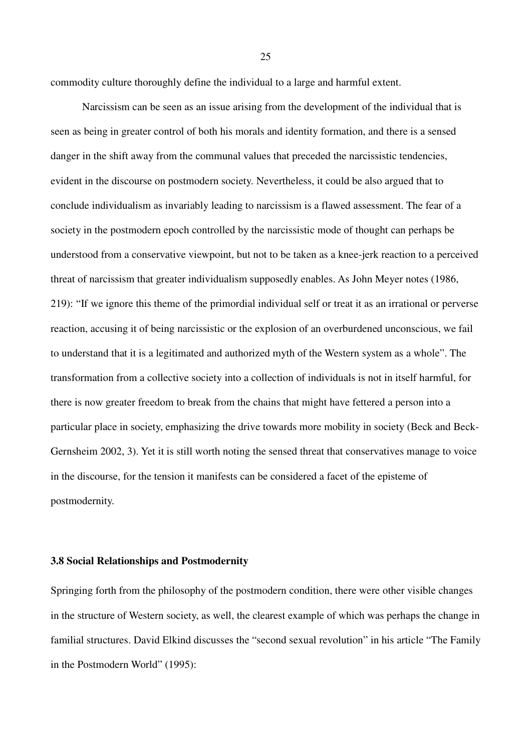commodity culture thoroughly define the individual to a large and harmful extent.

Narcissism can be seen as an issue arising from the development of the individual that is seen as being in greater control of both his morals and identity formation, and there is a sensed danger in the shift away from the communal values that preceded the narcissistic tendencies, evident in the discourse on postmodern society. Nevertheless, it could be also argued that to conclude individualism as invariably leading to narcissism is a flawed assessment. The fear of a society in the postmodern epoch controlled by the narcissistic mode of thought can perhaps be understood from a conservative viewpoint, but not to be taken as a knee-jerk reaction to a perceived threat of narcissism that greater individualism supposedly enables. As John Meyer notes (1986, 219): "If we ignore this theme of the primordial individual self or treat it as an irrational or perverse reaction, accusing it of being narcissistic or the explosion of an overburdened unconscious, we fail to understand that it is a legitimated and authorized myth of the Western system as a whole". The transformation from a collective society into a collection of individuals is not in itself harmful, for there is now greater freedom to break from the chains that might have fettered a person into a particular place in society, emphasizing the drive towards more mobility in society (Beck and Beck-Gernsheim 2002, 3). Yet it is still worth noting the sensed threat that conservatives manage to voice in the discourse, for the tension it manifests can be considered a facet of the episteme of postmodernity.

#### **3.8 Social Relationships and Postmodernity**

Springing forth from the philosophy of the postmodern condition, there were other visible changes in the structure of Western society, as well, the clearest example of which was perhaps the change in familial structures. David Elkind discusses the "second sexual revolution" in his article "The Family in the Postmodern World" (1995):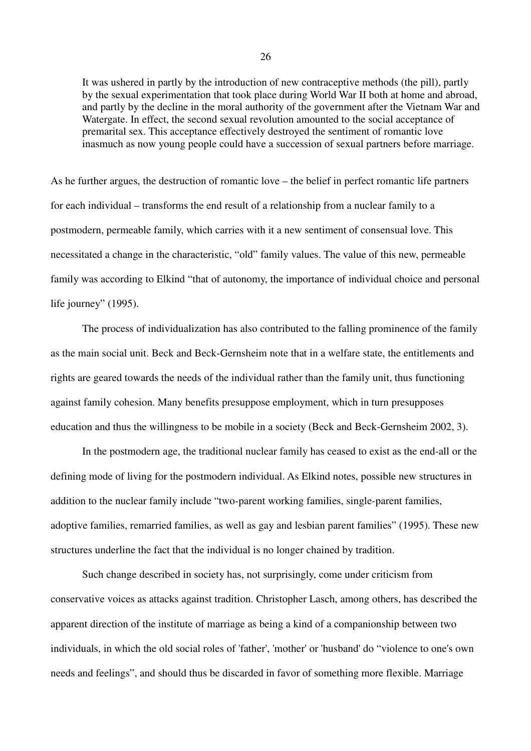It was ushered in partly by the introduction of new contraceptive methods (the pill), partly by the sexual experimentation that took place during World War II both at home and abroad, and partly by the decline in the moral authority of the government after the Vietnam War and Watergate. In effect, the second sexual revolution amounted to the social acceptance of premarital sex. This acceptance effectively destroyed the sentiment of romantic love inasmuch as now young people could have a succession of sexual partners before marriage.

As he further argues, the destruction of romantic love – the belief in perfect romantic life partners for each individual – transforms the end result of a relationship from a nuclear family to a postmodern, permeable family, which carries with it a new sentiment of consensual love. This necessitated a change in the characteristic, "old" family values. The value of this new, permeable family was according to Elkind "that of autonomy, the importance of individual choice and personal life journey" (1995).

The process of individualization has also contributed to the falling prominence of the family as the main social unit. Beck and Beck-Gernsheim note that in a welfare state, the entitlements and rights are geared towards the needs of the individual rather than the family unit, thus functioning against family cohesion. Many benefits presuppose employment, which in turn presupposes education and thus the willingness to be mobile in a society (Beck and Beck-Gernsheim 2002, 3).

In the postmodern age, the traditional nuclear family has ceased to exist as the end-all or the defining mode of living for the postmodern individual. As Elkind notes, possible new structures in addition to the nuclear family include "two-parent working families, single-parent families, adoptive families, remarried families, as well as gay and lesbian parent families" (1995). These new structures underline the fact that the individual is no longer chained by tradition.

Such change described in society has, not surprisingly, come under criticism from conservative voices as attacks against tradition. Christopher Lasch, among others, has described the apparent direction of the institute of marriage as being a kind of a companionship between two individuals, in which the old social roles of 'father', 'mother' or 'husband' do "violence to one's own needs and feelings", and should thus be discarded in favor of something more flexible. Marriage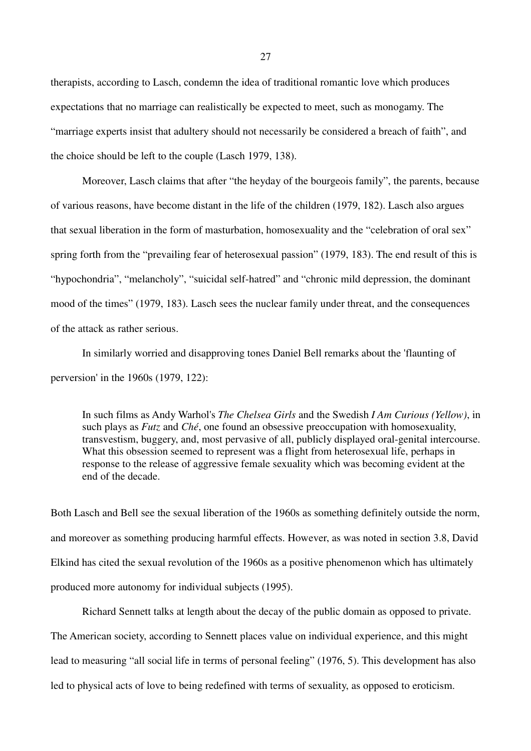therapists, according to Lasch, condemn the idea of traditional romantic love which produces expectations that no marriage can realistically be expected to meet, such as monogamy. The "marriage experts insist that adultery should not necessarily be considered a breach of faith", and the choice should be left to the couple (Lasch 1979, 138).

Moreover, Lasch claims that after "the heyday of the bourgeois family", the parents, because of various reasons, have become distant in the life of the children (1979, 182). Lasch also argues that sexual liberation in the form of masturbation, homosexuality and the "celebration of oral sex" spring forth from the "prevailing fear of heterosexual passion" (1979, 183). The end result of this is "hypochondria", "melancholy", "suicidal self-hatred" and "chronic mild depression, the dominant mood of the times" (1979, 183). Lasch sees the nuclear family under threat, and the consequences of the attack as rather serious.

In similarly worried and disapproving tones Daniel Bell remarks about the 'flaunting of perversion' in the 1960s (1979, 122):

In such films as Andy Warhol's *The Chelsea Girls* and the Swedish *I Am Curious (Yellow)*, in such plays as *Futz* and *Ché*, one found an obsessive preoccupation with homosexuality, transvestism, buggery, and, most pervasive of all, publicly displayed oral-genital intercourse. What this obsession seemed to represent was a flight from heterosexual life, perhaps in response to the release of aggressive female sexuality which was becoming evident at the end of the decade.

Both Lasch and Bell see the sexual liberation of the 1960s as something definitely outside the norm, and moreover as something producing harmful effects. However, as was noted in section 3.8, David Elkind has cited the sexual revolution of the 1960s as a positive phenomenon which has ultimately produced more autonomy for individual subjects (1995).

Richard Sennett talks at length about the decay of the public domain as opposed to private. The American society, according to Sennett places value on individual experience, and this might lead to measuring "all social life in terms of personal feeling" (1976, 5). This development has also led to physical acts of love to being redefined with terms of sexuality, as opposed to eroticism.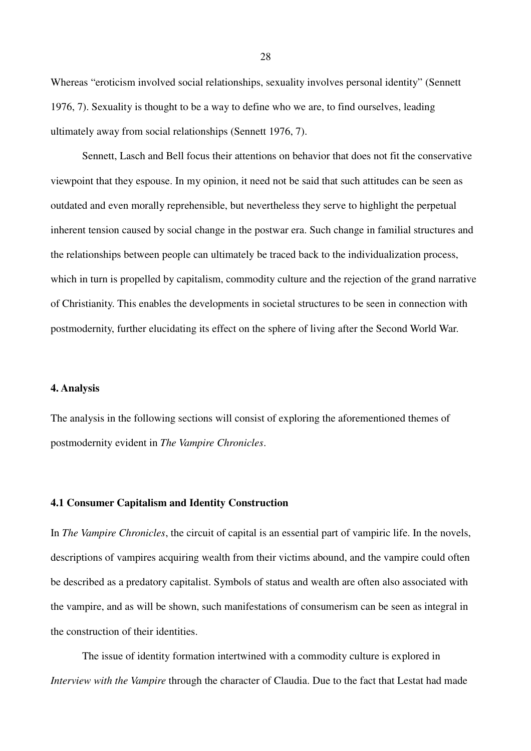Whereas "eroticism involved social relationships, sexuality involves personal identity" (Sennett 1976, 7). Sexuality is thought to be a way to define who we are, to find ourselves, leading ultimately away from social relationships (Sennett 1976, 7).

Sennett, Lasch and Bell focus their attentions on behavior that does not fit the conservative viewpoint that they espouse. In my opinion, it need not be said that such attitudes can be seen as outdated and even morally reprehensible, but nevertheless they serve to highlight the perpetual inherent tension caused by social change in the postwar era. Such change in familial structures and the relationships between people can ultimately be traced back to the individualization process, which in turn is propelled by capitalism, commodity culture and the rejection of the grand narrative of Christianity. This enables the developments in societal structures to be seen in connection with postmodernity, further elucidating its effect on the sphere of living after the Second World War.

#### **4. Analysis**

The analysis in the following sections will consist of exploring the aforementioned themes of postmodernity evident in *The Vampire Chronicles*.

## **4.1 Consumer Capitalism and Identity Construction**

In *The Vampire Chronicles*, the circuit of capital is an essential part of vampiric life. In the novels, descriptions of vampires acquiring wealth from their victims abound, and the vampire could often be described as a predatory capitalist. Symbols of status and wealth are often also associated with the vampire, and as will be shown, such manifestations of consumerism can be seen as integral in the construction of their identities.

The issue of identity formation intertwined with a commodity culture is explored in *Interview with the Vampire* through the character of Claudia. Due to the fact that Lestat had made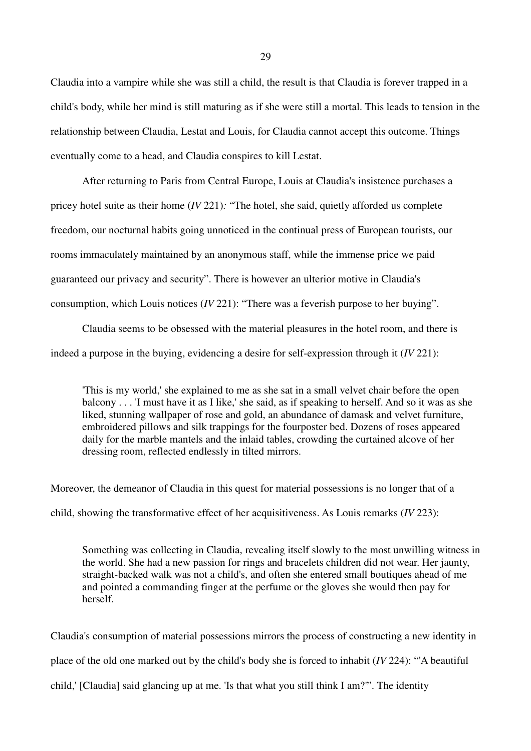Claudia into a vampire while she was still a child, the result is that Claudia is forever trapped in a child's body, while her mind is still maturing as if she were still a mortal. This leads to tension in the relationship between Claudia, Lestat and Louis, for Claudia cannot accept this outcome. Things eventually come to a head, and Claudia conspires to kill Lestat.

After returning to Paris from Central Europe, Louis at Claudia's insistence purchases a pricey hotel suite as their home (*IV* 221)*:* "The hotel, she said, quietly afforded us complete freedom, our nocturnal habits going unnoticed in the continual press of European tourists, our rooms immaculately maintained by an anonymous staff, while the immense price we paid guaranteed our privacy and security". There is however an ulterior motive in Claudia's consumption, which Louis notices (*IV* 221): "There was a feverish purpose to her buying".

Claudia seems to be obsessed with the material pleasures in the hotel room, and there is indeed a purpose in the buying, evidencing a desire for self-expression through it (*IV* 221):

'This is my world,' she explained to me as she sat in a small velvet chair before the open balcony . . . 'I must have it as I like,' she said, as if speaking to herself. And so it was as she liked, stunning wallpaper of rose and gold, an abundance of damask and velvet furniture, embroidered pillows and silk trappings for the fourposter bed. Dozens of roses appeared daily for the marble mantels and the inlaid tables, crowding the curtained alcove of her dressing room, reflected endlessly in tilted mirrors.

Moreover, the demeanor of Claudia in this quest for material possessions is no longer that of a child, showing the transformative effect of her acquisitiveness. As Louis remarks (*IV* 223):

Something was collecting in Claudia, revealing itself slowly to the most unwilling witness in the world. She had a new passion for rings and bracelets children did not wear. Her jaunty, straight-backed walk was not a child's, and often she entered small boutiques ahead of me and pointed a commanding finger at the perfume or the gloves she would then pay for herself.

Claudia's consumption of material possessions mirrors the process of constructing a new identity in place of the old one marked out by the child's body she is forced to inhabit (*IV* 224): "'A beautiful child,' [Claudia] said glancing up at me. 'Is that what you still think I am?'". The identity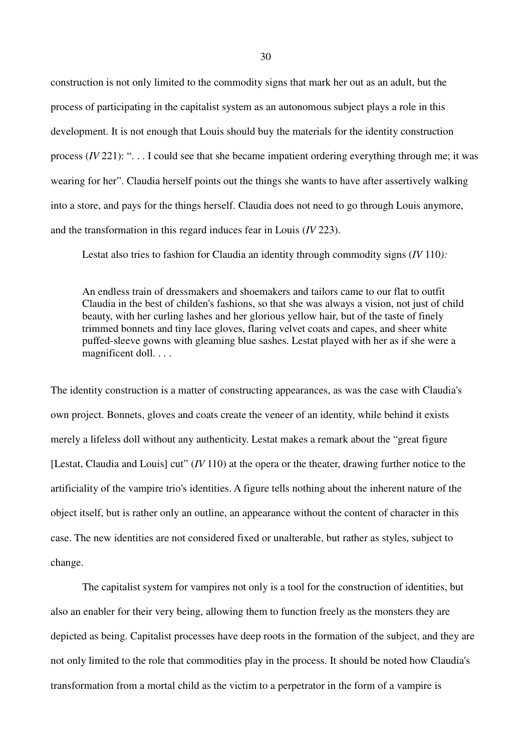construction is not only limited to the commodity signs that mark her out as an adult, but the process of participating in the capitalist system as an autonomous subject plays a role in this development. It is not enough that Louis should buy the materials for the identity construction process (*IV* 221): ". . . I could see that she became impatient ordering everything through me; it was wearing for her". Claudia herself points out the things she wants to have after assertively walking into a store, and pays for the things herself. Claudia does not need to go through Louis anymore, and the transformation in this regard induces fear in Louis (*IV* 223).

Lestat also tries to fashion for Claudia an identity through commodity signs (*IV* 110*):*

An endless train of dressmakers and shoemakers and tailors came to our flat to outfit Claudia in the best of childen's fashions, so that she was always a vision, not just of child beauty, with her curling lashes and her glorious yellow hair, but of the taste of finely trimmed bonnets and tiny lace gloves, flaring velvet coats and capes, and sheer white puffed-sleeve gowns with gleaming blue sashes. Lestat played with her as if she were a magnificent doll. . . .

The identity construction is a matter of constructing appearances, as was the case with Claudia's own project. Bonnets, gloves and coats create the veneer of an identity, while behind it exists merely a lifeless doll without any authenticity. Lestat makes a remark about the "great figure [Lestat, Claudia and Louis] cut" (*IV* 110) at the opera or the theater, drawing further notice to the artificiality of the vampire trio's identities. A figure tells nothing about the inherent nature of the object itself, but is rather only an outline, an appearance without the content of character in this case. The new identities are not considered fixed or unalterable, but rather as styles, subject to change.

The capitalist system for vampires not only is a tool for the construction of identities, but also an enabler for their very being, allowing them to function freely as the monsters they are depicted as being. Capitalist processes have deep roots in the formation of the subject, and they are not only limited to the role that commodities play in the process. It should be noted how Claudia's transformation from a mortal child as the victim to a perpetrator in the form of a vampire is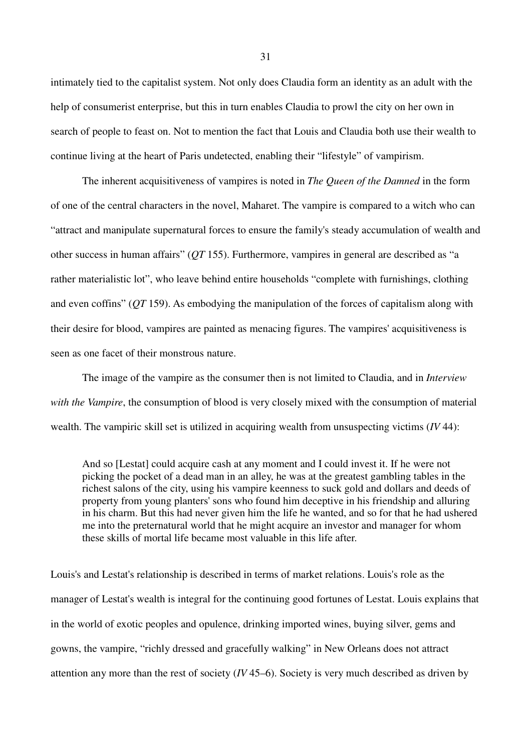intimately tied to the capitalist system. Not only does Claudia form an identity as an adult with the help of consumerist enterprise, but this in turn enables Claudia to prowl the city on her own in search of people to feast on. Not to mention the fact that Louis and Claudia both use their wealth to continue living at the heart of Paris undetected, enabling their "lifestyle" of vampirism.

The inherent acquisitiveness of vampires is noted in *The Queen of the Damned* in the form of one of the central characters in the novel, Maharet. The vampire is compared to a witch who can "attract and manipulate supernatural forces to ensure the family's steady accumulation of wealth and other success in human affairs" (*QT* 155). Furthermore, vampires in general are described as "a rather materialistic lot", who leave behind entire households "complete with furnishings, clothing and even coffins" (*QT* 159). As embodying the manipulation of the forces of capitalism along with their desire for blood, vampires are painted as menacing figures. The vampires' acquisitiveness is seen as one facet of their monstrous nature.

The image of the vampire as the consumer then is not limited to Claudia, and in *Interview with the Vampire*, the consumption of blood is very closely mixed with the consumption of material wealth. The vampiric skill set is utilized in acquiring wealth from unsuspecting victims (*IV* 44):

And so [Lestat] could acquire cash at any moment and I could invest it. If he were not picking the pocket of a dead man in an alley, he was at the greatest gambling tables in the richest salons of the city, using his vampire keenness to suck gold and dollars and deeds of property from young planters' sons who found him deceptive in his friendship and alluring in his charm. But this had never given him the life he wanted, and so for that he had ushered me into the preternatural world that he might acquire an investor and manager for whom these skills of mortal life became most valuable in this life after.

Louis's and Lestat's relationship is described in terms of market relations. Louis's role as the manager of Lestat's wealth is integral for the continuing good fortunes of Lestat. Louis explains that in the world of exotic peoples and opulence, drinking imported wines, buying silver, gems and gowns, the vampire, "richly dressed and gracefully walking" in New Orleans does not attract attention any more than the rest of society (*IV* 45–6). Society is very much described as driven by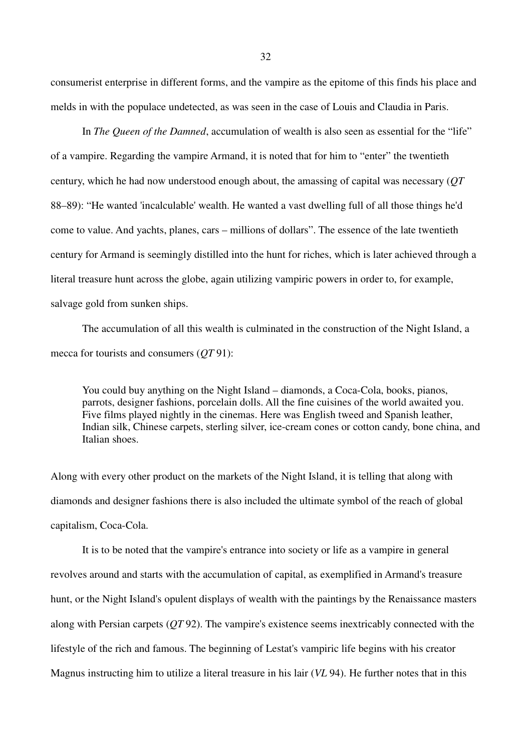consumerist enterprise in different forms, and the vampire as the epitome of this finds his place and melds in with the populace undetected, as was seen in the case of Louis and Claudia in Paris.

In *The Queen of the Damned*, accumulation of wealth is also seen as essential for the "life" of a vampire. Regarding the vampire Armand, it is noted that for him to "enter" the twentieth century, which he had now understood enough about, the amassing of capital was necessary (*QT*  88–89): "He wanted 'incalculable' wealth. He wanted a vast dwelling full of all those things he'd come to value. And yachts, planes, cars – millions of dollars". The essence of the late twentieth century for Armand is seemingly distilled into the hunt for riches, which is later achieved through a literal treasure hunt across the globe, again utilizing vampiric powers in order to, for example, salvage gold from sunken ships.

The accumulation of all this wealth is culminated in the construction of the Night Island, a mecca for tourists and consumers (*QT* 91):

You could buy anything on the Night Island – diamonds, a Coca-Cola, books, pianos, parrots, designer fashions, porcelain dolls. All the fine cuisines of the world awaited you. Five films played nightly in the cinemas. Here was English tweed and Spanish leather, Indian silk, Chinese carpets, sterling silver, ice-cream cones or cotton candy, bone china, and Italian shoes.

Along with every other product on the markets of the Night Island, it is telling that along with diamonds and designer fashions there is also included the ultimate symbol of the reach of global capitalism, Coca-Cola.

It is to be noted that the vampire's entrance into society or life as a vampire in general revolves around and starts with the accumulation of capital, as exemplified in Armand's treasure hunt, or the Night Island's opulent displays of wealth with the paintings by the Renaissance masters along with Persian carpets (*QT* 92). The vampire's existence seems inextricably connected with the lifestyle of the rich and famous. The beginning of Lestat's vampiric life begins with his creator Magnus instructing him to utilize a literal treasure in his lair (*VL* 94). He further notes that in this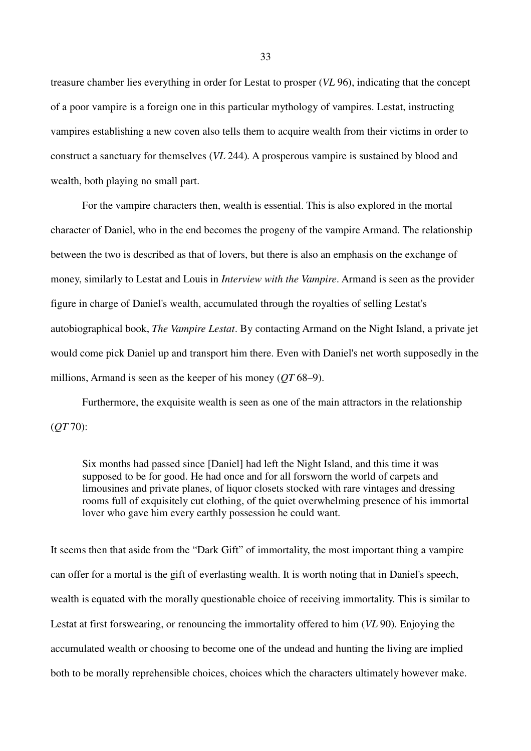treasure chamber lies everything in order for Lestat to prosper (*VL* 96), indicating that the concept of a poor vampire is a foreign one in this particular mythology of vampires. Lestat, instructing vampires establishing a new coven also tells them to acquire wealth from their victims in order to construct a sanctuary for themselves (*VL* 244)*.* A prosperous vampire is sustained by blood and wealth, both playing no small part.

For the vampire characters then, wealth is essential. This is also explored in the mortal character of Daniel, who in the end becomes the progeny of the vampire Armand. The relationship between the two is described as that of lovers, but there is also an emphasis on the exchange of money, similarly to Lestat and Louis in *Interview with the Vampire*. Armand is seen as the provider figure in charge of Daniel's wealth, accumulated through the royalties of selling Lestat's autobiographical book, *The Vampire Lestat*. By contacting Armand on the Night Island, a private jet would come pick Daniel up and transport him there. Even with Daniel's net worth supposedly in the millions, Armand is seen as the keeper of his money (*QT* 68–9).

Furthermore, the exquisite wealth is seen as one of the main attractors in the relationship (*QT* 70):

Six months had passed since [Daniel] had left the Night Island, and this time it was supposed to be for good. He had once and for all forsworn the world of carpets and limousines and private planes, of liquor closets stocked with rare vintages and dressing rooms full of exquisitely cut clothing, of the quiet overwhelming presence of his immortal lover who gave him every earthly possession he could want.

It seems then that aside from the "Dark Gift" of immortality, the most important thing a vampire can offer for a mortal is the gift of everlasting wealth. It is worth noting that in Daniel's speech, wealth is equated with the morally questionable choice of receiving immortality. This is similar to Lestat at first forswearing, or renouncing the immortality offered to him (*VL* 90). Enjoying the accumulated wealth or choosing to become one of the undead and hunting the living are implied both to be morally reprehensible choices, choices which the characters ultimately however make.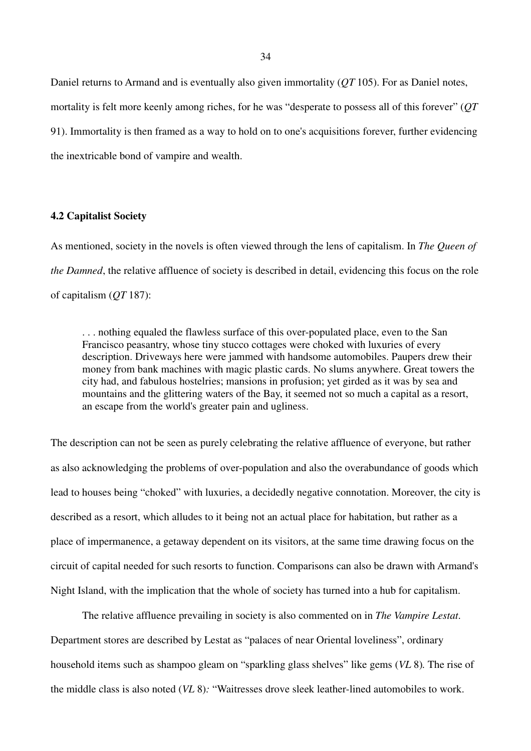Daniel returns to Armand and is eventually also given immortality (*QT* 105). For as Daniel notes, mortality is felt more keenly among riches, for he was "desperate to possess all of this forever" (*QT*  91). Immortality is then framed as a way to hold on to one's acquisitions forever, further evidencing the inextricable bond of vampire and wealth.

## **4.2 Capitalist Society**

As mentioned, society in the novels is often viewed through the lens of capitalism. In *The Queen of the Damned*, the relative affluence of society is described in detail, evidencing this focus on the role of capitalism (*QT* 187):

. . . nothing equaled the flawless surface of this over-populated place, even to the San Francisco peasantry, whose tiny stucco cottages were choked with luxuries of every description. Driveways here were jammed with handsome automobiles. Paupers drew their money from bank machines with magic plastic cards. No slums anywhere. Great towers the city had, and fabulous hostelries; mansions in profusion; yet girded as it was by sea and mountains and the glittering waters of the Bay, it seemed not so much a capital as a resort, an escape from the world's greater pain and ugliness.

The description can not be seen as purely celebrating the relative affluence of everyone, but rather as also acknowledging the problems of over-population and also the overabundance of goods which lead to houses being "choked" with luxuries, a decidedly negative connotation. Moreover, the city is described as a resort, which alludes to it being not an actual place for habitation, but rather as a place of impermanence, a getaway dependent on its visitors, at the same time drawing focus on the circuit of capital needed for such resorts to function. Comparisons can also be drawn with Armand's Night Island, with the implication that the whole of society has turned into a hub for capitalism.

The relative affluence prevailing in society is also commented on in *The Vampire Lestat*. Department stores are described by Lestat as "palaces of near Oriental loveliness", ordinary household items such as shampoo gleam on "sparkling glass shelves" like gems (*VL* 8)*.* The rise of the middle class is also noted (*VL* 8)*:* "Waitresses drove sleek leather-lined automobiles to work.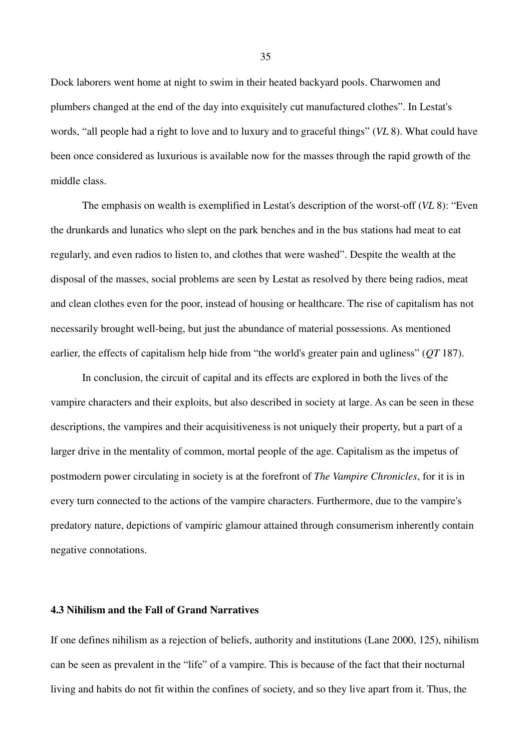Dock laborers went home at night to swim in their heated backyard pools. Charwomen and plumbers changed at the end of the day into exquisitely cut manufactured clothes". In Lestat's words, "all people had a right to love and to luxury and to graceful things" (*VL* 8). What could have been once considered as luxurious is available now for the masses through the rapid growth of the middle class.

The emphasis on wealth is exemplified in Lestat's description of the worst-off (*VL* 8): "Even the drunkards and lunatics who slept on the park benches and in the bus stations had meat to eat regularly, and even radios to listen to, and clothes that were washed". Despite the wealth at the disposal of the masses, social problems are seen by Lestat as resolved by there being radios, meat and clean clothes even for the poor, instead of housing or healthcare. The rise of capitalism has not necessarily brought well-being, but just the abundance of material possessions. As mentioned earlier, the effects of capitalism help hide from "the world's greater pain and ugliness" (*QT* 187).

In conclusion, the circuit of capital and its effects are explored in both the lives of the vampire characters and their exploits, but also described in society at large. As can be seen in these descriptions, the vampires and their acquisitiveness is not uniquely their property, but a part of a larger drive in the mentality of common, mortal people of the age. Capitalism as the impetus of postmodern power circulating in society is at the forefront of *The Vampire Chronicles*, for it is in every turn connected to the actions of the vampire characters. Furthermore, due to the vampire's predatory nature, depictions of vampiric glamour attained through consumerism inherently contain negative connotations.

# **4.3 Nihilism and the Fall of Grand Narratives**

If one defines nihilism as a rejection of beliefs, authority and institutions (Lane 2000, 125), nihilism can be seen as prevalent in the "life" of a vampire. This is because of the fact that their nocturnal living and habits do not fit within the confines of society, and so they live apart from it. Thus, the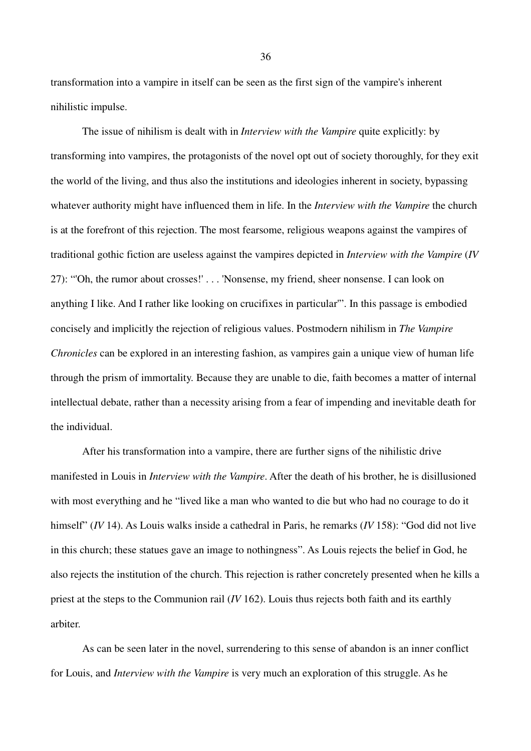transformation into a vampire in itself can be seen as the first sign of the vampire's inherent nihilistic impulse.

The issue of nihilism is dealt with in *Interview with the Vampire* quite explicitly: by transforming into vampires, the protagonists of the novel opt out of society thoroughly, for they exit the world of the living, and thus also the institutions and ideologies inherent in society, bypassing whatever authority might have influenced them in life. In the *Interview with the Vampire* the church is at the forefront of this rejection. The most fearsome, religious weapons against the vampires of traditional gothic fiction are useless against the vampires depicted in *Interview with the Vampire* (*IV*  27): "'Oh, the rumor about crosses!' . . . 'Nonsense, my friend, sheer nonsense. I can look on anything I like. And I rather like looking on crucifixes in particular'". In this passage is embodied concisely and implicitly the rejection of religious values. Postmodern nihilism in *The Vampire Chronicles* can be explored in an interesting fashion, as vampires gain a unique view of human life through the prism of immortality. Because they are unable to die, faith becomes a matter of internal intellectual debate, rather than a necessity arising from a fear of impending and inevitable death for the individual.

After his transformation into a vampire, there are further signs of the nihilistic drive manifested in Louis in *Interview with the Vampire*. After the death of his brother, he is disillusioned with most everything and he "lived like a man who wanted to die but who had no courage to do it himself" (*IV* 14). As Louis walks inside a cathedral in Paris, he remarks (*IV* 158): "God did not live in this church; these statues gave an image to nothingness". As Louis rejects the belief in God, he also rejects the institution of the church. This rejection is rather concretely presented when he kills a priest at the steps to the Communion rail (*IV* 162). Louis thus rejects both faith and its earthly arbiter.

As can be seen later in the novel, surrendering to this sense of abandon is an inner conflict for Louis, and *Interview with the Vampire* is very much an exploration of this struggle. As he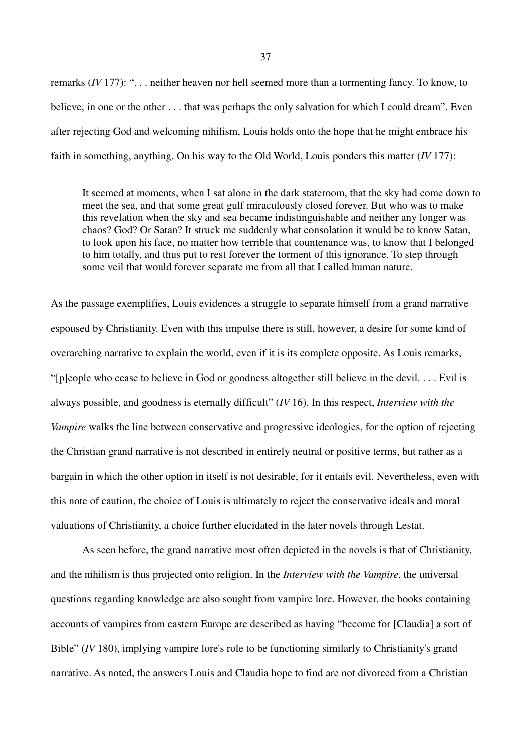remarks (*IV* 177): ". . . neither heaven nor hell seemed more than a tormenting fancy. To know, to believe, in one or the other . . . that was perhaps the only salvation for which I could dream". Even after rejecting God and welcoming nihilism, Louis holds onto the hope that he might embrace his faith in something, anything. On his way to the Old World, Louis ponders this matter (*IV* 177):

It seemed at moments, when I sat alone in the dark stateroom, that the sky had come down to meet the sea, and that some great gulf miraculously closed forever. But who was to make this revelation when the sky and sea became indistinguishable and neither any longer was chaos? God? Or Satan? It struck me suddenly what consolation it would be to know Satan, to look upon his face, no matter how terrible that countenance was, to know that I belonged to him totally, and thus put to rest forever the torment of this ignorance. To step through some veil that would forever separate me from all that I called human nature.

As the passage exemplifies, Louis evidences a struggle to separate himself from a grand narrative espoused by Christianity. Even with this impulse there is still, however, a desire for some kind of overarching narrative to explain the world, even if it is its complete opposite. As Louis remarks, "[p]eople who cease to believe in God or goodness altogether still believe in the devil. . . . Evil is always possible, and goodness is eternally difficult" (*IV* 16). In this respect, *Interview with the Vampire* walks the line between conservative and progressive ideologies, for the option of rejecting the Christian grand narrative is not described in entirely neutral or positive terms, but rather as a bargain in which the other option in itself is not desirable, for it entails evil. Nevertheless, even with this note of caution, the choice of Louis is ultimately to reject the conservative ideals and moral valuations of Christianity, a choice further elucidated in the later novels through Lestat.

As seen before, the grand narrative most often depicted in the novels is that of Christianity, and the nihilism is thus projected onto religion. In the *Interview with the Vampire*, the universal questions regarding knowledge are also sought from vampire lore. However, the books containing accounts of vampires from eastern Europe are described as having "become for [Claudia] a sort of Bible" *(IV* 180), implying vampire lore's role to be functioning similarly to Christianity's grand narrative. As noted, the answers Louis and Claudia hope to find are not divorced from a Christian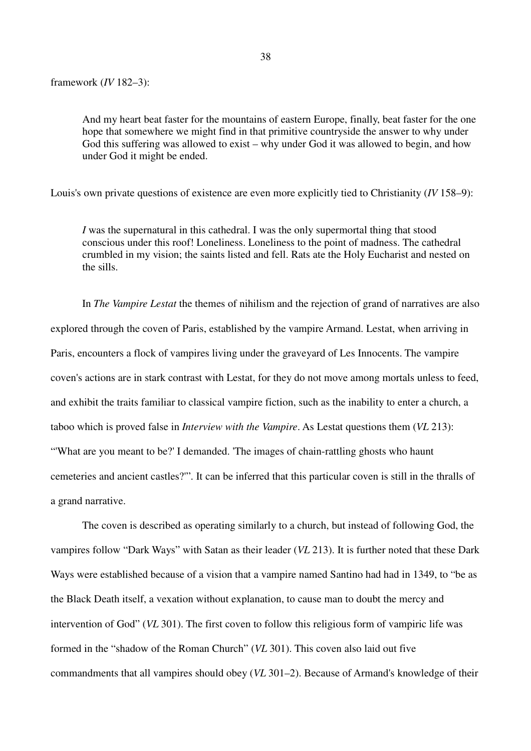And my heart beat faster for the mountains of eastern Europe, finally, beat faster for the one hope that somewhere we might find in that primitive countryside the answer to why under God this suffering was allowed to exist – why under God it was allowed to begin, and how under God it might be ended.

Louis's own private questions of existence are even more explicitly tied to Christianity (*IV* 158–9):

*I* was the supernatural in this cathedral. I was the only supermortal thing that stood conscious under this roof! Loneliness. Loneliness to the point of madness. The cathedral crumbled in my vision; the saints listed and fell. Rats ate the Holy Eucharist and nested on the sills.

In *The Vampire Lestat* the themes of nihilism and the rejection of grand of narratives are also explored through the coven of Paris, established by the vampire Armand. Lestat, when arriving in Paris, encounters a flock of vampires living under the graveyard of Les Innocents. The vampire coven's actions are in stark contrast with Lestat, for they do not move among mortals unless to feed, and exhibit the traits familiar to classical vampire fiction, such as the inability to enter a church, a taboo which is proved false in *Interview with the Vampire*. As Lestat questions them (*VL* 213): "'What are you meant to be?' I demanded. 'The images of chain-rattling ghosts who haunt cemeteries and ancient castles?'". It can be inferred that this particular coven is still in the thralls of a grand narrative.

The coven is described as operating similarly to a church, but instead of following God, the vampires follow "Dark Ways" with Satan as their leader (*VL* 213). It is further noted that these Dark Ways were established because of a vision that a vampire named Santino had had in 1349, to "be as the Black Death itself, a vexation without explanation, to cause man to doubt the mercy and intervention of God" (*VL* 301). The first coven to follow this religious form of vampiric life was formed in the "shadow of the Roman Church" (*VL* 301). This coven also laid out five commandments that all vampires should obey (*VL* 301–2). Because of Armand's knowledge of their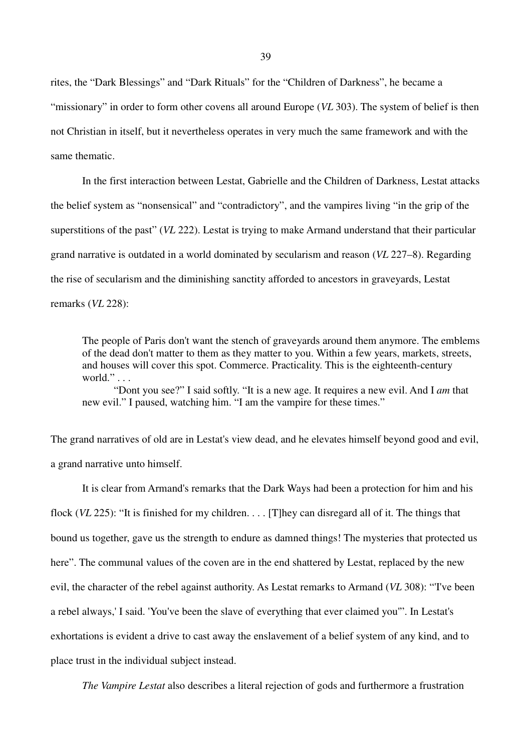rites, the "Dark Blessings" and "Dark Rituals" for the "Children of Darkness", he became a "missionary" in order to form other covens all around Europe (*VL* 303). The system of belief is then not Christian in itself, but it nevertheless operates in very much the same framework and with the same thematic.

In the first interaction between Lestat, Gabrielle and the Children of Darkness, Lestat attacks the belief system as "nonsensical" and "contradictory", and the vampires living "in the grip of the superstitions of the past" (*VL* 222). Lestat is trying to make Armand understand that their particular grand narrative is outdated in a world dominated by secularism and reason (*VL* 227–8). Regarding the rise of secularism and the diminishing sanctity afforded to ancestors in graveyards, Lestat remarks (*VL* 228):

The people of Paris don't want the stench of graveyards around them anymore. The emblems of the dead don't matter to them as they matter to you. Within a few years, markets, streets, and houses will cover this spot. Commerce. Practicality. This is the eighteenth-century world." . . .

"Dont you see?" I said softly. "It is a new age. It requires a new evil. And I *am* that new evil." I paused, watching him. "I am the vampire for these times."

The grand narratives of old are in Lestat's view dead, and he elevates himself beyond good and evil, a grand narrative unto himself.

It is clear from Armand's remarks that the Dark Ways had been a protection for him and his flock (*VL* 225): "It is finished for my children. . . . [T]hey can disregard all of it. The things that bound us together, gave us the strength to endure as damned things! The mysteries that protected us here". The communal values of the coven are in the end shattered by Lestat, replaced by the new evil, the character of the rebel against authority. As Lestat remarks to Armand (*VL* 308): "'I've been a rebel always,' I said. 'You've been the slave of everything that ever claimed you'". In Lestat's exhortations is evident a drive to cast away the enslavement of a belief system of any kind, and to place trust in the individual subject instead.

*The Vampire Lestat* also describes a literal rejection of gods and furthermore a frustration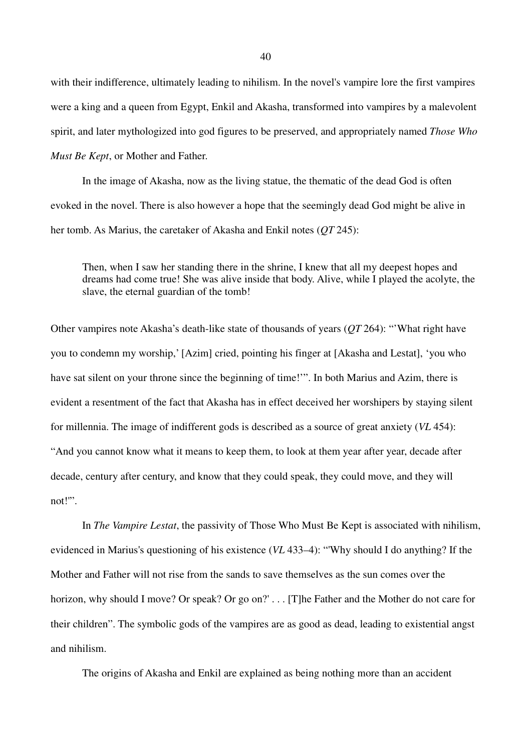with their indifference, ultimately leading to nihilism. In the novel's vampire lore the first vampires were a king and a queen from Egypt, Enkil and Akasha, transformed into vampires by a malevolent spirit, and later mythologized into god figures to be preserved, and appropriately named *Those Who Must Be Kept*, or Mother and Father.

In the image of Akasha, now as the living statue, the thematic of the dead God is often evoked in the novel. There is also however a hope that the seemingly dead God might be alive in her tomb. As Marius, the caretaker of Akasha and Enkil notes (*QT* 245):

Then, when I saw her standing there in the shrine, I knew that all my deepest hopes and dreams had come true! She was alive inside that body. Alive, while I played the acolyte, the slave, the eternal guardian of the tomb!

Other vampires note Akasha's death-like state of thousands of years (*QT* 264): "'What right have you to condemn my worship,' [Azim] cried, pointing his finger at [Akasha and Lestat], 'you who have sat silent on your throne since the beginning of time!'". In both Marius and Azim, there is evident a resentment of the fact that Akasha has in effect deceived her worshipers by staying silent for millennia. The image of indifferent gods is described as a source of great anxiety (*VL* 454): "And you cannot know what it means to keep them, to look at them year after year, decade after decade, century after century, and know that they could speak, they could move, and they will not!'".

In *The Vampire Lestat*, the passivity of Those Who Must Be Kept is associated with nihilism, evidenced in Marius's questioning of his existence (*VL* 433–4): "'Why should I do anything? If the Mother and Father will not rise from the sands to save themselves as the sun comes over the horizon, why should I move? Or speak? Or go on?' . . . [T]he Father and the Mother do not care for their children". The symbolic gods of the vampires are as good as dead, leading to existential angst and nihilism.

The origins of Akasha and Enkil are explained as being nothing more than an accident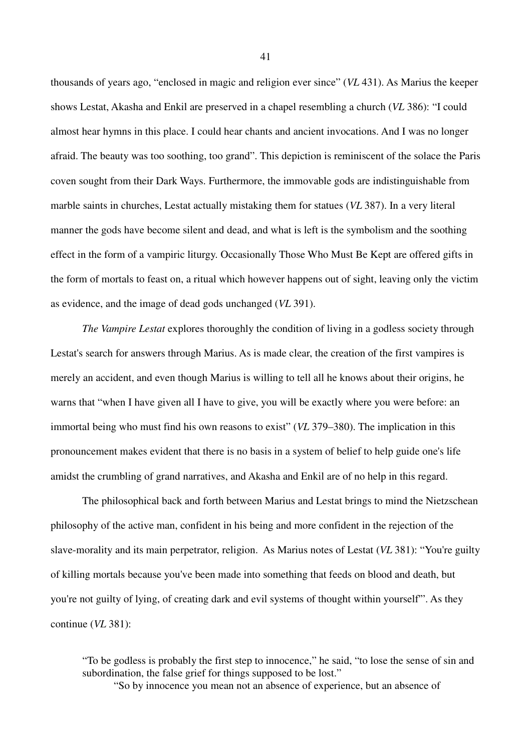thousands of years ago, "enclosed in magic and religion ever since" (*VL* 431). As Marius the keeper shows Lestat, Akasha and Enkil are preserved in a chapel resembling a church (*VL* 386): "I could almost hear hymns in this place. I could hear chants and ancient invocations. And I was no longer afraid. The beauty was too soothing, too grand". This depiction is reminiscent of the solace the Paris coven sought from their Dark Ways. Furthermore, the immovable gods are indistinguishable from marble saints in churches, Lestat actually mistaking them for statues (*VL* 387). In a very literal manner the gods have become silent and dead, and what is left is the symbolism and the soothing effect in the form of a vampiric liturgy. Occasionally Those Who Must Be Kept are offered gifts in the form of mortals to feast on, a ritual which however happens out of sight, leaving only the victim as evidence, and the image of dead gods unchanged (*VL* 391).

*The Vampire Lestat* explores thoroughly the condition of living in a godless society through Lestat's search for answers through Marius. As is made clear, the creation of the first vampires is merely an accident, and even though Marius is willing to tell all he knows about their origins, he warns that "when I have given all I have to give, you will be exactly where you were before: an immortal being who must find his own reasons to exist" (*VL* 379–380). The implication in this pronouncement makes evident that there is no basis in a system of belief to help guide one's life amidst the crumbling of grand narratives, and Akasha and Enkil are of no help in this regard.

The philosophical back and forth between Marius and Lestat brings to mind the Nietzschean philosophy of the active man, confident in his being and more confident in the rejection of the slave-morality and its main perpetrator, religion. As Marius notes of Lestat (*VL* 381): "You're guilty of killing mortals because you've been made into something that feeds on blood and death, but you're not guilty of lying, of creating dark and evil systems of thought within yourself'". As they continue (*VL* 381):

"To be godless is probably the first step to innocence," he said, "to lose the sense of sin and subordination, the false grief for things supposed to be lost." "So by innocence you mean not an absence of experience, but an absence of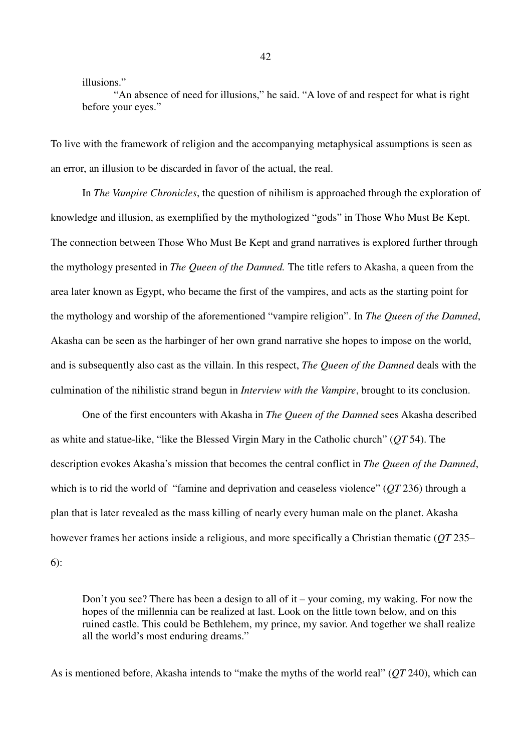illusions."

"An absence of need for illusions," he said. "A love of and respect for what is right before your eyes."

To live with the framework of religion and the accompanying metaphysical assumptions is seen as an error, an illusion to be discarded in favor of the actual, the real.

In *The Vampire Chronicles*, the question of nihilism is approached through the exploration of knowledge and illusion, as exemplified by the mythologized "gods" in Those Who Must Be Kept. The connection between Those Who Must Be Kept and grand narratives is explored further through the mythology presented in *The Queen of the Damned.* The title refers to Akasha, a queen from the area later known as Egypt, who became the first of the vampires, and acts as the starting point for the mythology and worship of the aforementioned "vampire religion". In *The Queen of the Damned*, Akasha can be seen as the harbinger of her own grand narrative she hopes to impose on the world, and is subsequently also cast as the villain. In this respect, *The Queen of the Damned* deals with the culmination of the nihilistic strand begun in *Interview with the Vampire*, brought to its conclusion.

One of the first encounters with Akasha in *The Queen of the Damned* sees Akasha described as white and statue-like, "like the Blessed Virgin Mary in the Catholic church" (*QT* 54). The description evokes Akasha's mission that becomes the central conflict in *The Queen of the Damned*, which is to rid the world of "famine and deprivation and ceaseless violence" (*QT* 236) through a plan that is later revealed as the mass killing of nearly every human male on the planet. Akasha however frames her actions inside a religious, and more specifically a Christian thematic (*QT* 235– 6):

Don't you see? There has been a design to all of it – your coming, my waking. For now the hopes of the millennia can be realized at last. Look on the little town below, and on this ruined castle. This could be Bethlehem, my prince, my savior. And together we shall realize all the world's most enduring dreams."

As is mentioned before, Akasha intends to "make the myths of the world real" (*QT* 240), which can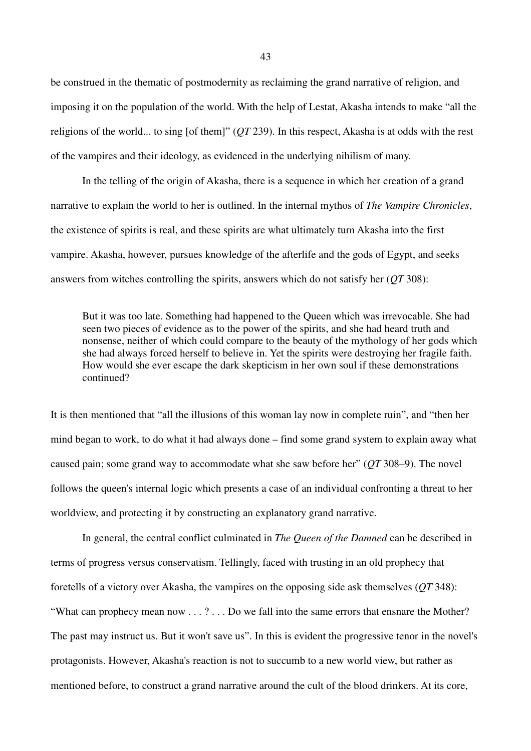be construed in the thematic of postmodernity as reclaiming the grand narrative of religion, and imposing it on the population of the world. With the help of Lestat, Akasha intends to make "all the religions of the world... to sing [of them]" (*QT* 239). In this respect, Akasha is at odds with the rest of the vampires and their ideology, as evidenced in the underlying nihilism of many.

In the telling of the origin of Akasha, there is a sequence in which her creation of a grand narrative to explain the world to her is outlined. In the internal mythos of *The Vampire Chronicles*, the existence of spirits is real, and these spirits are what ultimately turn Akasha into the first vampire. Akasha, however, pursues knowledge of the afterlife and the gods of Egypt, and seeks answers from witches controlling the spirits, answers which do not satisfy her (*QT* 308):

But it was too late. Something had happened to the Queen which was irrevocable. She had seen two pieces of evidence as to the power of the spirits, and she had heard truth and nonsense, neither of which could compare to the beauty of the mythology of her gods which she had always forced herself to believe in. Yet the spirits were destroying her fragile faith. How would she ever escape the dark skepticism in her own soul if these demonstrations continued?

It is then mentioned that "all the illusions of this woman lay now in complete ruin", and "then her mind began to work, to do what it had always done – find some grand system to explain away what caused pain; some grand way to accommodate what she saw before her" (*QT* 308–9). The novel follows the queen's internal logic which presents a case of an individual confronting a threat to her worldview, and protecting it by constructing an explanatory grand narrative.

In general, the central conflict culminated in *The Queen of the Damned* can be described in terms of progress versus conservatism. Tellingly, faced with trusting in an old prophecy that foretells of a victory over Akasha, the vampires on the opposing side ask themselves (*QT* 348): "What can prophecy mean now . . . ? . . . Do we fall into the same errors that ensnare the Mother? The past may instruct us. But it won't save us". In this is evident the progressive tenor in the novel's protagonists. However, Akasha's reaction is not to succumb to a new world view, but rather as mentioned before, to construct a grand narrative around the cult of the blood drinkers. At its core,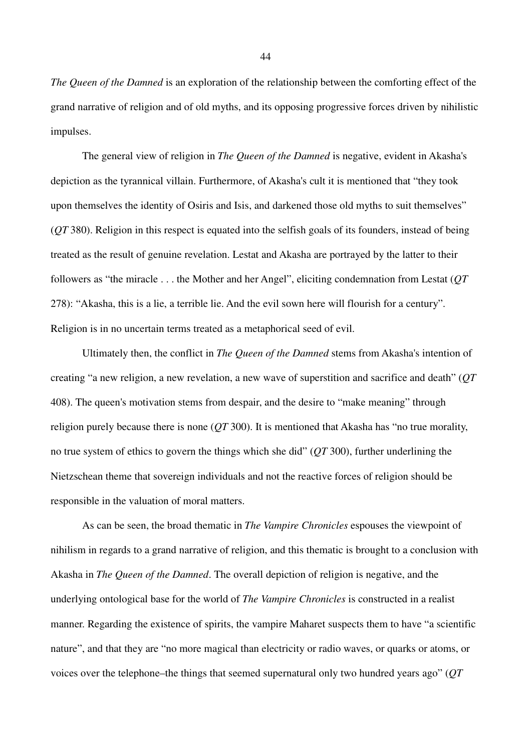*The Queen of the Damned* is an exploration of the relationship between the comforting effect of the grand narrative of religion and of old myths, and its opposing progressive forces driven by nihilistic impulses.

The general view of religion in *The Queen of the Damned* is negative, evident in Akasha's depiction as the tyrannical villain. Furthermore, of Akasha's cult it is mentioned that "they took upon themselves the identity of Osiris and Isis, and darkened those old myths to suit themselves" (*QT* 380). Religion in this respect is equated into the selfish goals of its founders, instead of being treated as the result of genuine revelation. Lestat and Akasha are portrayed by the latter to their followers as "the miracle . . . the Mother and her Angel", eliciting condemnation from Lestat (*QT*  278): "Akasha, this is a lie, a terrible lie. And the evil sown here will flourish for a century". Religion is in no uncertain terms treated as a metaphorical seed of evil.

Ultimately then, the conflict in *The Queen of the Damned* stems from Akasha's intention of creating "a new religion, a new revelation, a new wave of superstition and sacrifice and death" (*QT*  408). The queen's motivation stems from despair, and the desire to "make meaning" through religion purely because there is none (*QT* 300). It is mentioned that Akasha has "no true morality, no true system of ethics to govern the things which she did" (*QT* 300), further underlining the Nietzschean theme that sovereign individuals and not the reactive forces of religion should be responsible in the valuation of moral matters.

As can be seen, the broad thematic in *The Vampire Chronicles* espouses the viewpoint of nihilism in regards to a grand narrative of religion, and this thematic is brought to a conclusion with Akasha in *The Queen of the Damned*. The overall depiction of religion is negative, and the underlying ontological base for the world of *The Vampire Chronicles* is constructed in a realist manner. Regarding the existence of spirits, the vampire Maharet suspects them to have "a scientific nature", and that they are "no more magical than electricity or radio waves, or quarks or atoms, or voices over the telephone–the things that seemed supernatural only two hundred years ago" (*QT*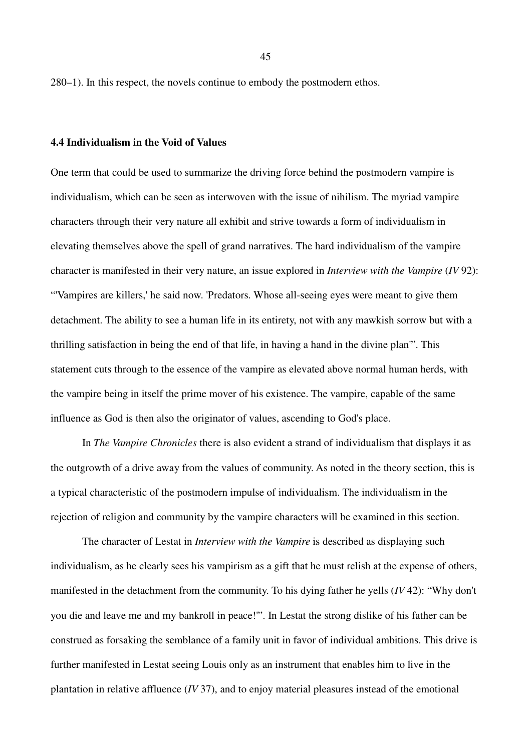280–1). In this respect, the novels continue to embody the postmodern ethos.

## **4.4 Individualism in the Void of Values**

One term that could be used to summarize the driving force behind the postmodern vampire is individualism, which can be seen as interwoven with the issue of nihilism. The myriad vampire characters through their very nature all exhibit and strive towards a form of individualism in elevating themselves above the spell of grand narratives. The hard individualism of the vampire character is manifested in their very nature, an issue explored in *Interview with the Vampire* (*IV* 92): "'Vampires are killers,' he said now. 'Predators. Whose all-seeing eyes were meant to give them detachment. The ability to see a human life in its entirety, not with any mawkish sorrow but with a thrilling satisfaction in being the end of that life, in having a hand in the divine plan'". This statement cuts through to the essence of the vampire as elevated above normal human herds, with the vampire being in itself the prime mover of his existence. The vampire, capable of the same influence as God is then also the originator of values, ascending to God's place.

In *The Vampire Chronicles* there is also evident a strand of individualism that displays it as the outgrowth of a drive away from the values of community. As noted in the theory section, this is a typical characteristic of the postmodern impulse of individualism. The individualism in the rejection of religion and community by the vampire characters will be examined in this section.

The character of Lestat in *Interview with the Vampire* is described as displaying such individualism, as he clearly sees his vampirism as a gift that he must relish at the expense of others, manifested in the detachment from the community. To his dying father he yells (*IV* 42): "Why don't you die and leave me and my bankroll in peace!'". In Lestat the strong dislike of his father can be construed as forsaking the semblance of a family unit in favor of individual ambitions. This drive is further manifested in Lestat seeing Louis only as an instrument that enables him to live in the plantation in relative affluence (*IV* 37), and to enjoy material pleasures instead of the emotional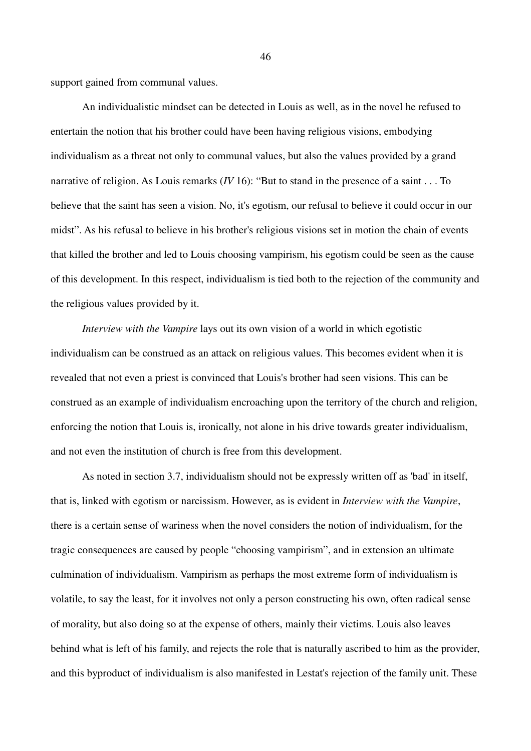support gained from communal values.

An individualistic mindset can be detected in Louis as well, as in the novel he refused to entertain the notion that his brother could have been having religious visions, embodying individualism as a threat not only to communal values, but also the values provided by a grand narrative of religion. As Louis remarks (*IV* 16): "But to stand in the presence of a saint . . . To believe that the saint has seen a vision. No, it's egotism, our refusal to believe it could occur in our midst". As his refusal to believe in his brother's religious visions set in motion the chain of events that killed the brother and led to Louis choosing vampirism, his egotism could be seen as the cause of this development. In this respect, individualism is tied both to the rejection of the community and the religious values provided by it.

*Interview with the Vampire* lays out its own vision of a world in which egotistic individualism can be construed as an attack on religious values. This becomes evident when it is revealed that not even a priest is convinced that Louis's brother had seen visions. This can be construed as an example of individualism encroaching upon the territory of the church and religion, enforcing the notion that Louis is, ironically, not alone in his drive towards greater individualism, and not even the institution of church is free from this development.

As noted in section 3.7, individualism should not be expressly written off as 'bad' in itself, that is, linked with egotism or narcissism. However, as is evident in *Interview with the Vampire*, there is a certain sense of wariness when the novel considers the notion of individualism, for the tragic consequences are caused by people "choosing vampirism", and in extension an ultimate culmination of individualism. Vampirism as perhaps the most extreme form of individualism is volatile, to say the least, for it involves not only a person constructing his own, often radical sense of morality, but also doing so at the expense of others, mainly their victims. Louis also leaves behind what is left of his family, and rejects the role that is naturally ascribed to him as the provider, and this byproduct of individualism is also manifested in Lestat's rejection of the family unit. These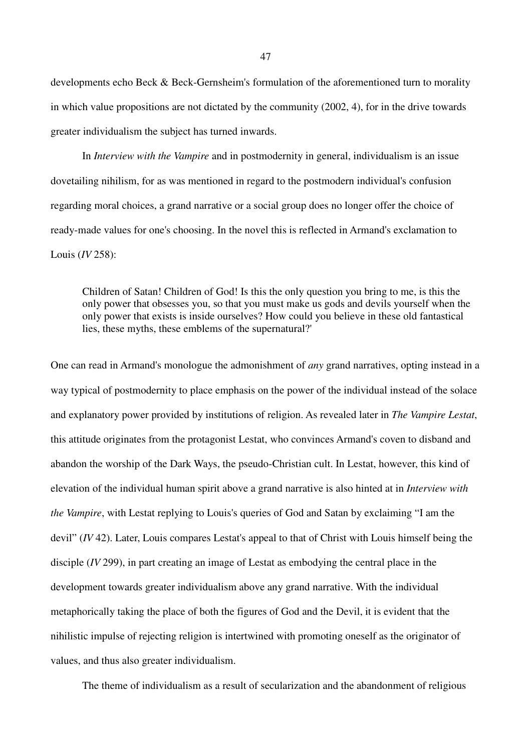developments echo Beck & Beck-Gernsheim's formulation of the aforementioned turn to morality in which value propositions are not dictated by the community (2002, 4), for in the drive towards greater individualism the subject has turned inwards.

In *Interview with the Vampire* and in postmodernity in general, individualism is an issue dovetailing nihilism, for as was mentioned in regard to the postmodern individual's confusion regarding moral choices, a grand narrative or a social group does no longer offer the choice of ready-made values for one's choosing. In the novel this is reflected in Armand's exclamation to Louis (*IV* 258):

Children of Satan! Children of God! Is this the only question you bring to me, is this the only power that obsesses you, so that you must make us gods and devils yourself when the only power that exists is inside ourselves? How could you believe in these old fantastical lies, these myths, these emblems of the supernatural?'

One can read in Armand's monologue the admonishment of *any* grand narratives, opting instead in a way typical of postmodernity to place emphasis on the power of the individual instead of the solace and explanatory power provided by institutions of religion. As revealed later in *The Vampire Lestat*, this attitude originates from the protagonist Lestat, who convinces Armand's coven to disband and abandon the worship of the Dark Ways, the pseudo-Christian cult. In Lestat, however, this kind of elevation of the individual human spirit above a grand narrative is also hinted at in *Interview with the Vampire*, with Lestat replying to Louis's queries of God and Satan by exclaiming "I am the devil" (*IV* 42). Later, Louis compares Lestat's appeal to that of Christ with Louis himself being the disciple (*IV* 299), in part creating an image of Lestat as embodying the central place in the development towards greater individualism above any grand narrative. With the individual metaphorically taking the place of both the figures of God and the Devil, it is evident that the nihilistic impulse of rejecting religion is intertwined with promoting oneself as the originator of values, and thus also greater individualism.

The theme of individualism as a result of secularization and the abandonment of religious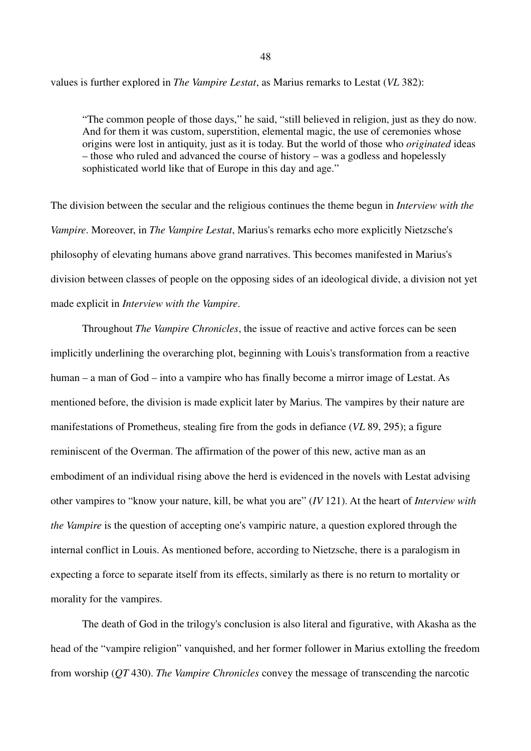values is further explored in *The Vampire Lestat*, as Marius remarks to Lestat (*VL* 382):

"The common people of those days," he said, "still believed in religion, just as they do now. And for them it was custom, superstition, elemental magic, the use of ceremonies whose origins were lost in antiquity, just as it is today. But the world of those who *originated* ideas – those who ruled and advanced the course of history – was a godless and hopelessly sophisticated world like that of Europe in this day and age."

The division between the secular and the religious continues the theme begun in *Interview with the Vampire*. Moreover, in *The Vampire Lestat*, Marius's remarks echo more explicitly Nietzsche's philosophy of elevating humans above grand narratives. This becomes manifested in Marius's division between classes of people on the opposing sides of an ideological divide, a division not yet made explicit in *Interview with the Vampire*.

Throughout *The Vampire Chronicles*, the issue of reactive and active forces can be seen implicitly underlining the overarching plot, beginning with Louis's transformation from a reactive human – a man of God – into a vampire who has finally become a mirror image of Lestat. As mentioned before, the division is made explicit later by Marius. The vampires by their nature are manifestations of Prometheus, stealing fire from the gods in defiance (*VL* 89, 295); a figure reminiscent of the Overman. The affirmation of the power of this new, active man as an embodiment of an individual rising above the herd is evidenced in the novels with Lestat advising other vampires to "know your nature, kill, be what you are" (*IV* 121). At the heart of *Interview with the Vampire* is the question of accepting one's vampiric nature, a question explored through the internal conflict in Louis. As mentioned before, according to Nietzsche, there is a paralogism in expecting a force to separate itself from its effects, similarly as there is no return to mortality or morality for the vampires.

The death of God in the trilogy's conclusion is also literal and figurative, with Akasha as the head of the "vampire religion" vanquished, and her former follower in Marius extolling the freedom from worship (*QT* 430). *The Vampire Chronicles* convey the message of transcending the narcotic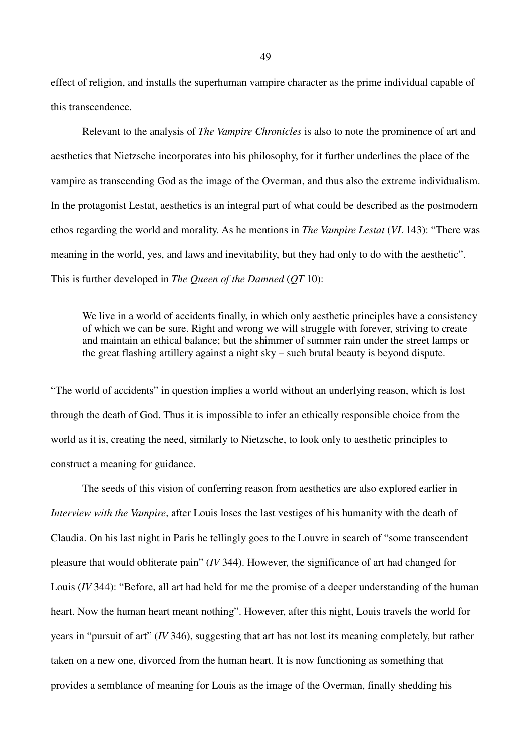effect of religion, and installs the superhuman vampire character as the prime individual capable of this transcendence.

Relevant to the analysis of *The Vampire Chronicles* is also to note the prominence of art and aesthetics that Nietzsche incorporates into his philosophy, for it further underlines the place of the vampire as transcending God as the image of the Overman, and thus also the extreme individualism. In the protagonist Lestat, aesthetics is an integral part of what could be described as the postmodern ethos regarding the world and morality. As he mentions in *The Vampire Lestat* (*VL* 143): "There was meaning in the world, yes, and laws and inevitability, but they had only to do with the aesthetic". This is further developed in *The Queen of the Damned* (*QT* 10):

We live in a world of accidents finally, in which only aesthetic principles have a consistency of which we can be sure. Right and wrong we will struggle with forever, striving to create and maintain an ethical balance; but the shimmer of summer rain under the street lamps or the great flashing artillery against a night sky – such brutal beauty is beyond dispute.

"The world of accidents" in question implies a world without an underlying reason, which is lost through the death of God. Thus it is impossible to infer an ethically responsible choice from the world as it is, creating the need, similarly to Nietzsche, to look only to aesthetic principles to construct a meaning for guidance.

The seeds of this vision of conferring reason from aesthetics are also explored earlier in *Interview with the Vampire*, after Louis loses the last vestiges of his humanity with the death of Claudia. On his last night in Paris he tellingly goes to the Louvre in search of "some transcendent pleasure that would obliterate pain" (*IV* 344). However, the significance of art had changed for Louis (*IV* 344): "Before, all art had held for me the promise of a deeper understanding of the human heart. Now the human heart meant nothing". However, after this night, Louis travels the world for years in "pursuit of art" (*IV* 346), suggesting that art has not lost its meaning completely, but rather taken on a new one, divorced from the human heart. It is now functioning as something that provides a semblance of meaning for Louis as the image of the Overman, finally shedding his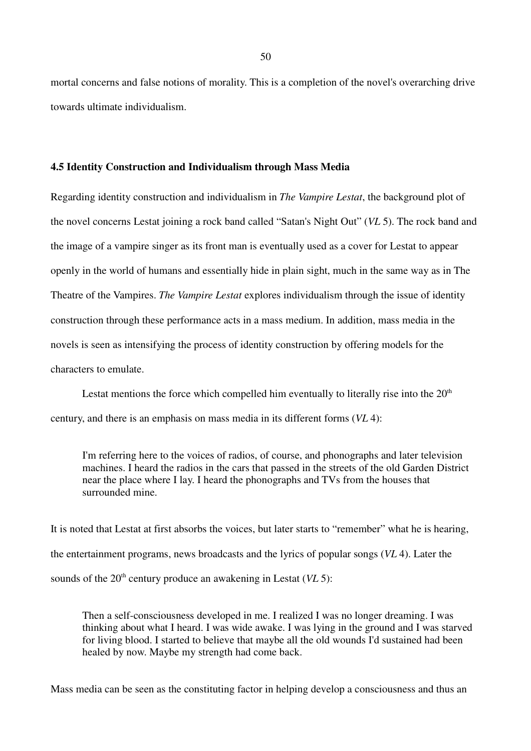mortal concerns and false notions of morality. This is a completion of the novel's overarching drive towards ultimate individualism.

#### **4.5 Identity Construction and Individualism through Mass Media**

Regarding identity construction and individualism in *The Vampire Lestat*, the background plot of the novel concerns Lestat joining a rock band called "Satan's Night Out" (*VL* 5). The rock band and the image of a vampire singer as its front man is eventually used as a cover for Lestat to appear openly in the world of humans and essentially hide in plain sight, much in the same way as in The Theatre of the Vampires. *The Vampire Lestat* explores individualism through the issue of identity construction through these performance acts in a mass medium. In addition, mass media in the novels is seen as intensifying the process of identity construction by offering models for the characters to emulate.

Lestat mentions the force which compelled him eventually to literally rise into the  $20<sup>th</sup>$ century, and there is an emphasis on mass media in its different forms (*VL* 4):

I'm referring here to the voices of radios, of course, and phonographs and later television machines. I heard the radios in the cars that passed in the streets of the old Garden District near the place where I lay. I heard the phonographs and TVs from the houses that surrounded mine.

It is noted that Lestat at first absorbs the voices, but later starts to "remember" what he is hearing, the entertainment programs, news broadcasts and the lyrics of popular songs (*VL* 4). Later the sounds of the 20<sup>th</sup> century produce an awakening in Lestat (*VL* 5):

Then a self-consciousness developed in me. I realized I was no longer dreaming. I was thinking about what I heard. I was wide awake. I was lying in the ground and I was starved for living blood. I started to believe that maybe all the old wounds I'd sustained had been healed by now. Maybe my strength had come back.

Mass media can be seen as the constituting factor in helping develop a consciousness and thus an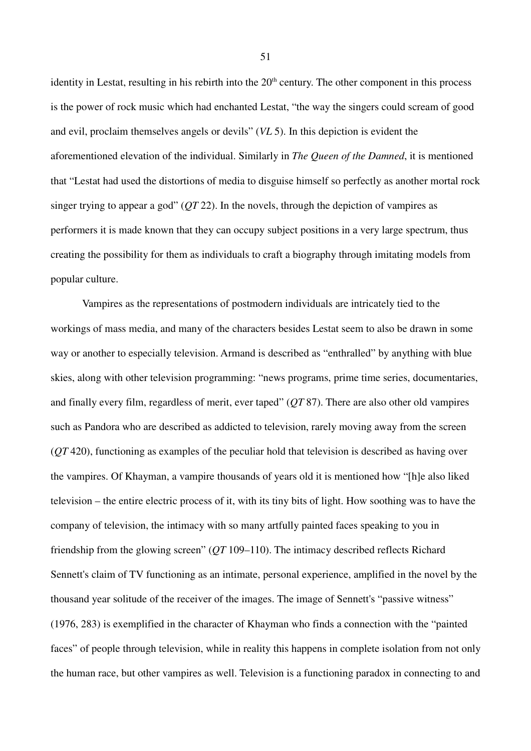identity in Lestat, resulting in his rebirth into the  $20<sup>th</sup>$  century. The other component in this process is the power of rock music which had enchanted Lestat, "the way the singers could scream of good and evil, proclaim themselves angels or devils" (*VL* 5). In this depiction is evident the aforementioned elevation of the individual. Similarly in *The Queen of the Damned*, it is mentioned that "Lestat had used the distortions of media to disguise himself so perfectly as another mortal rock singer trying to appear a god" (*QT* 22). In the novels, through the depiction of vampires as performers it is made known that they can occupy subject positions in a very large spectrum, thus creating the possibility for them as individuals to craft a biography through imitating models from popular culture.

Vampires as the representations of postmodern individuals are intricately tied to the workings of mass media, and many of the characters besides Lestat seem to also be drawn in some way or another to especially television. Armand is described as "enthralled" by anything with blue skies, along with other television programming: "news programs, prime time series, documentaries, and finally every film, regardless of merit, ever taped" (*QT* 87). There are also other old vampires such as Pandora who are described as addicted to television, rarely moving away from the screen (*QT* 420), functioning as examples of the peculiar hold that television is described as having over the vampires. Of Khayman, a vampire thousands of years old it is mentioned how "[h]e also liked television – the entire electric process of it, with its tiny bits of light. How soothing was to have the company of television, the intimacy with so many artfully painted faces speaking to you in friendship from the glowing screen" (*QT* 109–110). The intimacy described reflects Richard Sennett's claim of TV functioning as an intimate, personal experience, amplified in the novel by the thousand year solitude of the receiver of the images. The image of Sennett's "passive witness" (1976, 283) is exemplified in the character of Khayman who finds a connection with the "painted faces" of people through television, while in reality this happens in complete isolation from not only the human race, but other vampires as well. Television is a functioning paradox in connecting to and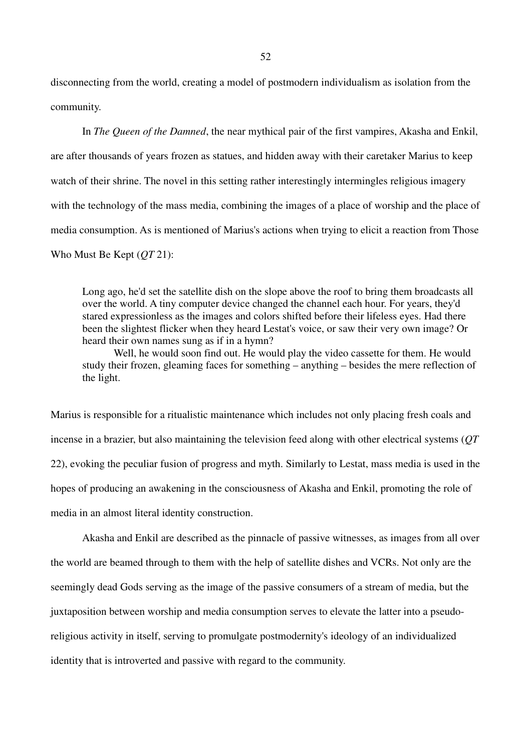disconnecting from the world, creating a model of postmodern individualism as isolation from the community.

In *The Queen of the Damned*, the near mythical pair of the first vampires, Akasha and Enkil, are after thousands of years frozen as statues, and hidden away with their caretaker Marius to keep watch of their shrine. The novel in this setting rather interestingly intermingles religious imagery with the technology of the mass media, combining the images of a place of worship and the place of media consumption. As is mentioned of Marius's actions when trying to elicit a reaction from Those Who Must Be Kept (*QT* 21):

Long ago, he'd set the satellite dish on the slope above the roof to bring them broadcasts all over the world. A tiny computer device changed the channel each hour. For years, they'd stared expressionless as the images and colors shifted before their lifeless eyes. Had there been the slightest flicker when they heard Lestat's voice, or saw their very own image? Or heard their own names sung as if in a hymn?

Well, he would soon find out. He would play the video cassette for them. He would study their frozen, gleaming faces for something – anything – besides the mere reflection of the light.

Marius is responsible for a ritualistic maintenance which includes not only placing fresh coals and incense in a brazier, but also maintaining the television feed along with other electrical systems (*QT*  22), evoking the peculiar fusion of progress and myth. Similarly to Lestat, mass media is used in the hopes of producing an awakening in the consciousness of Akasha and Enkil, promoting the role of media in an almost literal identity construction.

Akasha and Enkil are described as the pinnacle of passive witnesses, as images from all over the world are beamed through to them with the help of satellite dishes and VCRs. Not only are the seemingly dead Gods serving as the image of the passive consumers of a stream of media, but the juxtaposition between worship and media consumption serves to elevate the latter into a pseudoreligious activity in itself, serving to promulgate postmodernity's ideology of an individualized identity that is introverted and passive with regard to the community.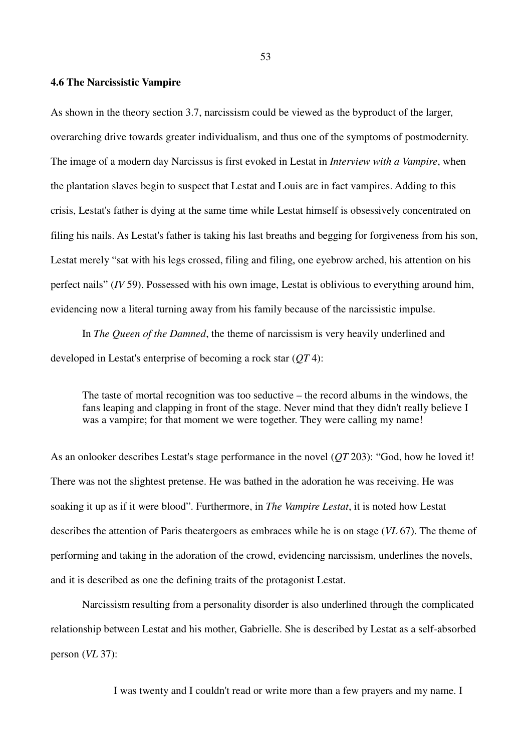#### **4.6 The Narcissistic Vampire**

As shown in the theory section 3.7, narcissism could be viewed as the byproduct of the larger, overarching drive towards greater individualism, and thus one of the symptoms of postmodernity. The image of a modern day Narcissus is first evoked in Lestat in *Interview with a Vampire*, when the plantation slaves begin to suspect that Lestat and Louis are in fact vampires. Adding to this crisis, Lestat's father is dying at the same time while Lestat himself is obsessively concentrated on filing his nails. As Lestat's father is taking his last breaths and begging for forgiveness from his son, Lestat merely "sat with his legs crossed, filing and filing, one eyebrow arched, his attention on his perfect nails" (*IV* 59). Possessed with his own image, Lestat is oblivious to everything around him, evidencing now a literal turning away from his family because of the narcissistic impulse.

In *The Queen of the Damned*, the theme of narcissism is very heavily underlined and developed in Lestat's enterprise of becoming a rock star (*QT* 4):

The taste of mortal recognition was too seductive – the record albums in the windows, the fans leaping and clapping in front of the stage. Never mind that they didn't really believe I was a vampire; for that moment we were together. They were calling my name!

As an onlooker describes Lestat's stage performance in the novel (*QT* 203): "God, how he loved it! There was not the slightest pretense. He was bathed in the adoration he was receiving. He was soaking it up as if it were blood". Furthermore, in *The Vampire Lestat*, it is noted how Lestat describes the attention of Paris theatergoers as embraces while he is on stage (*VL* 67). The theme of performing and taking in the adoration of the crowd, evidencing narcissism, underlines the novels, and it is described as one the defining traits of the protagonist Lestat.

Narcissism resulting from a personality disorder is also underlined through the complicated relationship between Lestat and his mother, Gabrielle. She is described by Lestat as a self-absorbed person (*VL* 37):

I was twenty and I couldn't read or write more than a few prayers and my name. I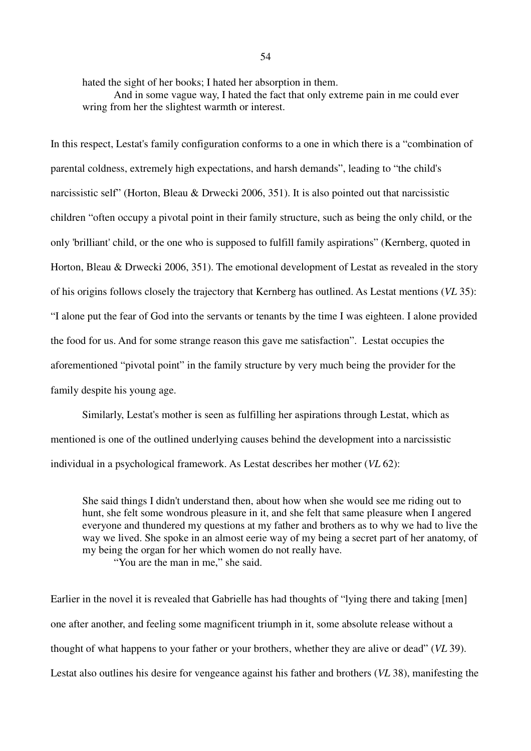hated the sight of her books; I hated her absorption in them.

And in some vague way, I hated the fact that only extreme pain in me could ever wring from her the slightest warmth or interest.

In this respect, Lestat's family configuration conforms to a one in which there is a "combination of parental coldness, extremely high expectations, and harsh demands", leading to "the child's narcissistic self" (Horton, Bleau & Drwecki 2006, 351). It is also pointed out that narcissistic children "often occupy a pivotal point in their family structure, such as being the only child, or the only 'brilliant' child, or the one who is supposed to fulfill family aspirations" (Kernberg, quoted in Horton, Bleau & Drwecki 2006, 351). The emotional development of Lestat as revealed in the story of his origins follows closely the trajectory that Kernberg has outlined. As Lestat mentions (*VL* 35): "I alone put the fear of God into the servants or tenants by the time I was eighteen. I alone provided the food for us. And for some strange reason this gave me satisfaction". Lestat occupies the aforementioned "pivotal point" in the family structure by very much being the provider for the family despite his young age.

Similarly, Lestat's mother is seen as fulfilling her aspirations through Lestat, which as mentioned is one of the outlined underlying causes behind the development into a narcissistic individual in a psychological framework. As Lestat describes her mother (*VL* 62):

She said things I didn't understand then, about how when she would see me riding out to hunt, she felt some wondrous pleasure in it, and she felt that same pleasure when I angered everyone and thundered my questions at my father and brothers as to why we had to live the way we lived. She spoke in an almost eerie way of my being a secret part of her anatomy, of my being the organ for her which women do not really have. "You are the man in me," she said.

Earlier in the novel it is revealed that Gabrielle has had thoughts of "lying there and taking [men] one after another, and feeling some magnificent triumph in it, some absolute release without a thought of what happens to your father or your brothers, whether they are alive or dead" (*VL* 39). Lestat also outlines his desire for vengeance against his father and brothers (*VL* 38), manifesting the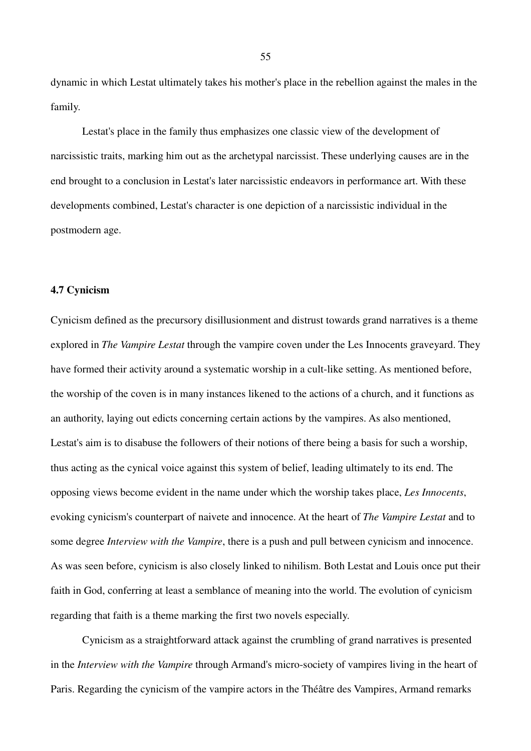dynamic in which Lestat ultimately takes his mother's place in the rebellion against the males in the family.

Lestat's place in the family thus emphasizes one classic view of the development of narcissistic traits, marking him out as the archetypal narcissist. These underlying causes are in the end brought to a conclusion in Lestat's later narcissistic endeavors in performance art. With these developments combined, Lestat's character is one depiction of a narcissistic individual in the postmodern age.

### **4.7 Cynicism**

Cynicism defined as the precursory disillusionment and distrust towards grand narratives is a theme explored in *The Vampire Lestat* through the vampire coven under the Les Innocents graveyard. They have formed their activity around a systematic worship in a cult-like setting. As mentioned before, the worship of the coven is in many instances likened to the actions of a church, and it functions as an authority, laying out edicts concerning certain actions by the vampires. As also mentioned, Lestat's aim is to disabuse the followers of their notions of there being a basis for such a worship, thus acting as the cynical voice against this system of belief, leading ultimately to its end. The opposing views become evident in the name under which the worship takes place, *Les Innocents*, evoking cynicism's counterpart of naivete and innocence. At the heart of *The Vampire Lestat* and to some degree *Interview with the Vampire*, there is a push and pull between cynicism and innocence. As was seen before, cynicism is also closely linked to nihilism. Both Lestat and Louis once put their faith in God, conferring at least a semblance of meaning into the world. The evolution of cynicism regarding that faith is a theme marking the first two novels especially.

Cynicism as a straightforward attack against the crumbling of grand narratives is presented in the *Interview with the Vampire* through Armand's micro-society of vampires living in the heart of Paris. Regarding the cynicism of the vampire actors in the Théâtre des Vampires, Armand remarks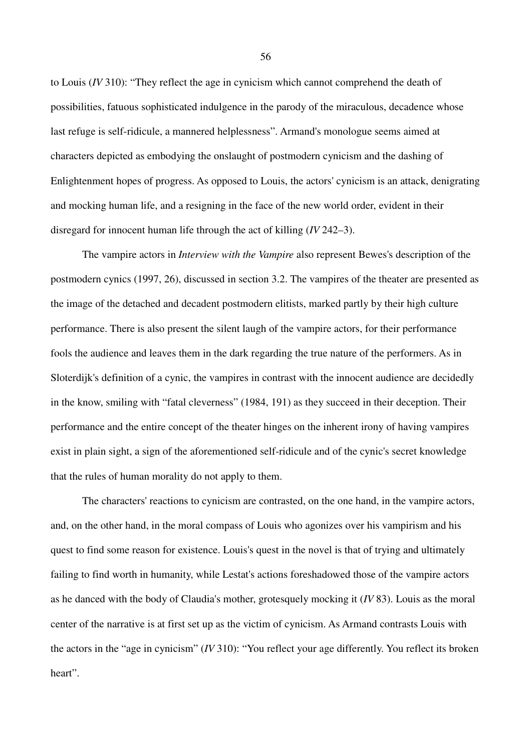to Louis (*IV* 310): "They reflect the age in cynicism which cannot comprehend the death of possibilities, fatuous sophisticated indulgence in the parody of the miraculous, decadence whose last refuge is self-ridicule, a mannered helplessness". Armand's monologue seems aimed at characters depicted as embodying the onslaught of postmodern cynicism and the dashing of Enlightenment hopes of progress. As opposed to Louis, the actors' cynicism is an attack, denigrating and mocking human life, and a resigning in the face of the new world order, evident in their disregard for innocent human life through the act of killing (*IV* 242–3).

The vampire actors in *Interview with the Vampire* also represent Bewes's description of the postmodern cynics (1997, 26), discussed in section 3.2. The vampires of the theater are presented as the image of the detached and decadent postmodern elitists, marked partly by their high culture performance. There is also present the silent laugh of the vampire actors, for their performance fools the audience and leaves them in the dark regarding the true nature of the performers. As in Sloterdijk's definition of a cynic, the vampires in contrast with the innocent audience are decidedly in the know, smiling with "fatal cleverness" (1984, 191) as they succeed in their deception. Their performance and the entire concept of the theater hinges on the inherent irony of having vampires exist in plain sight, a sign of the aforementioned self-ridicule and of the cynic's secret knowledge that the rules of human morality do not apply to them.

The characters' reactions to cynicism are contrasted, on the one hand, in the vampire actors, and, on the other hand, in the moral compass of Louis who agonizes over his vampirism and his quest to find some reason for existence. Louis's quest in the novel is that of trying and ultimately failing to find worth in humanity, while Lestat's actions foreshadowed those of the vampire actors as he danced with the body of Claudia's mother, grotesquely mocking it (*IV* 83). Louis as the moral center of the narrative is at first set up as the victim of cynicism. As Armand contrasts Louis with the actors in the "age in cynicism" (*IV* 310): "You reflect your age differently. You reflect its broken heart".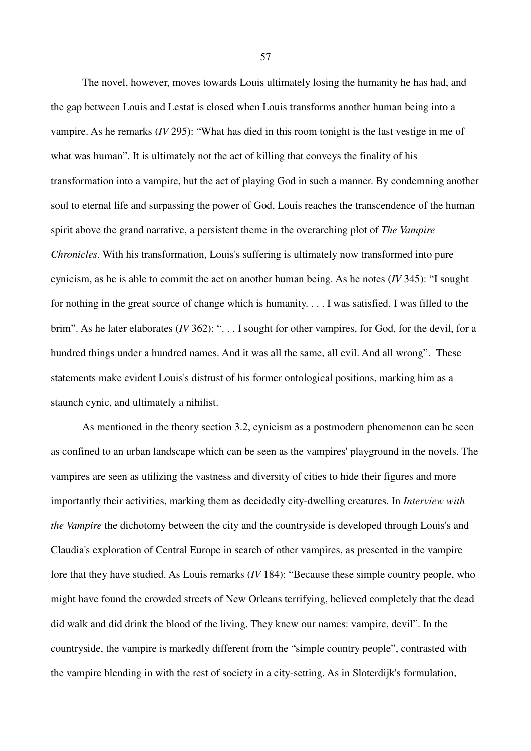The novel, however, moves towards Louis ultimately losing the humanity he has had, and the gap between Louis and Lestat is closed when Louis transforms another human being into a vampire. As he remarks (*IV* 295): "What has died in this room tonight is the last vestige in me of what was human". It is ultimately not the act of killing that conveys the finality of his transformation into a vampire, but the act of playing God in such a manner. By condemning another soul to eternal life and surpassing the power of God, Louis reaches the transcendence of the human spirit above the grand narrative, a persistent theme in the overarching plot of *The Vampire Chronicles*. With his transformation, Louis's suffering is ultimately now transformed into pure cynicism, as he is able to commit the act on another human being. As he notes (*IV* 345): "I sought for nothing in the great source of change which is humanity. . . . I was satisfied. I was filled to the brim". As he later elaborates (*IV* 362): ". . . I sought for other vampires, for God, for the devil, for a hundred things under a hundred names. And it was all the same, all evil. And all wrong". These statements make evident Louis's distrust of his former ontological positions, marking him as a staunch cynic, and ultimately a nihilist.

As mentioned in the theory section 3.2, cynicism as a postmodern phenomenon can be seen as confined to an urban landscape which can be seen as the vampires' playground in the novels. The vampires are seen as utilizing the vastness and diversity of cities to hide their figures and more importantly their activities, marking them as decidedly city-dwelling creatures. In *Interview with the Vampire* the dichotomy between the city and the countryside is developed through Louis's and Claudia's exploration of Central Europe in search of other vampires, as presented in the vampire lore that they have studied. As Louis remarks (*IV* 184): "Because these simple country people, who might have found the crowded streets of New Orleans terrifying, believed completely that the dead did walk and did drink the blood of the living. They knew our names: vampire, devil". In the countryside, the vampire is markedly different from the "simple country people", contrasted with the vampire blending in with the rest of society in a city-setting. As in Sloterdijk's formulation,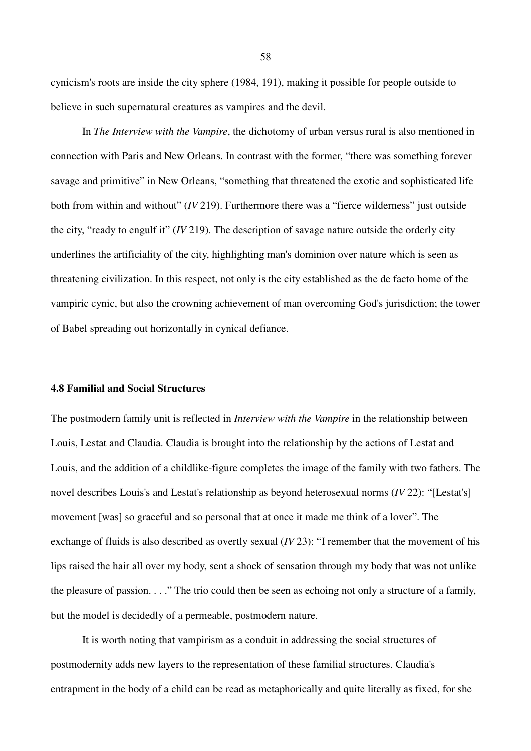cynicism's roots are inside the city sphere (1984, 191), making it possible for people outside to believe in such supernatural creatures as vampires and the devil.

In *The Interview with the Vampire*, the dichotomy of urban versus rural is also mentioned in connection with Paris and New Orleans. In contrast with the former, "there was something forever savage and primitive" in New Orleans, "something that threatened the exotic and sophisticated life both from within and without" (*IV* 219). Furthermore there was a "fierce wilderness" just outside the city, "ready to engulf it" (*IV* 219). The description of savage nature outside the orderly city underlines the artificiality of the city, highlighting man's dominion over nature which is seen as threatening civilization. In this respect, not only is the city established as the de facto home of the vampiric cynic, but also the crowning achievement of man overcoming God's jurisdiction; the tower of Babel spreading out horizontally in cynical defiance.

## **4.8 Familial and Social Structures**

The postmodern family unit is reflected in *Interview with the Vampire* in the relationship between Louis, Lestat and Claudia. Claudia is brought into the relationship by the actions of Lestat and Louis, and the addition of a childlike-figure completes the image of the family with two fathers. The novel describes Louis's and Lestat's relationship as beyond heterosexual norms (*IV* 22): "[Lestat's] movement [was] so graceful and so personal that at once it made me think of a lover". The exchange of fluids is also described as overtly sexual (*IV* 23): "I remember that the movement of his lips raised the hair all over my body, sent a shock of sensation through my body that was not unlike the pleasure of passion. . . ." The trio could then be seen as echoing not only a structure of a family, but the model is decidedly of a permeable, postmodern nature.

It is worth noting that vampirism as a conduit in addressing the social structures of postmodernity adds new layers to the representation of these familial structures. Claudia's entrapment in the body of a child can be read as metaphorically and quite literally as fixed, for she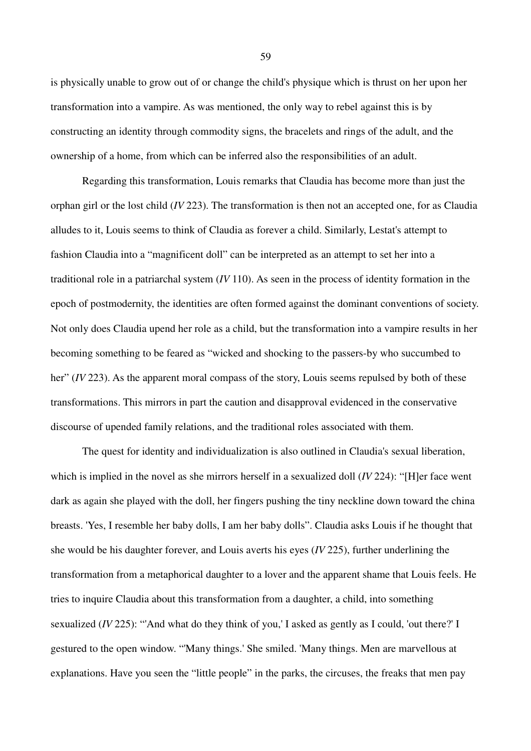is physically unable to grow out of or change the child's physique which is thrust on her upon her transformation into a vampire. As was mentioned, the only way to rebel against this is by constructing an identity through commodity signs, the bracelets and rings of the adult, and the ownership of a home, from which can be inferred also the responsibilities of an adult.

Regarding this transformation, Louis remarks that Claudia has become more than just the orphan girl or the lost child (*IV* 223). The transformation is then not an accepted one, for as Claudia alludes to it, Louis seems to think of Claudia as forever a child. Similarly, Lestat's attempt to fashion Claudia into a "magnificent doll" can be interpreted as an attempt to set her into a traditional role in a patriarchal system (*IV* 110). As seen in the process of identity formation in the epoch of postmodernity, the identities are often formed against the dominant conventions of society. Not only does Claudia upend her role as a child, but the transformation into a vampire results in her becoming something to be feared as "wicked and shocking to the passers-by who succumbed to her" *(IV* 223). As the apparent moral compass of the story, Louis seems repulsed by both of these transformations. This mirrors in part the caution and disapproval evidenced in the conservative discourse of upended family relations, and the traditional roles associated with them.

The quest for identity and individualization is also outlined in Claudia's sexual liberation, which is implied in the novel as she mirrors herself in a sexualized doll (*IV* 224): "[H]er face went dark as again she played with the doll, her fingers pushing the tiny neckline down toward the china breasts. 'Yes, I resemble her baby dolls, I am her baby dolls". Claudia asks Louis if he thought that she would be his daughter forever, and Louis averts his eyes (*IV* 225), further underlining the transformation from a metaphorical daughter to a lover and the apparent shame that Louis feels. He tries to inquire Claudia about this transformation from a daughter, a child, into something sexualized (*IV* 225): "'And what do they think of you,' I asked as gently as I could, 'out there?' I gestured to the open window. "'Many things.' She smiled. 'Many things. Men are marvellous at explanations. Have you seen the "little people" in the parks, the circuses, the freaks that men pay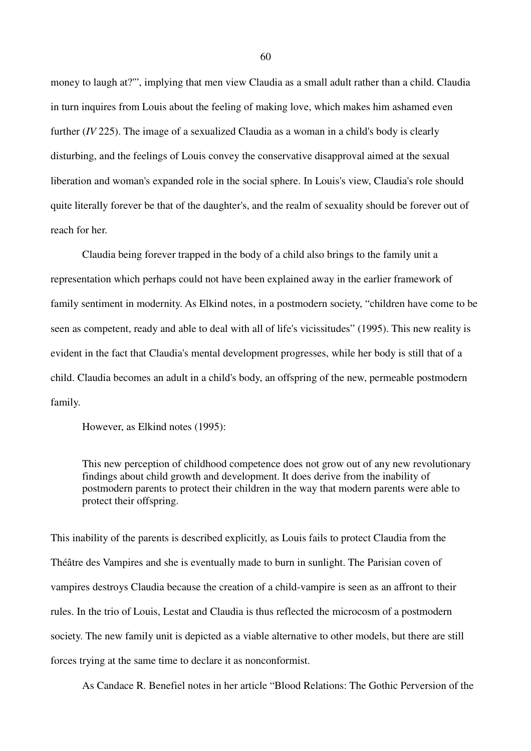money to laugh at?'", implying that men view Claudia as a small adult rather than a child. Claudia in turn inquires from Louis about the feeling of making love, which makes him ashamed even further (*IV* 225). The image of a sexualized Claudia as a woman in a child's body is clearly disturbing, and the feelings of Louis convey the conservative disapproval aimed at the sexual liberation and woman's expanded role in the social sphere. In Louis's view, Claudia's role should quite literally forever be that of the daughter's, and the realm of sexuality should be forever out of reach for her.

Claudia being forever trapped in the body of a child also brings to the family unit a representation which perhaps could not have been explained away in the earlier framework of family sentiment in modernity. As Elkind notes, in a postmodern society, "children have come to be seen as competent, ready and able to deal with all of life's vicissitudes" (1995). This new reality is evident in the fact that Claudia's mental development progresses, while her body is still that of a child. Claudia becomes an adult in a child's body, an offspring of the new, permeable postmodern family.

However, as Elkind notes (1995):

This new perception of childhood competence does not grow out of any new revolutionary findings about child growth and development. It does derive from the inability of postmodern parents to protect their children in the way that modern parents were able to protect their offspring.

This inability of the parents is described explicitly, as Louis fails to protect Claudia from the Théâtre des Vampires and she is eventually made to burn in sunlight. The Parisian coven of vampires destroys Claudia because the creation of a child-vampire is seen as an affront to their rules. In the trio of Louis, Lestat and Claudia is thus reflected the microcosm of a postmodern society. The new family unit is depicted as a viable alternative to other models, but there are still forces trying at the same time to declare it as nonconformist.

As Candace R. Benefiel notes in her article "Blood Relations: The Gothic Perversion of the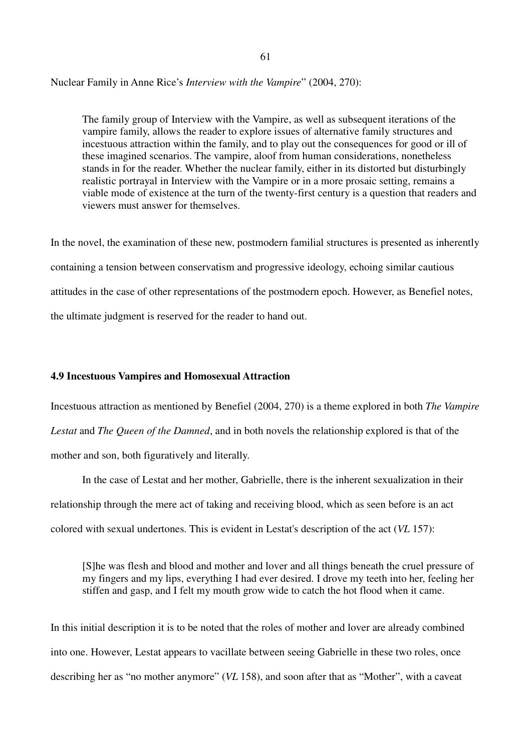Nuclear Family in Anne Rice's *Interview with the Vampire*" (2004, 270):

The family group of Interview with the Vampire, as well as subsequent iterations of the vampire family, allows the reader to explore issues of alternative family structures and incestuous attraction within the family, and to play out the consequences for good or ill of these imagined scenarios. The vampire, aloof from human considerations, nonetheless stands in for the reader. Whether the nuclear family, either in its distorted but disturbingly realistic portrayal in Interview with the Vampire or in a more prosaic setting, remains a viable mode of existence at the turn of the twenty-first century is a question that readers and viewers must answer for themselves.

In the novel, the examination of these new, postmodern familial structures is presented as inherently containing a tension between conservatism and progressive ideology, echoing similar cautious attitudes in the case of other representations of the postmodern epoch. However, as Benefiel notes, the ultimate judgment is reserved for the reader to hand out.

# **4.9 Incestuous Vampires and Homosexual Attraction**

Incestuous attraction as mentioned by Benefiel (2004, 270) is a theme explored in both *The Vampire Lestat* and *The Queen of the Damned*, and in both novels the relationship explored is that of the mother and son, both figuratively and literally.

In the case of Lestat and her mother, Gabrielle, there is the inherent sexualization in their relationship through the mere act of taking and receiving blood, which as seen before is an act colored with sexual undertones. This is evident in Lestat's description of the act (*VL* 157):

[S]he was flesh and blood and mother and lover and all things beneath the cruel pressure of my fingers and my lips, everything I had ever desired. I drove my teeth into her, feeling her stiffen and gasp, and I felt my mouth grow wide to catch the hot flood when it came.

In this initial description it is to be noted that the roles of mother and lover are already combined into one. However, Lestat appears to vacillate between seeing Gabrielle in these two roles, once describing her as "no mother anymore" (*VL* 158), and soon after that as "Mother", with a caveat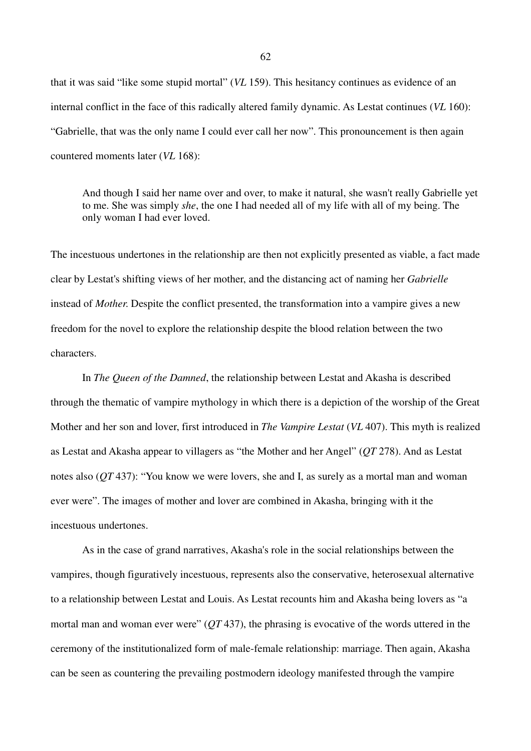that it was said "like some stupid mortal" (*VL* 159). This hesitancy continues as evidence of an internal conflict in the face of this radically altered family dynamic. As Lestat continues (*VL* 160): "Gabrielle, that was the only name I could ever call her now". This pronouncement is then again countered moments later (*VL* 168):

And though I said her name over and over, to make it natural, she wasn't really Gabrielle yet to me. She was simply *she*, the one I had needed all of my life with all of my being. The only woman I had ever loved.

The incestuous undertones in the relationship are then not explicitly presented as viable, a fact made clear by Lestat's shifting views of her mother, and the distancing act of naming her *Gabrielle*  instead of *Mother*. Despite the conflict presented, the transformation into a vampire gives a new freedom for the novel to explore the relationship despite the blood relation between the two characters.

In *The Queen of the Damned*, the relationship between Lestat and Akasha is described through the thematic of vampire mythology in which there is a depiction of the worship of the Great Mother and her son and lover, first introduced in *The Vampire Lestat* (*VL* 407). This myth is realized as Lestat and Akasha appear to villagers as "the Mother and her Angel" (*QT* 278). And as Lestat notes also (*QT* 437): "You know we were lovers, she and I, as surely as a mortal man and woman ever were". The images of mother and lover are combined in Akasha, bringing with it the incestuous undertones.

As in the case of grand narratives, Akasha's role in the social relationships between the vampires, though figuratively incestuous, represents also the conservative, heterosexual alternative to a relationship between Lestat and Louis. As Lestat recounts him and Akasha being lovers as "a mortal man and woman ever were" (*QT* 437), the phrasing is evocative of the words uttered in the ceremony of the institutionalized form of male-female relationship: marriage. Then again, Akasha can be seen as countering the prevailing postmodern ideology manifested through the vampire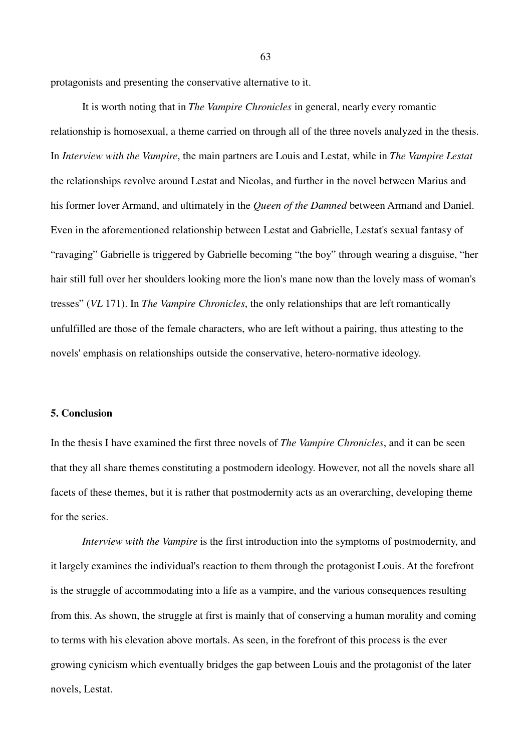protagonists and presenting the conservative alternative to it.

It is worth noting that in *The Vampire Chronicles* in general, nearly every romantic relationship is homosexual, a theme carried on through all of the three novels analyzed in the thesis. In *Interview with the Vampire*, the main partners are Louis and Lestat, while in *The Vampire Lestat*  the relationships revolve around Lestat and Nicolas, and further in the novel between Marius and his former lover Armand, and ultimately in the *Queen of the Damned* between Armand and Daniel. Even in the aforementioned relationship between Lestat and Gabrielle, Lestat's sexual fantasy of "ravaging" Gabrielle is triggered by Gabrielle becoming "the boy" through wearing a disguise, "her hair still full over her shoulders looking more the lion's mane now than the lovely mass of woman's tresses" (*VL* 171). In *The Vampire Chronicles*, the only relationships that are left romantically unfulfilled are those of the female characters, who are left without a pairing, thus attesting to the novels' emphasis on relationships outside the conservative, hetero-normative ideology.

#### **5. Conclusion**

In the thesis I have examined the first three novels of *The Vampire Chronicles*, and it can be seen that they all share themes constituting a postmodern ideology. However, not all the novels share all facets of these themes, but it is rather that postmodernity acts as an overarching, developing theme for the series.

*Interview with the Vampire* is the first introduction into the symptoms of postmodernity, and it largely examines the individual's reaction to them through the protagonist Louis. At the forefront is the struggle of accommodating into a life as a vampire, and the various consequences resulting from this. As shown, the struggle at first is mainly that of conserving a human morality and coming to terms with his elevation above mortals. As seen, in the forefront of this process is the ever growing cynicism which eventually bridges the gap between Louis and the protagonist of the later novels, Lestat.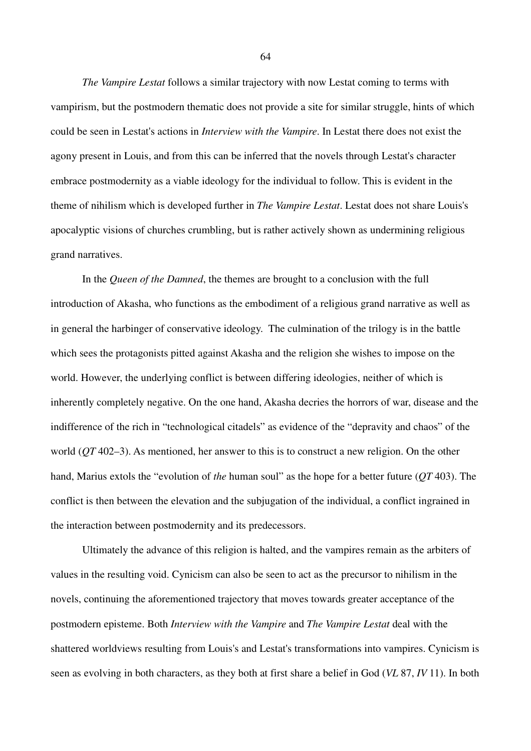*The Vampire Lestat* follows a similar trajectory with now Lestat coming to terms with vampirism, but the postmodern thematic does not provide a site for similar struggle, hints of which could be seen in Lestat's actions in *Interview with the Vampire*. In Lestat there does not exist the agony present in Louis, and from this can be inferred that the novels through Lestat's character embrace postmodernity as a viable ideology for the individual to follow. This is evident in the theme of nihilism which is developed further in *The Vampire Lestat*. Lestat does not share Louis's apocalyptic visions of churches crumbling, but is rather actively shown as undermining religious grand narratives.

In the *Queen of the Damned*, the themes are brought to a conclusion with the full introduction of Akasha, who functions as the embodiment of a religious grand narrative as well as in general the harbinger of conservative ideology. The culmination of the trilogy is in the battle which sees the protagonists pitted against Akasha and the religion she wishes to impose on the world. However, the underlying conflict is between differing ideologies, neither of which is inherently completely negative. On the one hand, Akasha decries the horrors of war, disease and the indifference of the rich in "technological citadels" as evidence of the "depravity and chaos" of the world (*QT* 402–3). As mentioned, her answer to this is to construct a new religion. On the other hand, Marius extols the "evolution of *the* human soul" as the hope for a better future (*QT* 403). The conflict is then between the elevation and the subjugation of the individual, a conflict ingrained in the interaction between postmodernity and its predecessors.

Ultimately the advance of this religion is halted, and the vampires remain as the arbiters of values in the resulting void. Cynicism can also be seen to act as the precursor to nihilism in the novels, continuing the aforementioned trajectory that moves towards greater acceptance of the postmodern episteme. Both *Interview with the Vampire* and *The Vampire Lestat* deal with the shattered worldviews resulting from Louis's and Lestat's transformations into vampires. Cynicism is seen as evolving in both characters, as they both at first share a belief in God (*VL* 87, *IV* 11). In both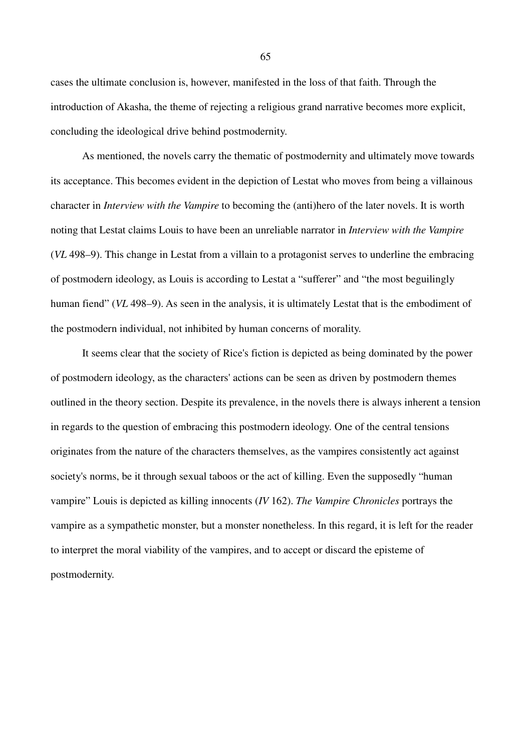cases the ultimate conclusion is, however, manifested in the loss of that faith. Through the introduction of Akasha, the theme of rejecting a religious grand narrative becomes more explicit, concluding the ideological drive behind postmodernity.

As mentioned, the novels carry the thematic of postmodernity and ultimately move towards its acceptance. This becomes evident in the depiction of Lestat who moves from being a villainous character in *Interview with the Vampire* to becoming the (anti)hero of the later novels. It is worth noting that Lestat claims Louis to have been an unreliable narrator in *Interview with the Vampire*  (*VL* 498–9). This change in Lestat from a villain to a protagonist serves to underline the embracing of postmodern ideology, as Louis is according to Lestat a "sufferer" and "the most beguilingly human fiend" (*VL* 498–9). As seen in the analysis, it is ultimately Lestat that is the embodiment of the postmodern individual, not inhibited by human concerns of morality.

It seems clear that the society of Rice's fiction is depicted as being dominated by the power of postmodern ideology, as the characters' actions can be seen as driven by postmodern themes outlined in the theory section. Despite its prevalence, in the novels there is always inherent a tension in regards to the question of embracing this postmodern ideology. One of the central tensions originates from the nature of the characters themselves, as the vampires consistently act against society's norms, be it through sexual taboos or the act of killing. Even the supposedly "human vampire" Louis is depicted as killing innocents (*IV* 162). *The Vampire Chronicles* portrays the vampire as a sympathetic monster, but a monster nonetheless. In this regard, it is left for the reader to interpret the moral viability of the vampires, and to accept or discard the episteme of postmodernity.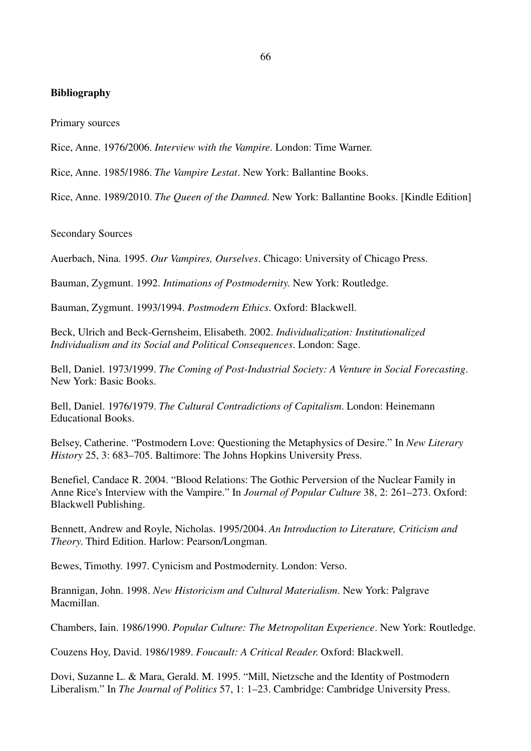# **Bibliography**

Primary sources

Rice, Anne. 1976/2006. *Interview with the Vampire*. London: Time Warner.

Rice, Anne. 1985/1986. *The Vampire Lestat*. New York: Ballantine Books.

Rice, Anne. 1989/2010. *The Queen of the Damned*. New York: Ballantine Books. [Kindle Edition]

Secondary Sources

Auerbach, Nina. 1995. *Our Vampires, Ourselves*. Chicago: University of Chicago Press.

Bauman, Zygmunt. 1992. *Intimations of Postmodernity*. New York: Routledge.

Bauman, Zygmunt. 1993/1994. *Postmodern Ethics*. Oxford: Blackwell.

Beck, Ulrich and Beck-Gernsheim, Elisabeth. 2002. *Individualization: Institutionalized Individualism and its Social and Political Consequences*. London: Sage.

Bell, Daniel. 1973/1999. *The Coming of Post-Industrial Society: A Venture in Social Forecasting*. New York: Basic Books.

Bell, Daniel. 1976/1979. *The Cultural Contradictions of Capitalism*. London: Heinemann Educational Books.

Belsey, Catherine. "Postmodern Love: Questioning the Metaphysics of Desire." In *New Literary History* 25, 3: 683–705. Baltimore: The Johns Hopkins University Press.

Benefiel, Candace R. 2004. "Blood Relations: The Gothic Perversion of the Nuclear Family in Anne Rice's Interview with the Vampire." In *Journal of Popular Culture* 38, 2: 261–273. Oxford: Blackwell Publishing.

Bennett, Andrew and Royle, Nicholas. 1995/2004. *An Introduction to Literature, Criticism and Theory*. Third Edition. Harlow: Pearson/Longman.

Bewes, Timothy. 1997. Cynicism and Postmodernity. London: Verso.

Brannigan, John. 1998. *New Historicism and Cultural Materialism*. New York: Palgrave Macmillan.

Chambers, Iain. 1986/1990. *Popular Culture: The Metropolitan Experience*. New York: Routledge.

Couzens Hoy, David. 1986/1989. *Foucault: A Critical Reader*. Oxford: Blackwell.

Dovi, Suzanne L. & Mara, Gerald. M. 1995. "Mill, Nietzsche and the Identity of Postmodern Liberalism." In *The Journal of Politics* 57, 1: 1–23. Cambridge: Cambridge University Press.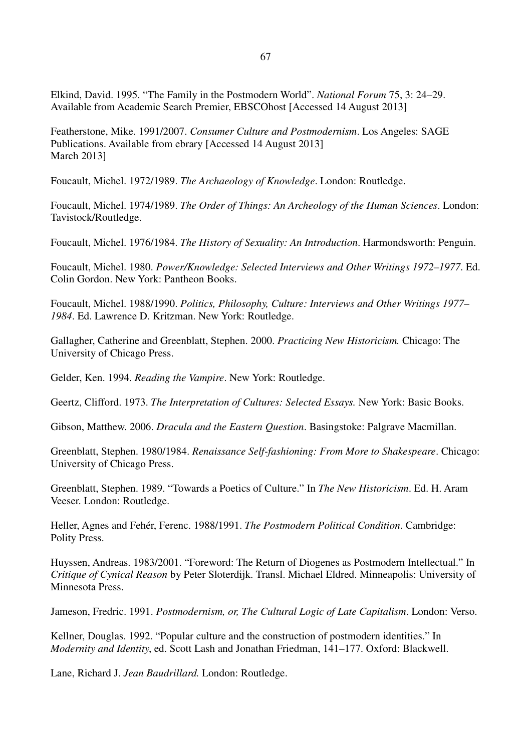Elkind, David. 1995. "The Family in the Postmodern World". *National Forum* 75, 3: 24–29. Available from Academic Search Premier, EBSCOhost [Accessed 14 August 2013]

Featherstone, Mike. 1991/2007. *Consumer Culture and Postmodernism*. Los Angeles: SAGE Publications. Available from ebrary [Accessed 14 August 2013] March 2013]

Foucault, Michel. 1972/1989. *The Archaeology of Knowledge*. London: Routledge.

Foucault, Michel. 1974/1989. *The Order of Things: An Archeology of the Human Sciences*. London: Tavistock/Routledge.

Foucault, Michel. 1976/1984. *The History of Sexuality: An Introduction*. Harmondsworth: Penguin.

Foucault, Michel. 1980. *Power/Knowledge: Selected Interviews and Other Writings 1972*–*1977*. Ed. Colin Gordon. New York: Pantheon Books.

Foucault, Michel. 1988/1990. *Politics, Philosophy, Culture: Interviews and Other Writings 1977*– *1984*. Ed. Lawrence D. Kritzman. New York: Routledge.

Gallagher, Catherine and Greenblatt, Stephen. 2000. *Practicing New Historicism.* Chicago: The University of Chicago Press.

Gelder, Ken. 1994. *Reading the Vampire*. New York: Routledge.

Geertz, Clifford. 1973. *The Interpretation of Cultures: Selected Essays.* New York: Basic Books.

Gibson, Matthew. 2006. *Dracula and the Eastern Question*. Basingstoke: Palgrave Macmillan.

Greenblatt, Stephen. 1980/1984. *Renaissance Self-fashioning: From More to Shakespeare*. Chicago: University of Chicago Press.

Greenblatt, Stephen. 1989. "Towards a Poetics of Culture." In *The New Historicism*. Ed. H. Aram Veeser. London: Routledge.

Heller, Agnes and Fehér, Ferenc. 1988/1991. *The Postmodern Political Condition*. Cambridge: Polity Press.

Huyssen, Andreas. 1983/2001. "Foreword: The Return of Diogenes as Postmodern Intellectual." In *Critique of Cynical Reason* by Peter Sloterdijk. Transl. Michael Eldred. Minneapolis: University of Minnesota Press.

Jameson, Fredric. 1991. *Postmodernism, or, The Cultural Logic of Late Capitalism*. London: Verso.

Kellner, Douglas. 1992. "Popular culture and the construction of postmodern identities." In *Modernity and Identity*, ed. Scott Lash and Jonathan Friedman, 141–177. Oxford: Blackwell.

Lane, Richard J. *Jean Baudrillard.* London: Routledge.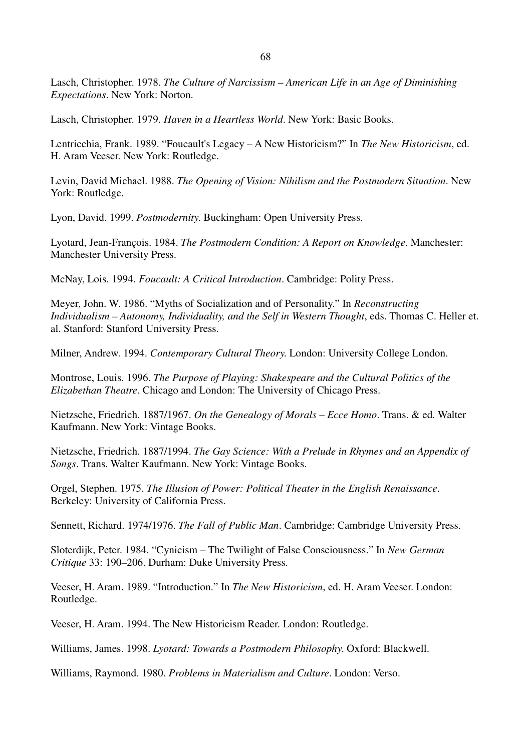68

Lasch, Christopher. 1978. *The Culture of Narcissism – American Life in an Age of Diminishing Expectations*. New York: Norton.

Lasch, Christopher. 1979. *Haven in a Heartless World*. New York: Basic Books.

Lentricchia, Frank. 1989. "Foucault's Legacy – A New Historicism?" In *The New Historicism*, ed. H. Aram Veeser. New York: Routledge.

Levin, David Michael. 1988. *The Opening of Vision: Nihilism and the Postmodern Situation*. New York: Routledge.

Lyon, David. 1999. *Postmodernity*. Buckingham: Open University Press.

Lyotard, Jean-François. 1984. *The Postmodern Condition: A Report on Knowledge*. Manchester: Manchester University Press.

McNay, Lois. 1994. *Foucault: A Critical Introduction*. Cambridge: Polity Press.

Meyer, John. W. 1986. "Myths of Socialization and of Personality." In *Reconstructing Individualism – Autonomy, Individuality, and the Self in Western Thought*, eds. Thomas C. Heller et. al. Stanford: Stanford University Press.

Milner, Andrew. 1994. *Contemporary Cultural Theory*. London: University College London.

Montrose, Louis. 1996. *The Purpose of Playing: Shakespeare and the Cultural Politics of the Elizabethan Theatre*. Chicago and London: The University of Chicago Press.

Nietzsche, Friedrich. 1887/1967. *On the Genealogy of Morals* – *Ecce Homo*. Trans. & ed. Walter Kaufmann. New York: Vintage Books.

Nietzsche, Friedrich. 1887/1994. *The Gay Science: With a Prelude in Rhymes and an Appendix of Songs*. Trans. Walter Kaufmann. New York: Vintage Books.

Orgel, Stephen. 1975. *The Illusion of Power: Political Theater in the English Renaissance*. Berkeley: University of California Press.

Sennett, Richard. 1974/1976. *The Fall of Public Man*. Cambridge: Cambridge University Press.

Sloterdijk, Peter. 1984. "Cynicism – The Twilight of False Consciousness." In *New German Critique* 33: 190–206. Durham: Duke University Press.

Veeser, H. Aram. 1989. "Introduction." In *The New Historicism*, ed. H. Aram Veeser. London: Routledge.

Veeser, H. Aram. 1994. The New Historicism Reader. London: Routledge.

Williams, James. 1998. *Lyotard: Towards a Postmodern Philosophy*. Oxford: Blackwell.

Williams, Raymond. 1980. *Problems in Materialism and Culture*. London: Verso.